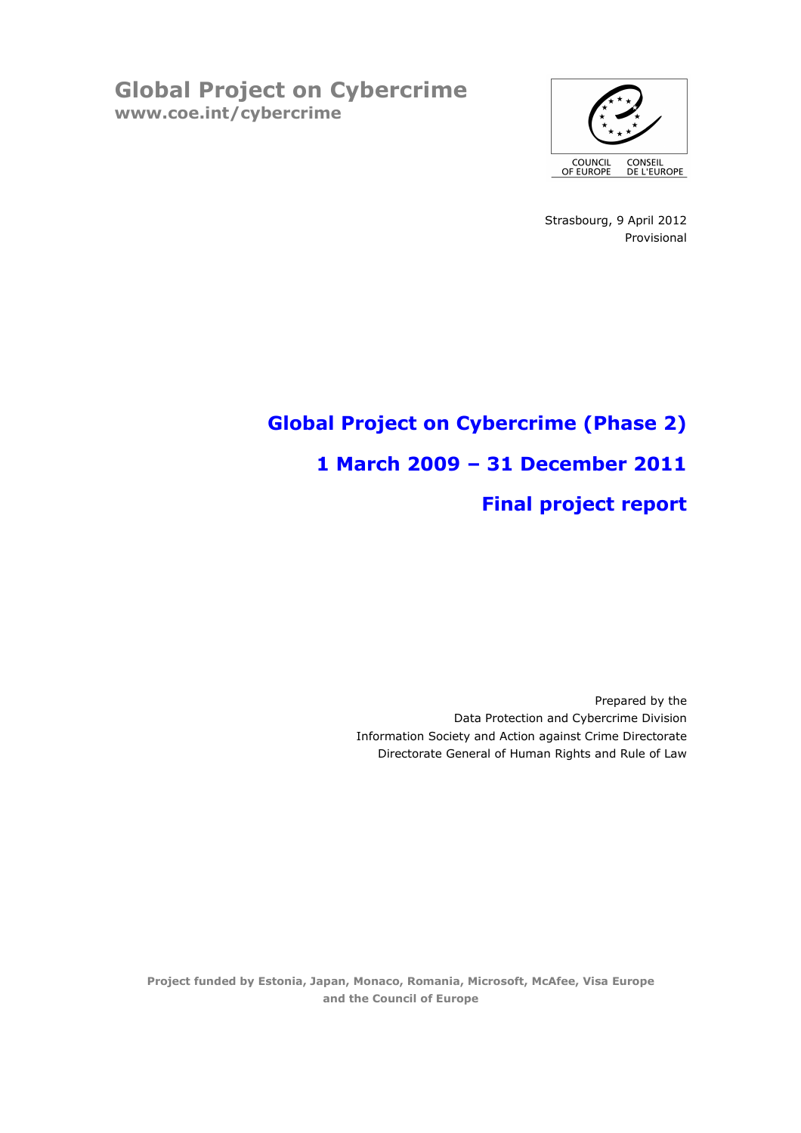Global Project on Cybercrime www.coe.int/cybercrime



Strasbourg, 9 April 2012 Provisional

# Global Project on Cybercrime (Phase 2) 1 March 2009 – 31 December 2011 Final project report

Prepared by the Data Protection and Cybercrime Division Information Society and Action against Crime Directorate Directorate General of Human Rights and Rule of Law

Project funded by Estonia, Japan, Monaco, Romania, Microsoft, McAfee, Visa Europe and the Council of Europe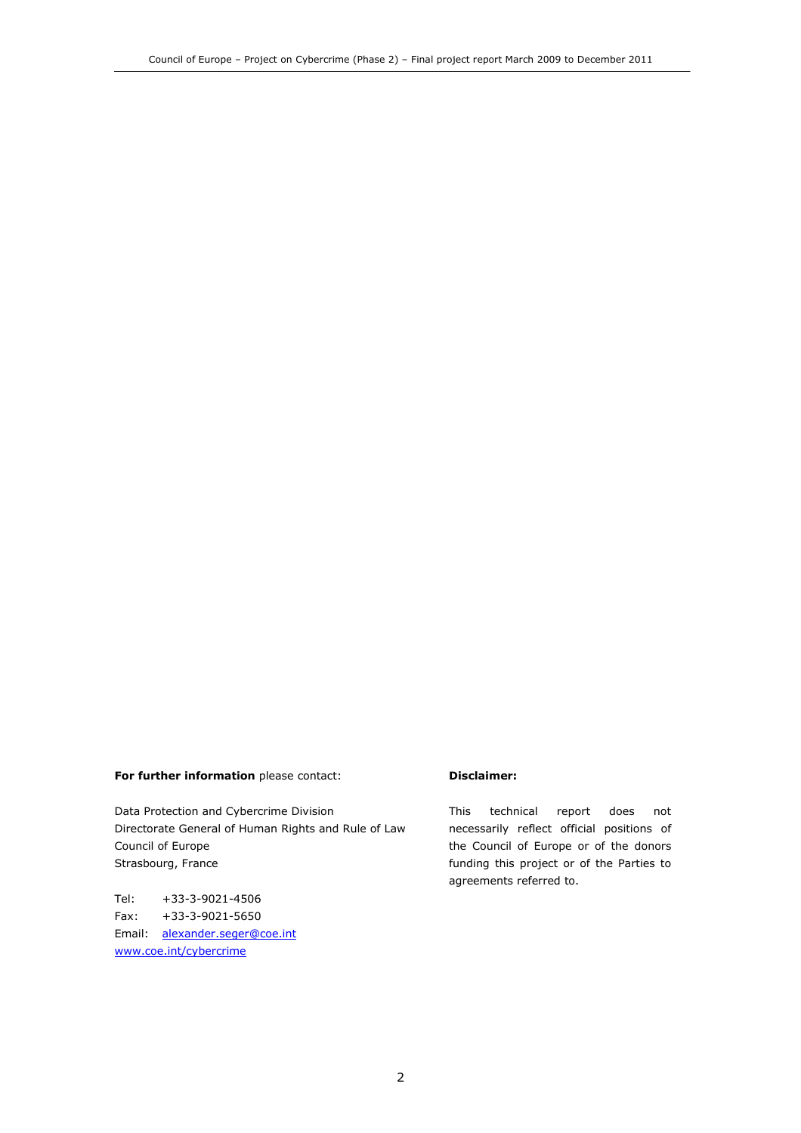#### For further information please contact:

Data Protection and Cybercrime Division Directorate General of Human Rights and Rule of Law Council of Europe Strasbourg, France

Tel: +33-3-9021-4506 Fax: +33-3-9021-5650 Email: alexander.seger@coe.int www.coe.int/cybercrime

#### Disclaimer:

This technical report does not necessarily reflect official positions of the Council of Europe or of the donors funding this project or of the Parties to agreements referred to.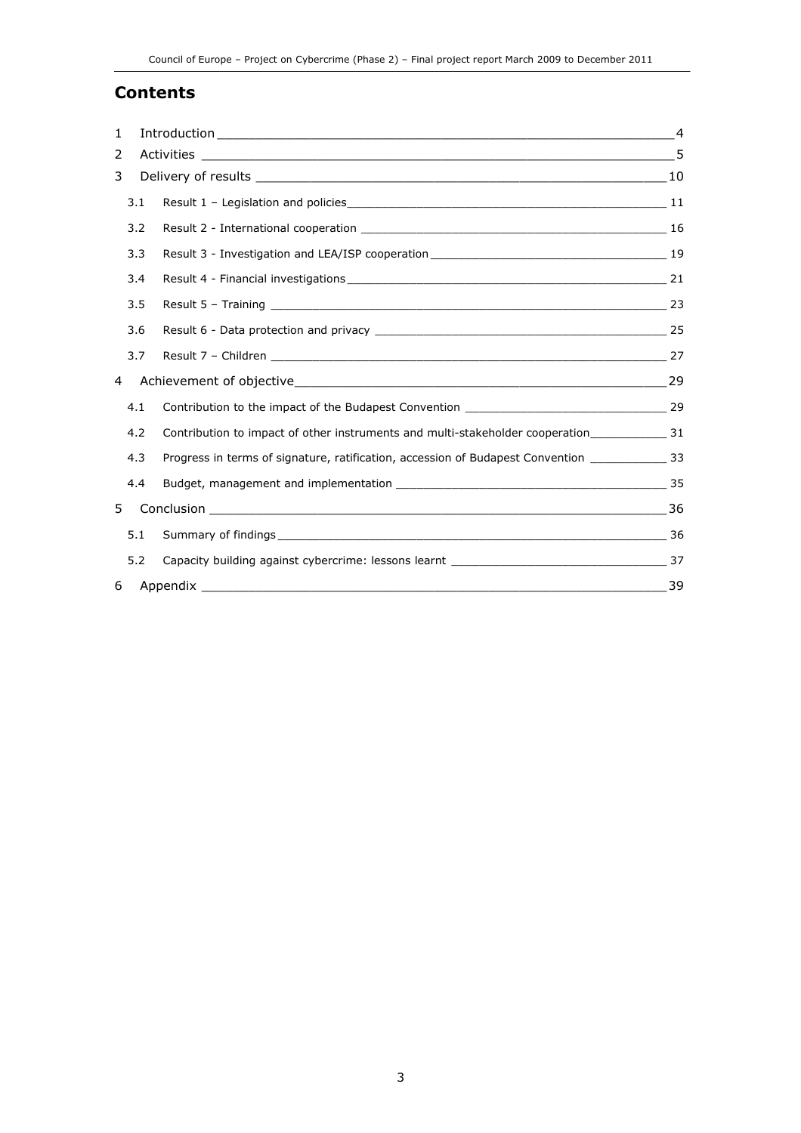### Contents

| 1   |                                                                                                         |    |
|-----|---------------------------------------------------------------------------------------------------------|----|
| 2   |                                                                                                         |    |
| 3   |                                                                                                         |    |
| 3.1 |                                                                                                         |    |
| 3.2 |                                                                                                         |    |
| 3.3 |                                                                                                         |    |
| 3.4 |                                                                                                         |    |
| 3.5 |                                                                                                         |    |
| 3.6 |                                                                                                         |    |
| 3.7 |                                                                                                         |    |
| 4   |                                                                                                         |    |
| 4.1 |                                                                                                         |    |
| 4.2 |                                                                                                         |    |
| 4.3 | Progress in terms of signature, ratification, accession of Budapest Convention _____________________ 33 |    |
| 4.4 |                                                                                                         |    |
| 5   |                                                                                                         |    |
| 5.1 |                                                                                                         |    |
| 5.2 |                                                                                                         |    |
| 6   | Appendix                                                                                                | 39 |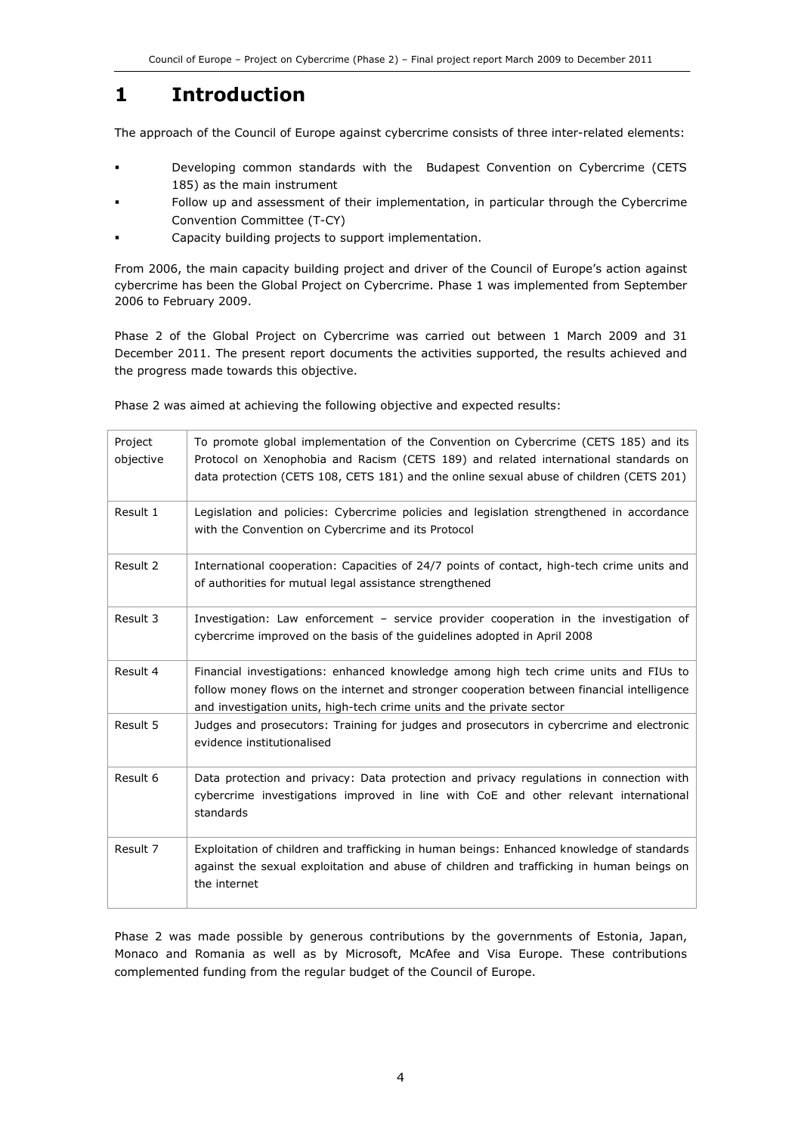## 1 Introduction

The approach of the Council of Europe against cybercrime consists of three inter-related elements:

- Developing common standards with the Budapest Convention on Cybercrime (CETS 185) as the main instrument
- Follow up and assessment of their implementation, in particular through the Cybercrime Convention Committee (T-CY)
- Capacity building projects to support implementation.

From 2006, the main capacity building project and driver of the Council of Europe's action against cybercrime has been the Global Project on Cybercrime. Phase 1 was implemented from September 2006 to February 2009.

Phase 2 of the Global Project on Cybercrime was carried out between 1 March 2009 and 31 December 2011. The present report documents the activities supported, the results achieved and the progress made towards this objective.

Project objective To promote global implementation of the Convention on Cybercrime (CETS 185) and its Protocol on Xenophobia and Racism (CETS 189) and related international standards on data protection (CETS 108, CETS 181) and the online sexual abuse of children (CETS 201) Result 1 | Legislation and policies: Cybercrime policies and legislation strengthened in accordance with the Convention on Cybercrime and its Protocol Result 2 | International cooperation: Capacities of 24/7 points of contact, high-tech crime units and of authorities for mutual legal assistance strengthened Result 3 Investigation: Law enforcement – service provider cooperation in the investigation of cybercrime improved on the basis of the guidelines adopted in April 2008 Result 4 Financial investigations: enhanced knowledge among high tech crime units and FIUs to follow money flows on the internet and stronger cooperation between financial intelligence and investigation units, high-tech crime units and the private sector Result 5 Judges and prosecutors: Training for judges and prosecutors in cybercrime and electronic evidence institutionalised Result 6  $\Box$  Data protection and privacy: Data protection and privacy regulations in connection with cybercrime investigations improved in line with CoE and other relevant international standards Result 7 Exploitation of children and trafficking in human beings: Enhanced knowledge of standards against the sexual exploitation and abuse of children and trafficking in human beings on the internet

Phase 2 was aimed at achieving the following objective and expected results:

Phase 2 was made possible by generous contributions by the governments of Estonia, Japan, Monaco and Romania as well as by Microsoft, McAfee and Visa Europe. These contributions complemented funding from the regular budget of the Council of Europe.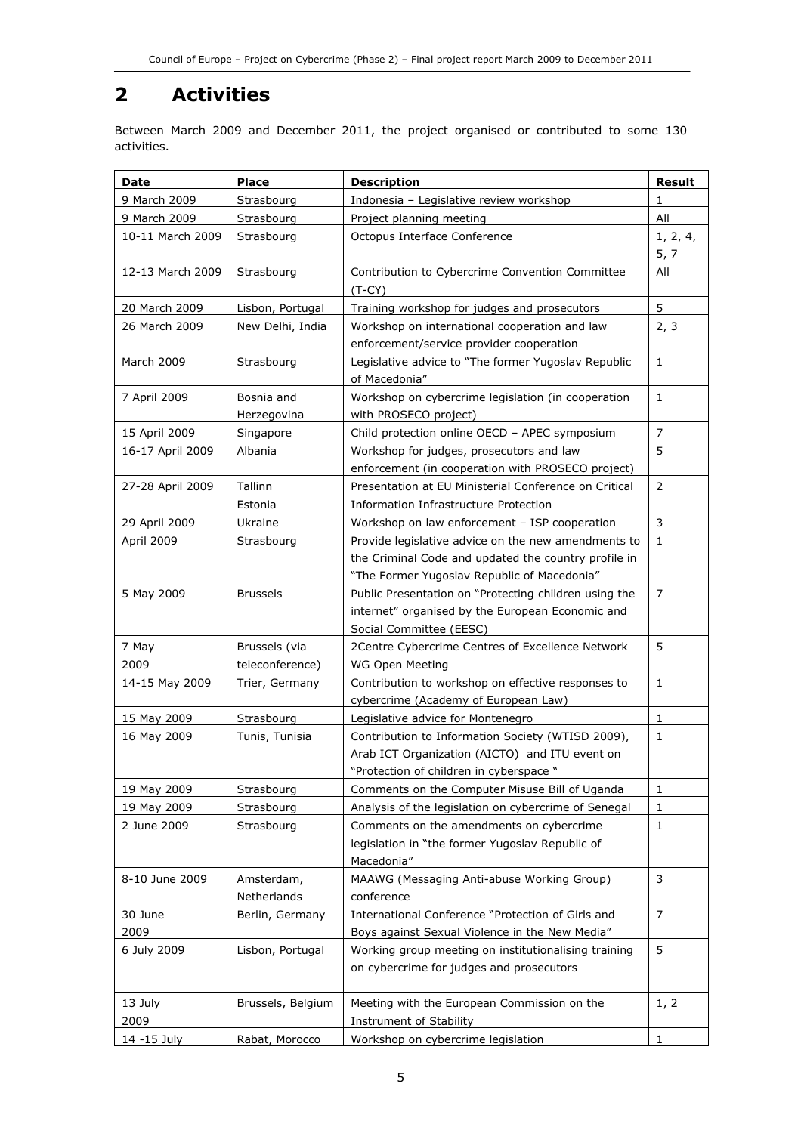## 2 Activities

Between March 2009 and December 2011, the project organised or contributed to some 130 activities.

| Date             | <b>Place</b>      | <b>Description</b>                                                          | <b>Result</b>  |
|------------------|-------------------|-----------------------------------------------------------------------------|----------------|
| 9 March 2009     | Strasbourg        | Indonesia - Legislative review workshop                                     | 1              |
| 9 March 2009     | Strasbourg        | Project planning meeting                                                    | All            |
| 10-11 March 2009 | Strasbourg        | Octopus Interface Conference                                                | 1, 2, 4,       |
|                  |                   |                                                                             | 5, 7           |
| 12-13 March 2009 | Strasbourg        | Contribution to Cybercrime Convention Committee                             | All            |
|                  |                   | $(T-CY)$                                                                    |                |
| 20 March 2009    | Lisbon, Portugal  | Training workshop for judges and prosecutors                                | 5              |
| 26 March 2009    | New Delhi, India  | Workshop on international cooperation and law                               | 2, 3           |
|                  |                   | enforcement/service provider cooperation                                    |                |
| March 2009       | Strasbourg        | Legislative advice to "The former Yugoslav Republic                         | $\mathbf{1}$   |
|                  |                   | of Macedonia"                                                               |                |
| 7 April 2009     | Bosnia and        | Workshop on cybercrime legislation (in cooperation                          | $\mathbf{1}$   |
|                  | Herzegovina       | with PROSECO project)                                                       |                |
| 15 April 2009    | Singapore         | Child protection online OECD - APEC symposium                               | $\overline{7}$ |
| 16-17 April 2009 | Albania           | Workshop for judges, prosecutors and law                                    | 5              |
|                  |                   | enforcement (in cooperation with PROSECO project)                           |                |
| 27-28 April 2009 | Tallinn           | Presentation at EU Ministerial Conference on Critical                       | 2              |
|                  | Estonia           | Information Infrastructure Protection                                       |                |
| 29 April 2009    | Ukraine           | Workshop on law enforcement - ISP cooperation                               | $\mathsf{3}$   |
| April 2009       | Strasbourg        | Provide legislative advice on the new amendments to                         | $\mathbf{1}$   |
|                  |                   | the Criminal Code and updated the country profile in                        |                |
|                  |                   | "The Former Yugoslav Republic of Macedonia"                                 |                |
| 5 May 2009       | <b>Brussels</b>   | Public Presentation on "Protecting children using the                       | $\overline{7}$ |
|                  |                   | internet" organised by the European Economic and<br>Social Committee (EESC) |                |
| 7 May            | Brussels (via     | 2Centre Cybercrime Centres of Excellence Network                            | 5              |
| 2009             | teleconference)   | WG Open Meeting                                                             |                |
| 14-15 May 2009   | Trier, Germany    | Contribution to workshop on effective responses to                          | $\mathbf{1}$   |
|                  |                   | cybercrime (Academy of European Law)                                        |                |
| 15 May 2009      | Strasbourg        | Legislative advice for Montenegro                                           | $\mathbf{1}$   |
| 16 May 2009      | Tunis, Tunisia    | Contribution to Information Society (WTISD 2009),                           | $\mathbf{1}$   |
|                  |                   | Arab ICT Organization (AICTO) and ITU event on                              |                |
|                  |                   | "Protection of children in cyberspace"                                      |                |
| 19 May 2009      | Strasbourg        | Comments on the Computer Misuse Bill of Uganda                              | 1              |
| 19 May 2009      | Strasbourg        | Analysis of the legislation on cybercrime of Senegal                        | 1              |
| 2 June 2009      | Strasbourg        | Comments on the amendments on cybercrime                                    | $\mathbf{1}$   |
|                  |                   | legislation in "the former Yugoslav Republic of                             |                |
|                  |                   | Macedonia"                                                                  |                |
| 8-10 June 2009   | Amsterdam,        | MAAWG (Messaging Anti-abuse Working Group)                                  | 3              |
|                  | Netherlands       | conference                                                                  |                |
| 30 June          | Berlin, Germany   | International Conference "Protection of Girls and                           | $\overline{7}$ |
| 2009             |                   | Boys against Sexual Violence in the New Media"                              |                |
| 6 July 2009      | Lisbon, Portugal  | Working group meeting on institutionalising training                        | 5              |
|                  |                   | on cybercrime for judges and prosecutors                                    |                |
|                  |                   |                                                                             |                |
| 13 July          | Brussels, Belgium | Meeting with the European Commission on the                                 | 1, 2           |
| 2009             |                   | Instrument of Stability                                                     |                |
| 14 - 15 July     | Rabat, Morocco    | Workshop on cybercrime legislation                                          | 1              |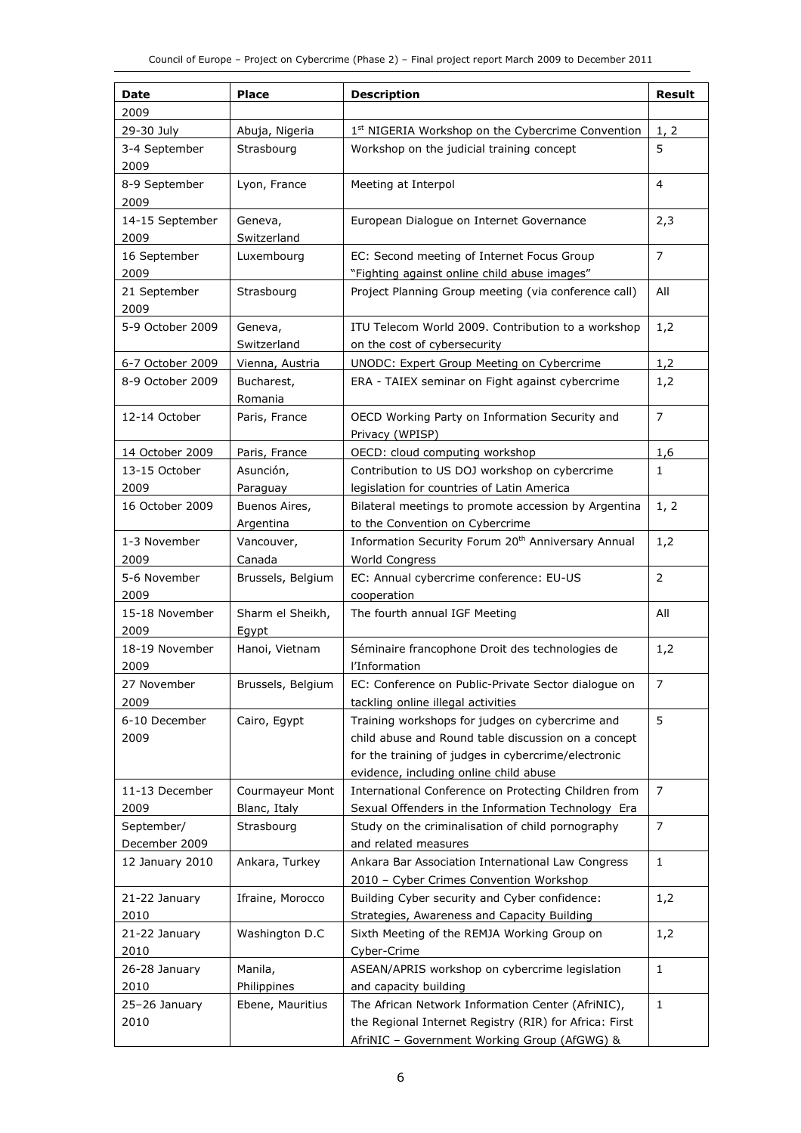| Date             | Place             | <b>Description</b>                                             | <b>Result</b>  |
|------------------|-------------------|----------------------------------------------------------------|----------------|
| 2009             |                   |                                                                |                |
| 29-30 July       | Abuja, Nigeria    | 1 <sup>st</sup> NIGERIA Workshop on the Cybercrime Convention  | 1, 2           |
| 3-4 September    | Strasbourg        | Workshop on the judicial training concept                      | 5              |
| 2009             |                   |                                                                |                |
| 8-9 September    | Lyon, France      | Meeting at Interpol                                            | 4              |
| 2009             |                   |                                                                |                |
| 14-15 September  | Geneva,           | European Dialogue on Internet Governance                       | 2,3            |
| 2009             | Switzerland       |                                                                |                |
| 16 September     | Luxembourg        | EC: Second meeting of Internet Focus Group                     | $\overline{7}$ |
| 2009             |                   | "Fighting against online child abuse images"                   |                |
| 21 September     | Strasbourg        | Project Planning Group meeting (via conference call)           | All            |
| 2009             |                   |                                                                |                |
| 5-9 October 2009 | Geneva,           | ITU Telecom World 2009. Contribution to a workshop             | 1,2            |
|                  | Switzerland       | on the cost of cybersecurity                                   |                |
| 6-7 October 2009 | Vienna, Austria   | UNODC: Expert Group Meeting on Cybercrime                      | 1,2            |
| 8-9 October 2009 | Bucharest,        | ERA - TAIEX seminar on Fight against cybercrime                | 1,2            |
|                  | Romania           |                                                                |                |
| 12-14 October    | Paris, France     | OECD Working Party on Information Security and                 | $\overline{7}$ |
|                  |                   | Privacy (WPISP)                                                |                |
| 14 October 2009  | Paris, France     | OECD: cloud computing workshop                                 | 1,6            |
| 13-15 October    | Asunción,         | Contribution to US DOJ workshop on cybercrime                  | $\mathbf{1}$   |
| 2009             | Paraguay          | legislation for countries of Latin America                     |                |
| 16 October 2009  | Buenos Aires,     | Bilateral meetings to promote accession by Argentina           | 1, 2           |
|                  | Argentina         | to the Convention on Cybercrime                                |                |
| 1-3 November     | Vancouver,        | Information Security Forum 20 <sup>th</sup> Anniversary Annual | 1,2            |
| 2009             | Canada            | World Congress                                                 |                |
| 5-6 November     | Brussels, Belgium | EC: Annual cybercrime conference: EU-US                        | $\overline{2}$ |
| 2009             |                   | cooperation                                                    |                |
| 15-18 November   | Sharm el Sheikh,  | The fourth annual IGF Meeting                                  | All            |
| 2009             | Eavpt             |                                                                |                |
| 18-19 November   | Hanoi, Vietnam    | Séminaire francophone Droit des technologies de                | 1,2            |
| 2009             |                   | l'Information                                                  |                |
| 27 November      | Brussels, Belgium | EC: Conference on Public-Private Sector dialogue on            | $\overline{7}$ |
| 2009             |                   | tackling online illegal activities                             |                |
| 6-10 December    | Cairo, Egypt      | Training workshops for judges on cybercrime and                | 5              |
| 2009             |                   | child abuse and Round table discussion on a concept            |                |
|                  |                   | for the training of judges in cybercrime/electronic            |                |
|                  |                   | evidence, including online child abuse                         |                |
| 11-13 December   | Courmayeur Mont   | International Conference on Protecting Children from           | $\overline{7}$ |
| 2009             | Blanc, Italy      | Sexual Offenders in the Information Technology Era             |                |
| September/       | Strasbourg        | Study on the criminalisation of child pornography              | $\overline{7}$ |
| December 2009    |                   | and related measures                                           |                |
| 12 January 2010  | Ankara, Turkey    | Ankara Bar Association International Law Congress              | $\mathbf{1}$   |
|                  |                   | 2010 - Cyber Crimes Convention Workshop                        |                |
| 21-22 January    | Ifraine, Morocco  | Building Cyber security and Cyber confidence:                  | 1,2            |
| 2010             |                   | Strategies, Awareness and Capacity Building                    |                |
| 21-22 January    | Washington D.C    | Sixth Meeting of the REMJA Working Group on                    | 1,2            |
| 2010             |                   | Cyber-Crime                                                    |                |
| 26-28 January    | Manila,           | ASEAN/APRIS workshop on cybercrime legislation                 | $\mathbf{1}$   |
| 2010             | Philippines       | and capacity building                                          |                |
| 25-26 January    | Ebene, Mauritius  | The African Network Information Center (AfriNIC),              | $\mathbf{1}$   |
| 2010             |                   | the Regional Internet Registry (RIR) for Africa: First         |                |
|                  |                   | AfriNIC - Government Working Group (AfGWG) &                   |                |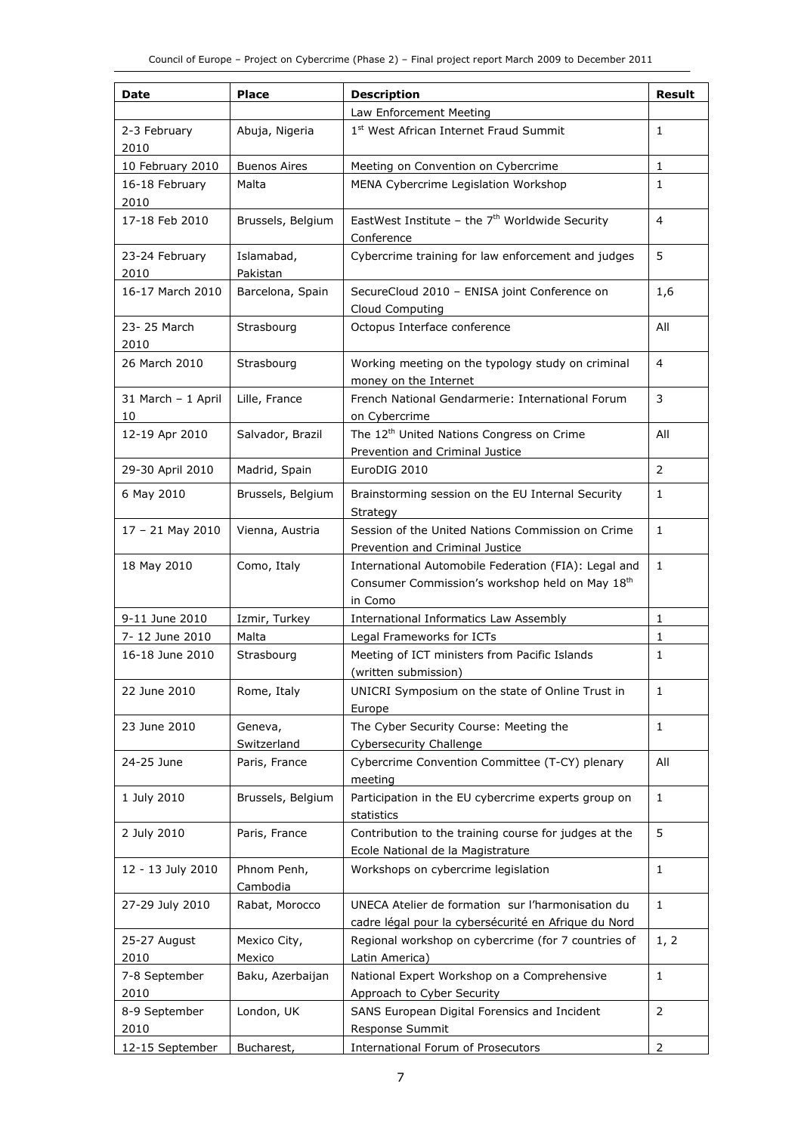| Date                     | Place                   | <b>Description</b>                                                                                                 | <b>Result</b>  |
|--------------------------|-------------------------|--------------------------------------------------------------------------------------------------------------------|----------------|
|                          |                         | Law Enforcement Meeting                                                                                            |                |
| 2-3 February<br>2010     | Abuja, Nigeria          | 1st West African Internet Fraud Summit                                                                             | $\mathbf{1}$   |
| 10 February 2010         | <b>Buenos Aires</b>     | Meeting on Convention on Cybercrime                                                                                | 1              |
| 16-18 February<br>2010   | Malta                   | MENA Cybercrime Legislation Workshop                                                                               | 1              |
| 17-18 Feb 2010           | Brussels, Belgium       | EastWest Institute - the $7th$ Worldwide Security<br>Conference                                                    | $\overline{4}$ |
| 23-24 February<br>2010   | Islamabad,<br>Pakistan  | Cybercrime training for law enforcement and judges                                                                 | 5              |
| 16-17 March 2010         | Barcelona, Spain        | SecureCloud 2010 - ENISA joint Conference on<br>Cloud Computing                                                    | 1,6            |
| 23-25 March<br>2010      | Strasbourg              | Octopus Interface conference                                                                                       | All            |
| 26 March 2010            | Strasbourg              | Working meeting on the typology study on criminal<br>money on the Internet                                         | 4              |
| 31 March - 1 April<br>10 | Lille, France           | French National Gendarmerie: International Forum<br>on Cybercrime                                                  | 3              |
| 12-19 Apr 2010           | Salvador, Brazil        | The 12 <sup>th</sup> United Nations Congress on Crime<br>Prevention and Criminal Justice                           | All            |
| 29-30 April 2010         | Madrid, Spain           | EuroDIG 2010                                                                                                       | $\overline{2}$ |
| 6 May 2010               | Brussels, Belgium       | Brainstorming session on the EU Internal Security<br>Strategy                                                      | $\mathbf{1}$   |
| $17 - 21$ May 2010       | Vienna, Austria         | Session of the United Nations Commission on Crime<br>Prevention and Criminal Justice                               | $\mathbf{1}$   |
| 18 May 2010              | Como, Italy             | International Automobile Federation (FIA): Legal and<br>Consumer Commission's workshop held on May 18th<br>in Como | $\mathbf{1}$   |
| 9-11 June 2010           | Izmir, Turkey           | International Informatics Law Assembly                                                                             | $\mathbf{1}$   |
| 7-12 June 2010           | Malta                   | Legal Frameworks for ICTs                                                                                          | $\mathbf{1}$   |
| 16-18 June 2010          | Strasbourg              | Meeting of ICT ministers from Pacific Islands<br>(written submission)                                              | 1              |
| 22 June 2010             | Rome, Italy             | UNICRI Symposium on the state of Online Trust in<br>Europe                                                         | 1              |
| 23 June 2010             | Geneva,<br>Switzerland  | The Cyber Security Course: Meeting the<br>Cybersecurity Challenge                                                  | $\mathbf{1}$   |
| 24-25 June               | Paris, France           | Cybercrime Convention Committee (T-CY) plenary<br>meeting                                                          | All            |
| 1 July 2010              | Brussels, Belgium       | Participation in the EU cybercrime experts group on<br>statistics                                                  | 1              |
| 2 July 2010              | Paris, France           | Contribution to the training course for judges at the<br>Ecole National de la Magistrature                         | 5              |
| 12 - 13 July 2010        | Phnom Penh,<br>Cambodia | Workshops on cybercrime legislation                                                                                | $1\,$          |
| 27-29 July 2010          | Rabat, Morocco          | UNECA Atelier de formation sur l'harmonisation du<br>cadre légal pour la cybersécurité en Afrique du Nord          | $\mathbf{1}$   |
| 25-27 August<br>2010     | Mexico City,<br>Mexico  | Regional workshop on cybercrime (for 7 countries of<br>Latin America)                                              | 1, 2           |
| 7-8 September<br>2010    | Baku, Azerbaijan        | National Expert Workshop on a Comprehensive<br>Approach to Cyber Security                                          | $\mathbf{1}$   |
| 8-9 September<br>2010    | London, UK              | SANS European Digital Forensics and Incident<br>Response Summit                                                    | 2              |
| 12-15 September          | Bucharest,              | International Forum of Prosecutors                                                                                 | $\overline{2}$ |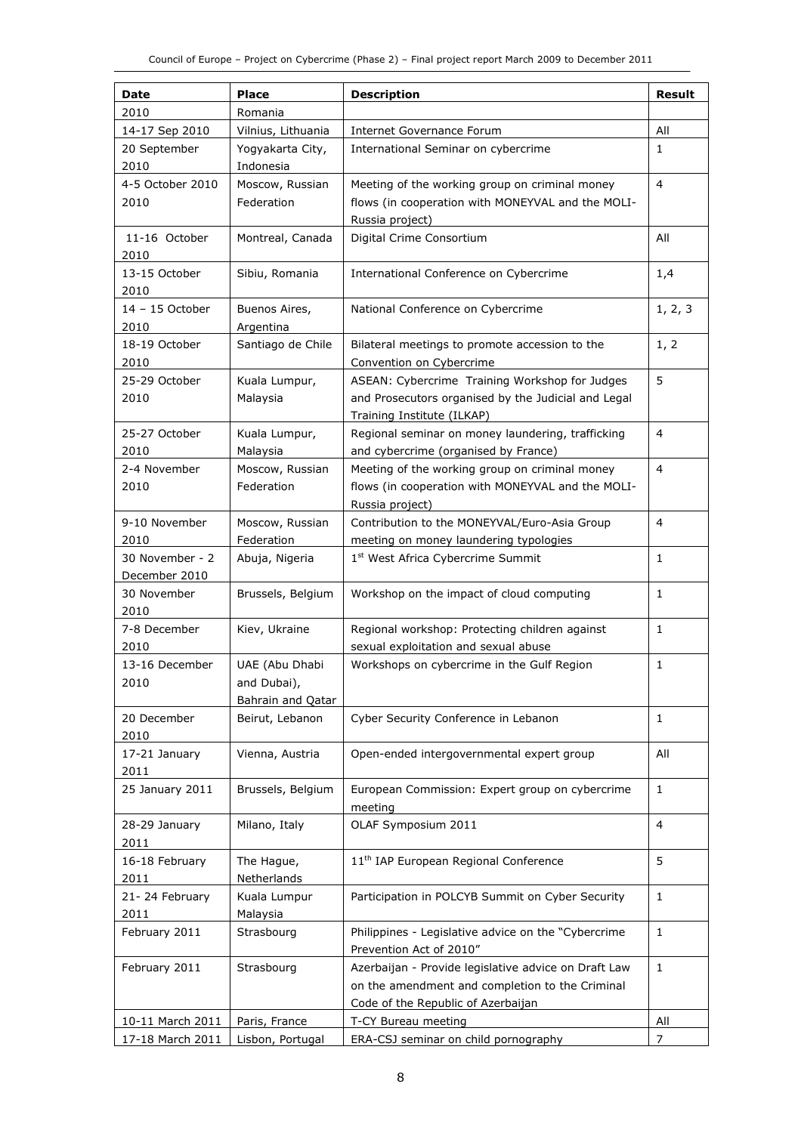| Date             | Place              | <b>Description</b>                                   | <b>Result</b>  |
|------------------|--------------------|------------------------------------------------------|----------------|
| 2010             | Romania            |                                                      |                |
| 14-17 Sep 2010   | Vilnius, Lithuania | Internet Governance Forum                            | All            |
| 20 September     | Yogyakarta City,   | International Seminar on cybercrime                  | 1              |
| 2010             | Indonesia          |                                                      |                |
| 4-5 October 2010 | Moscow, Russian    | Meeting of the working group on criminal money       | 4              |
| 2010             | Federation         | flows (in cooperation with MONEYVAL and the MOLI-    |                |
|                  |                    | Russia project)                                      |                |
| 11-16 October    | Montreal, Canada   | Digital Crime Consortium                             | All            |
| 2010             |                    |                                                      |                |
| 13-15 October    | Sibiu, Romania     | International Conference on Cybercrime               | 1,4            |
| 2010             |                    |                                                      |                |
| 14 - 15 October  | Buenos Aires,      | National Conference on Cybercrime                    | 1, 2, 3        |
| 2010             | Argentina          |                                                      |                |
| 18-19 October    | Santiago de Chile  | Bilateral meetings to promote accession to the       | 1, 2           |
| 2010             |                    | Convention on Cybercrime                             |                |
| 25-29 October    | Kuala Lumpur,      | ASEAN: Cybercrime Training Workshop for Judges       | 5              |
| 2010             | Malaysia           | and Prosecutors organised by the Judicial and Legal  |                |
|                  |                    | Training Institute (ILKAP)                           |                |
| 25-27 October    | Kuala Lumpur,      | Regional seminar on money laundering, trafficking    | $\overline{4}$ |
| 2010             | Malaysia           | and cybercrime (organised by France)                 |                |
| 2-4 November     | Moscow, Russian    | Meeting of the working group on criminal money       | $\overline{4}$ |
| 2010             | Federation         | flows (in cooperation with MONEYVAL and the MOLI-    |                |
|                  |                    | Russia project)                                      |                |
| 9-10 November    | Moscow, Russian    | Contribution to the MONEYVAL/Euro-Asia Group         | 4              |
| 2010             | Federation         | meeting on money laundering typologies               |                |
| 30 November - 2  | Abuja, Nigeria     | 1 <sup>st</sup> West Africa Cybercrime Summit        | 1              |
| December 2010    |                    |                                                      |                |
| 30 November      | Brussels, Belgium  | Workshop on the impact of cloud computing            | 1              |
| 2010             |                    |                                                      |                |
| 7-8 December     | Kiev, Ukraine      | Regional workshop: Protecting children against       | 1              |
| 2010             |                    | sexual exploitation and sexual abuse                 |                |
| 13-16 December   | UAE (Abu Dhabi     | Workshops on cybercrime in the Gulf Region           | $\mathbf{1}$   |
| 2010             | and Dubai),        |                                                      |                |
|                  | Bahrain and Qatar  |                                                      |                |
| 20 December      | Beirut, Lebanon    | Cyber Security Conference in Lebanon                 | 1              |
| 2010             |                    |                                                      |                |
| 17-21 January    | Vienna, Austria    | Open-ended intergovernmental expert group            | All            |
| 2011             |                    |                                                      |                |
| 25 January 2011  | Brussels, Belgium  | European Commission: Expert group on cybercrime      | $\mathbf{1}$   |
|                  |                    | meeting                                              |                |
| 28-29 January    | Milano, Italy      | OLAF Symposium 2011                                  | 4              |
| 2011             |                    |                                                      |                |
| 16-18 February   | The Hague,         | 11 <sup>th</sup> IAP European Regional Conference    | 5              |
| 2011             | Netherlands        |                                                      |                |
| 21-24 February   | Kuala Lumpur       | Participation in POLCYB Summit on Cyber Security     | $\mathbf{1}$   |
| 2011             | Malaysia           |                                                      |                |
| February 2011    | Strasbourg         | Philippines - Legislative advice on the "Cybercrime  | $\mathbf{1}$   |
|                  |                    | Prevention Act of 2010"                              |                |
| February 2011    | Strasbourg         | Azerbaijan - Provide legislative advice on Draft Law | $\mathbf{1}$   |
|                  |                    | on the amendment and completion to the Criminal      |                |
|                  |                    | Code of the Republic of Azerbaijan                   |                |
| 10-11 March 2011 | Paris, France      | T-CY Bureau meeting                                  | All            |
| 17-18 March 2011 | Lisbon, Portugal   | ERA-CSJ seminar on child pornography                 | $\overline{7}$ |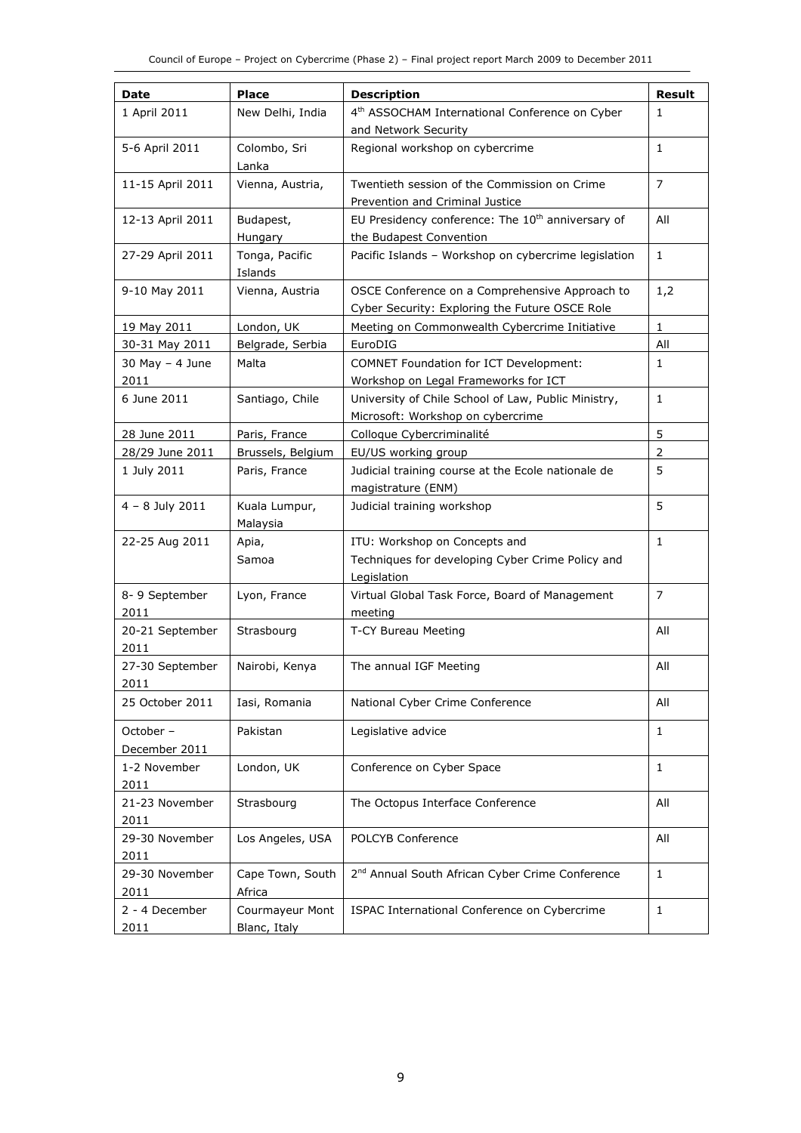| Date                    | <b>Place</b>      | <b>Description</b>                                            | <b>Result</b>  |
|-------------------------|-------------------|---------------------------------------------------------------|----------------|
| 1 April 2011            | New Delhi, India  | 4 <sup>th</sup> ASSOCHAM International Conference on Cyber    | $\mathbf{1}$   |
|                         |                   | and Network Security                                          |                |
| 5-6 April 2011          | Colombo, Sri      | Regional workshop on cybercrime                               | $\mathbf{1}$   |
|                         | Lanka             |                                                               |                |
| 11-15 April 2011        | Vienna, Austria,  | Twentieth session of the Commission on Crime                  | $\overline{7}$ |
|                         |                   | Prevention and Criminal Justice                               |                |
| 12-13 April 2011        | Budapest,         | EU Presidency conference: The 10 <sup>th</sup> anniversary of | All            |
|                         | Hungary           | the Budapest Convention                                       |                |
| 27-29 April 2011        | Tonga, Pacific    | Pacific Islands - Workshop on cybercrime legislation          | $\mathbf{1}$   |
|                         | Islands           |                                                               |                |
| 9-10 May 2011           | Vienna, Austria   | OSCE Conference on a Comprehensive Approach to                | 1,2            |
|                         |                   | Cyber Security: Exploring the Future OSCE Role                |                |
| 19 May 2011             | London, UK        | Meeting on Commonwealth Cybercrime Initiative                 | $\mathbf{1}$   |
| 30-31 May 2011          | Belgrade, Serbia  | EuroDIG                                                       | All            |
| $30$ May $-$ 4 June     | Malta             | <b>COMNET Foundation for ICT Development:</b>                 | $\mathbf{1}$   |
| 2011                    |                   | Workshop on Legal Frameworks for ICT                          |                |
| 6 June 2011             | Santiago, Chile   | University of Chile School of Law, Public Ministry,           | 1              |
|                         |                   | Microsoft: Workshop on cybercrime                             |                |
| 28 June 2011            | Paris, France     | Colloque Cybercriminalité                                     | 5              |
| 28/29 June 2011         | Brussels, Belgium | EU/US working group                                           | $\overline{2}$ |
| 1 July 2011             | Paris, France     | Judicial training course at the Ecole nationale de            | 5              |
|                         |                   | magistrature (ENM)                                            |                |
| $4 - 8$ July 2011       |                   |                                                               | 5              |
|                         | Kuala Lumpur,     | Judicial training workshop                                    |                |
|                         | Malaysia          |                                                               |                |
| 22-25 Aug 2011          | Apia,<br>Samoa    | ITU: Workshop on Concepts and                                 | $\mathbf{1}$   |
|                         |                   | Techniques for developing Cyber Crime Policy and              |                |
|                         |                   | Legislation                                                   | 7              |
| 8-9 September<br>2011   | Lyon, France      | Virtual Global Task Force, Board of Management<br>meeting     |                |
|                         |                   |                                                               | All            |
| 20-21 September<br>2011 | Strasbourg        | T-CY Bureau Meeting                                           |                |
| 27-30 September         |                   |                                                               | All            |
|                         | Nairobi, Kenya    | The annual IGF Meeting                                        |                |
| 2011                    |                   |                                                               |                |
| 25 October 2011         | Iasi, Romania     | National Cyber Crime Conference                               | All            |
| October -               | Pakistan          | Legislative advice                                            | 1              |
| December 2011           |                   |                                                               |                |
| 1-2 November            | London, UK        | Conference on Cyber Space                                     | $\mathbf{1}$   |
| 2011                    |                   |                                                               |                |
| 21-23 November          | Strasbourg        | The Octopus Interface Conference                              | All            |
| 2011                    |                   |                                                               |                |
| 29-30 November          | Los Angeles, USA  | POLCYB Conference                                             | All            |
| 2011                    |                   |                                                               |                |
| 29-30 November          | Cape Town, South  | 2 <sup>nd</sup> Annual South African Cyber Crime Conference   | $\mathbf{1}$   |
| 2011                    | Africa            |                                                               |                |
| 2 - 4 December          | Courmayeur Mont   | ISPAC International Conference on Cybercrime                  | $\mathbf{1}$   |
| 2011                    | Blanc, Italy      |                                                               |                |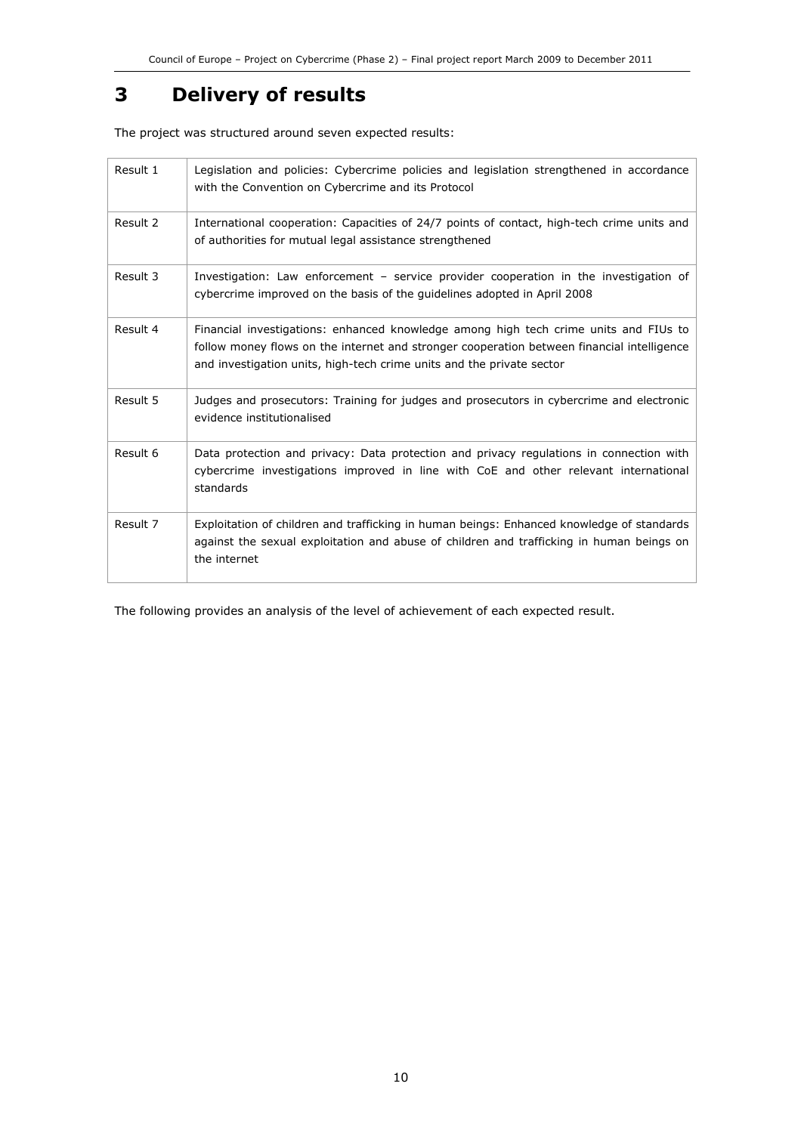## 3 Delivery of results

The project was structured around seven expected results:

| Result 1 | Legislation and policies: Cybercrime policies and legislation strengthened in accordance<br>with the Convention on Cybercrime and its Protocol                                                                                                              |
|----------|-------------------------------------------------------------------------------------------------------------------------------------------------------------------------------------------------------------------------------------------------------------|
| Result 2 | International cooperation: Capacities of 24/7 points of contact, high-tech crime units and<br>of authorities for mutual legal assistance strengthened                                                                                                       |
| Result 3 | Investigation: Law enforcement - service provider cooperation in the investigation of<br>cybercrime improved on the basis of the guidelines adopted in April 2008                                                                                           |
| Result 4 | Financial investigations: enhanced knowledge among high tech crime units and FIUs to<br>follow money flows on the internet and stronger cooperation between financial intelligence<br>and investigation units, high-tech crime units and the private sector |
| Result 5 | Judges and prosecutors: Training for judges and prosecutors in cybercrime and electronic<br>evidence institutionalised                                                                                                                                      |
| Result 6 | Data protection and privacy: Data protection and privacy regulations in connection with<br>cybercrime investigations improved in line with CoE and other relevant international<br>standards                                                                |
| Result 7 | Exploitation of children and trafficking in human beings: Enhanced knowledge of standards<br>against the sexual exploitation and abuse of children and trafficking in human beings on<br>the internet                                                       |

The following provides an analysis of the level of achievement of each expected result.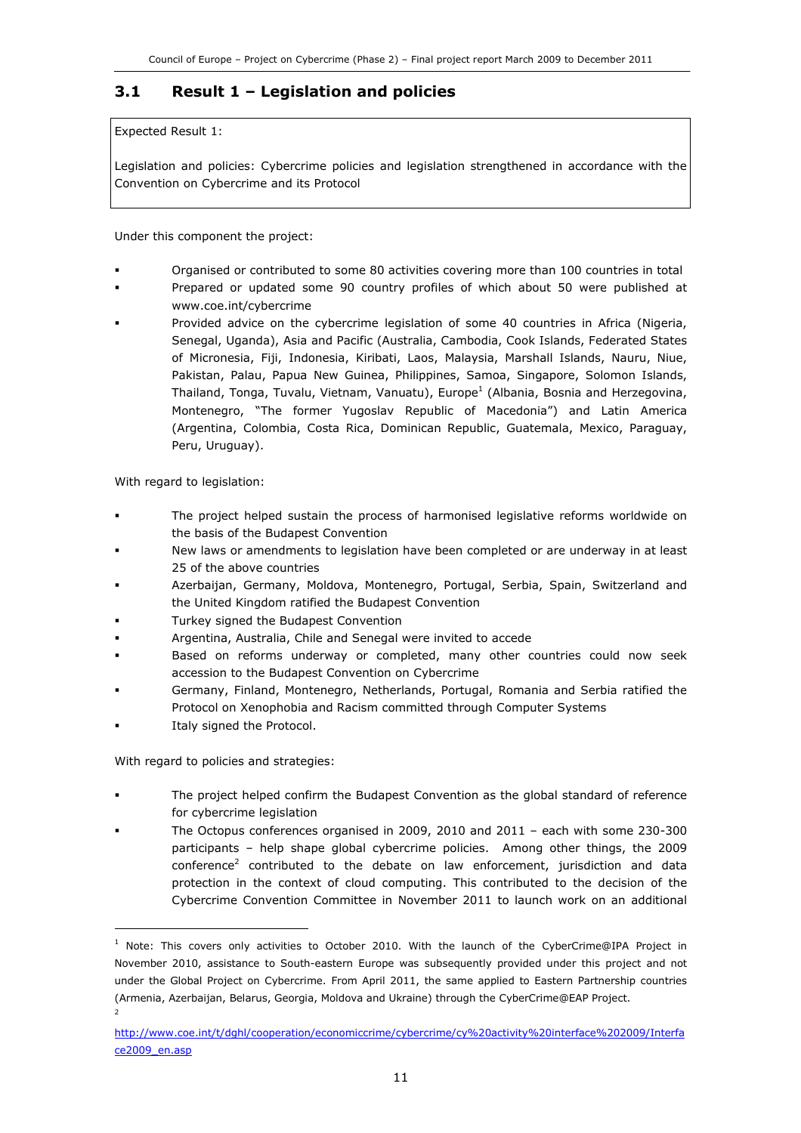### 3.1 Result 1 – Legislation and policies

Expected Result 1:

Legislation and policies: Cybercrime policies and legislation strengthened in accordance with the Convention on Cybercrime and its Protocol

Under this component the project:

- Organised or contributed to some 80 activities covering more than 100 countries in total
- Prepared or updated some 90 country profiles of which about 50 were published at www.coe.int/cybercrime
- Provided advice on the cybercrime legislation of some 40 countries in Africa (Nigeria, Senegal, Uganda), Asia and Pacific (Australia, Cambodia, Cook Islands, Federated States of Micronesia, Fiji, Indonesia, Kiribati, Laos, Malaysia, Marshall Islands, Nauru, Niue, Pakistan, Palau, Papua New Guinea, Philippines, Samoa, Singapore, Solomon Islands, Thailand, Tonga, Tuvalu, Vietnam, Vanuatu), Europe<sup>1</sup> (Albania, Bosnia and Herzegovina, Montenegro, "The former Yugoslav Republic of Macedonia") and Latin America (Argentina, Colombia, Costa Rica, Dominican Republic, Guatemala, Mexico, Paraguay, Peru, Uruguay).

With regard to legislation:

- The project helped sustain the process of harmonised legislative reforms worldwide on the basis of the Budapest Convention
- New laws or amendments to legislation have been completed or are underway in at least 25 of the above countries
- Azerbaijan, Germany, Moldova, Montenegro, Portugal, Serbia, Spain, Switzerland and the United Kingdom ratified the Budapest Convention
- Turkey signed the Budapest Convention
- Argentina, Australia, Chile and Senegal were invited to accede
- Based on reforms underway or completed, many other countries could now seek accession to the Budapest Convention on Cybercrime
- Germany, Finland, Montenegro, Netherlands, Portugal, Romania and Serbia ratified the Protocol on Xenophobia and Racism committed through Computer Systems
- Italy signed the Protocol.

j

2

With regard to policies and strategies:

- The project helped confirm the Budapest Convention as the global standard of reference for cybercrime legislation
- The Octopus conferences organised in 2009, 2010 and 2011 each with some 230-300 participants – help shape global cybercrime policies. Among other things, the 2009 conference<sup>2</sup> contributed to the debate on law enforcement, jurisdiction and data protection in the context of cloud computing. This contributed to the decision of the Cybercrime Convention Committee in November 2011 to launch work on an additional

<sup>&</sup>lt;sup>1</sup> Note: This covers only activities to October 2010. With the launch of the CyberCrime@IPA Project in November 2010, assistance to South-eastern Europe was subsequently provided under this project and not under the Global Project on Cybercrime. From April 2011, the same applied to Eastern Partnership countries (Armenia, Azerbaijan, Belarus, Georgia, Moldova and Ukraine) through the CyberCrime@EAP Project.

http://www.coe.int/t/dghl/cooperation/economiccrime/cybercrime/cy%20activity%20interface%202009/Interfa ce2009\_en.asp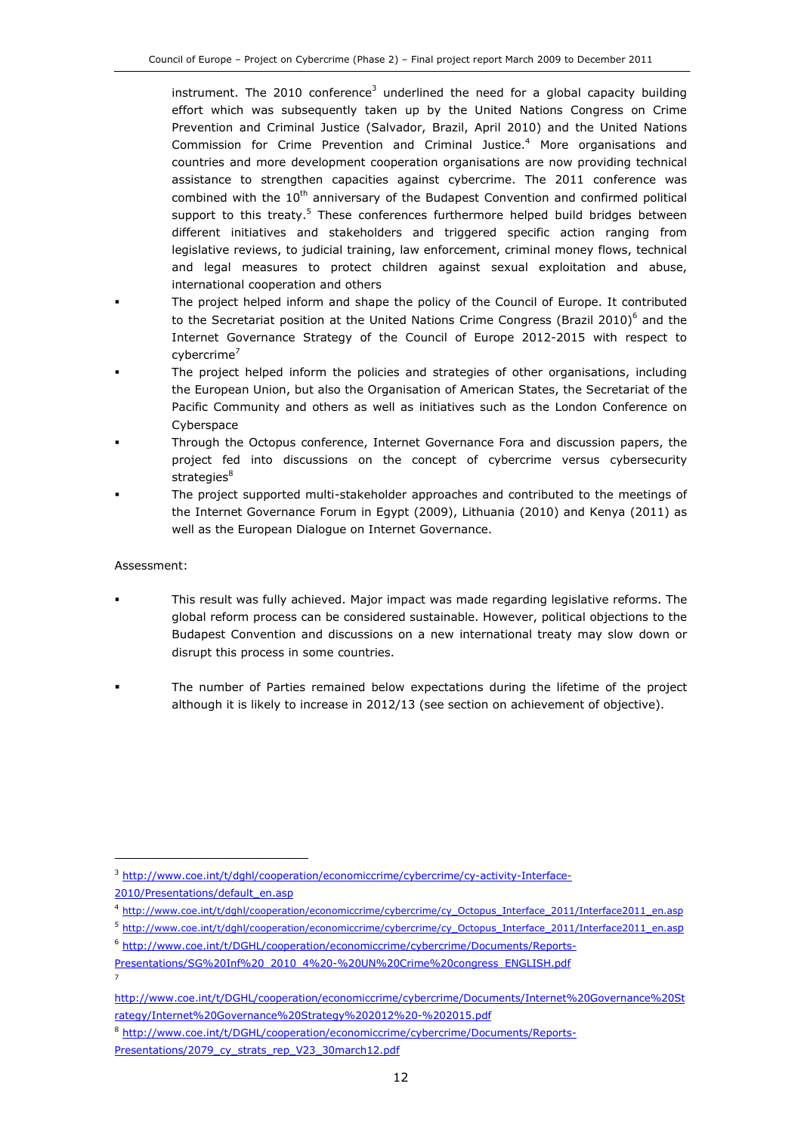instrument. The 2010 conference<sup>3</sup> underlined the need for a global capacity building effort which was subsequently taken up by the United Nations Congress on Crime Prevention and Criminal Justice (Salvador, Brazil, April 2010) and the United Nations Commission for Crime Prevention and Criminal Justice.<sup>4</sup> More organisations and countries and more development cooperation organisations are now providing technical assistance to strengthen capacities against cybercrime. The 2011 conference was combined with the  $10<sup>th</sup>$  anniversary of the Budapest Convention and confirmed political support to this treaty.<sup>5</sup> These conferences furthermore helped build bridges between different initiatives and stakeholders and triggered specific action ranging from legislative reviews, to judicial training, law enforcement, criminal money flows, technical and legal measures to protect children against sexual exploitation and abuse, international cooperation and others

- The project helped inform and shape the policy of the Council of Europe. It contributed to the Secretariat position at the United Nations Crime Congress (Brazil 2010) $^6$  and the Internet Governance Strategy of the Council of Europe 2012-2015 with respect to cybercrime<sup>7</sup>
- The project helped inform the policies and strategies of other organisations, including the European Union, but also the Organisation of American States, the Secretariat of the Pacific Community and others as well as initiatives such as the London Conference on Cyberspace
- Through the Octopus conference, Internet Governance Fora and discussion papers, the project fed into discussions on the concept of cybercrime versus cybersecurity strategies $8$
- The project supported multi-stakeholder approaches and contributed to the meetings of the Internet Governance Forum in Egypt (2009), Lithuania (2010) and Kenya (2011) as well as the European Dialogue on Internet Governance.

#### Assessment:

- This result was fully achieved. Major impact was made regarding legislative reforms. The global reform process can be considered sustainable. However, political objections to the Budapest Convention and discussions on a new international treaty may slow down or disrupt this process in some countries.
- The number of Parties remained below expectations during the lifetime of the project although it is likely to increase in 2012/13 (see section on achievement of objective).

1

7

<sup>6</sup> http://www.coe.int/t/DGHL/cooperation/economiccrime/cybercrime/Documents/Reports-

<sup>&</sup>lt;sup>3</sup> http://www.coe.int/t/dghl/cooperation/economiccrime/cybercrime/cy-activity-Interface-

<sup>2010/</sup>Presentations/default\_en.asp

<sup>4</sup> http://www.coe.int/t/dghl/cooperation/economiccrime/cybercrime/cy\_Octopus\_Interface\_2011/Interface2011\_en.asp

<sup>5</sup> http://www.coe.int/t/dghl/cooperation/economiccrime/cybercrime/cy\_Octopus\_Interface\_2011/Interface2011\_en.asp

Presentations/SG%20Inf%20\_2010\_4%20-%20UN%20Crime%20congress\_ENGLISH.pdf

http://www.coe.int/t/DGHL/cooperation/economiccrime/cybercrime/Documents/Internet%20Governance%20St rategy/Internet%20Governance%20Strategy%202012%20-%202015.pdf

<sup>8</sup> http://www.coe.int/t/DGHL/cooperation/economiccrime/cybercrime/Documents/Reports-

Presentations/2079\_cy\_strats\_rep\_V23\_30march12.pdf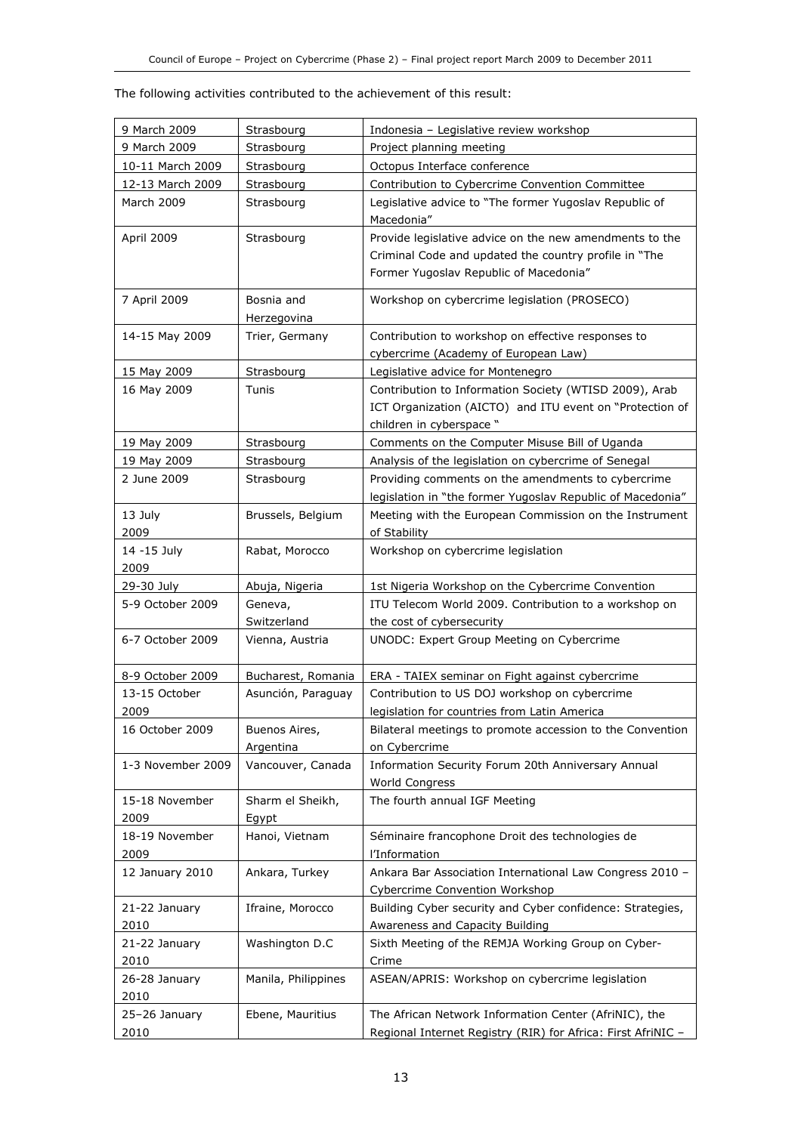|  |  |  |  | The following activities contributed to the achievement of this result: |  |  |
|--|--|--|--|-------------------------------------------------------------------------|--|--|
|--|--|--|--|-------------------------------------------------------------------------|--|--|

| 9 March 2009         | Strasbourg                 | Indonesia - Legislative review workshop                                                                                                                    |
|----------------------|----------------------------|------------------------------------------------------------------------------------------------------------------------------------------------------------|
| 9 March 2009         | Strasbourg                 | Project planning meeting                                                                                                                                   |
| 10-11 March 2009     | Strasbourg                 | Octopus Interface conference                                                                                                                               |
| 12-13 March 2009     | Strasbourg                 | Contribution to Cybercrime Convention Committee                                                                                                            |
| March 2009           | Strasbourg                 | Legislative advice to "The former Yugoslav Republic of<br>Macedonia"                                                                                       |
| April 2009           | Strasbourg                 | Provide legislative advice on the new amendments to the<br>Criminal Code and updated the country profile in "The<br>Former Yugoslav Republic of Macedonia" |
| 7 April 2009         | Bosnia and<br>Herzegovina  | Workshop on cybercrime legislation (PROSECO)                                                                                                               |
| 14-15 May 2009       | Trier, Germany             | Contribution to workshop on effective responses to<br>cybercrime (Academy of European Law)                                                                 |
| 15 May 2009          | Strasbourg                 | Legislative advice for Montenegro                                                                                                                          |
| 16 May 2009          | Tunis                      | Contribution to Information Society (WTISD 2009), Arab<br>ICT Organization (AICTO) and ITU event on "Protection of<br>children in cyberspace "             |
| 19 May 2009          | Strasbourg                 | Comments on the Computer Misuse Bill of Uganda                                                                                                             |
| 19 May 2009          | Strasbourg                 | Analysis of the legislation on cybercrime of Senegal                                                                                                       |
| 2 June 2009          | Strasbourg                 | Providing comments on the amendments to cybercrime                                                                                                         |
|                      |                            | legislation in "the former Yugoslav Republic of Macedonia"                                                                                                 |
| 13 July<br>2009      | Brussels, Belgium          | Meeting with the European Commission on the Instrument<br>of Stability                                                                                     |
| 14 - 15 July<br>2009 | Rabat, Morocco             | Workshop on cybercrime legislation                                                                                                                         |
| 29-30 July           | Abuja, Nigeria             | 1st Nigeria Workshop on the Cybercrime Convention                                                                                                          |
| 5-9 October 2009     | Geneva,                    | ITU Telecom World 2009. Contribution to a workshop on                                                                                                      |
|                      | Switzerland                | the cost of cybersecurity                                                                                                                                  |
| 6-7 October 2009     | Vienna, Austria            | UNODC: Expert Group Meeting on Cybercrime                                                                                                                  |
| 8-9 October 2009     | Bucharest, Romania         | ERA - TAIEX seminar on Fight against cybercrime                                                                                                            |
| 13-15 October        | Asunción, Paraguay         | Contribution to US DOJ workshop on cybercrime                                                                                                              |
| 2009                 |                            | legislation for countries from Latin America                                                                                                               |
| 16 October 2009      | Buenos Aires,<br>Argentina | Bilateral meetings to promote accession to the Convention<br>on Cybercrime                                                                                 |
| 1-3 November 2009    | Vancouver, Canada          | Information Security Forum 20th Anniversary Annual<br><b>World Congress</b>                                                                                |
| 15-18 November       | Sharm el Sheikh,           | The fourth annual IGF Meeting                                                                                                                              |
| 2009                 | Egypt                      |                                                                                                                                                            |
| 18-19 November       | Hanoi, Vietnam             | Séminaire francophone Droit des technologies de                                                                                                            |
| 2009                 |                            | l'Information                                                                                                                                              |
| 12 January 2010      | Ankara, Turkey             | Ankara Bar Association International Law Congress 2010 -<br><b>Cybercrime Convention Workshop</b>                                                          |
| 21-22 January        | Ifraine, Morocco           | Building Cyber security and Cyber confidence: Strategies,                                                                                                  |
| 2010                 |                            | Awareness and Capacity Building                                                                                                                            |
| 21-22 January        | Washington D.C             | Sixth Meeting of the REMJA Working Group on Cyber-                                                                                                         |
| 2010                 |                            | Crime                                                                                                                                                      |
| 26-28 January        | Manila, Philippines        | ASEAN/APRIS: Workshop on cybercrime legislation                                                                                                            |
| 2010                 |                            |                                                                                                                                                            |
| 25-26 January        | Ebene, Mauritius           | The African Network Information Center (AfriNIC), the                                                                                                      |
| 2010                 |                            | Regional Internet Registry (RIR) for Africa: First AfriNIC -                                                                                               |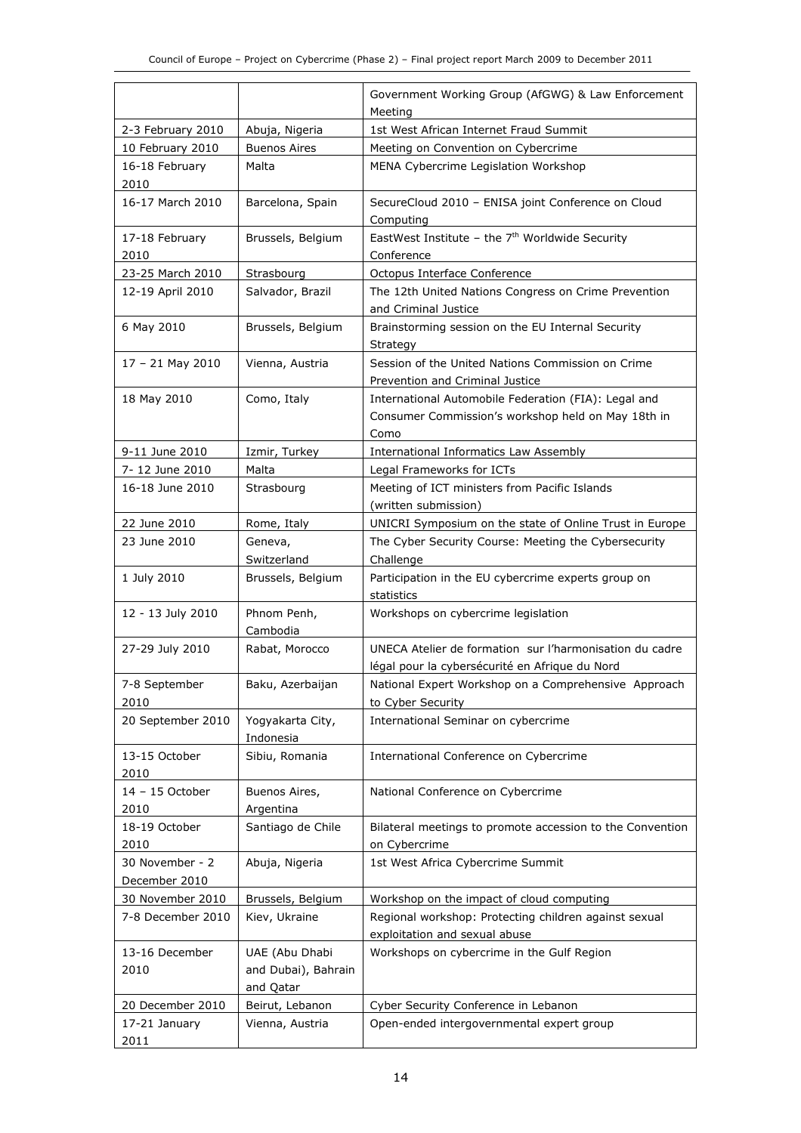|                                   |                                  | Government Working Group (AfGWG) & Law Enforcement                                     |
|-----------------------------------|----------------------------------|----------------------------------------------------------------------------------------|
|                                   |                                  | Meeting                                                                                |
| 2-3 February 2010                 | Abuja, Nigeria                   | 1st West African Internet Fraud Summit                                                 |
| 10 February 2010                  | <b>Buenos Aires</b>              | Meeting on Convention on Cybercrime                                                    |
| 16-18 February                    | Malta                            | MENA Cybercrime Legislation Workshop                                                   |
| 2010                              |                                  |                                                                                        |
| 16-17 March 2010                  | Barcelona, Spain                 | SecureCloud 2010 - ENISA joint Conference on Cloud                                     |
|                                   |                                  | Computing                                                                              |
| 17-18 February                    | Brussels, Belgium                | EastWest Institute - the $7th$ Worldwide Security                                      |
| 2010                              |                                  | Conference                                                                             |
| 23-25 March 2010                  | Strasbourg                       | Octopus Interface Conference                                                           |
| 12-19 April 2010                  | Salvador, Brazil                 | The 12th United Nations Congress on Crime Prevention<br>and Criminal Justice           |
| 6 May 2010                        | Brussels, Belgium                | Brainstorming session on the EU Internal Security                                      |
|                                   |                                  | Strategy                                                                               |
| 17 - 21 May 2010                  | Vienna, Austria                  | Session of the United Nations Commission on Crime                                      |
|                                   |                                  | Prevention and Criminal Justice                                                        |
| 18 May 2010                       | Como, Italy                      | International Automobile Federation (FIA): Legal and                                   |
|                                   |                                  | Consumer Commission's workshop held on May 18th in                                     |
|                                   |                                  | Como                                                                                   |
| 9-11 June 2010                    | Izmir, Turkey                    | <b>International Informatics Law Assembly</b>                                          |
| 7-12 June 2010                    | Malta                            | Legal Frameworks for ICTs                                                              |
| 16-18 June 2010                   | Strasbourg                       | Meeting of ICT ministers from Pacific Islands                                          |
|                                   |                                  | (written submission)                                                                   |
| 22 June 2010                      | Rome, Italy                      | UNICRI Symposium on the state of Online Trust in Europe                                |
| 23 June 2010                      | Geneva,                          | The Cyber Security Course: Meeting the Cybersecurity                                   |
|                                   | Switzerland                      | Challenge                                                                              |
| 1 July 2010                       | Brussels, Belgium                | Participation in the EU cybercrime experts group on                                    |
|                                   |                                  | statistics                                                                             |
| 12 - 13 July 2010                 | Phnom Penh,                      | Workshops on cybercrime legislation                                                    |
|                                   | Cambodia                         |                                                                                        |
| 27-29 July 2010                   | Rabat, Morocco                   | UNECA Atelier de formation sur l'harmonisation du cadre                                |
|                                   |                                  | légal pour la cybersécurité en Afrique du Nord                                         |
| 7-8 September                     | Baku, Azerbaijan                 | National Expert Workshop on a Comprehensive Approach                                   |
| 2010                              |                                  | to Cyber Security                                                                      |
| 20 September 2010                 | Yogyakarta City,                 | International Seminar on cybercrime                                                    |
| 13-15 October                     | Indonesia                        | International Conference on Cybercrime                                                 |
| 2010                              | Sibiu, Romania                   |                                                                                        |
| 14 - 15 October                   | Buenos Aires,                    | National Conference on Cybercrime                                                      |
| 2010                              | Argentina                        |                                                                                        |
| 18-19 October                     | Santiago de Chile                | Bilateral meetings to promote accession to the Convention                              |
| 2010                              |                                  | on Cybercrime                                                                          |
| 30 November - 2                   | Abuja, Nigeria                   | 1st West Africa Cybercrime Summit                                                      |
| December 2010                     |                                  |                                                                                        |
| 30 November 2010                  | Brussels, Belgium                | Workshop on the impact of cloud computing                                              |
| 7-8 December 2010                 | Kiev, Ukraine                    | Regional workshop: Protecting children against sexual<br>exploitation and sexual abuse |
| 13-16 December                    | UAE (Abu Dhabi                   |                                                                                        |
| 2010                              |                                  | Workshops on cybercrime in the Gulf Region                                             |
|                                   | and Dubai), Bahrain<br>and Qatar |                                                                                        |
|                                   | Beirut, Lebanon                  | Cyber Security Conference in Lebanon                                                   |
| 20 December 2010<br>17-21 January | Vienna, Austria                  | Open-ended intergovernmental expert group                                              |
| 2011                              |                                  |                                                                                        |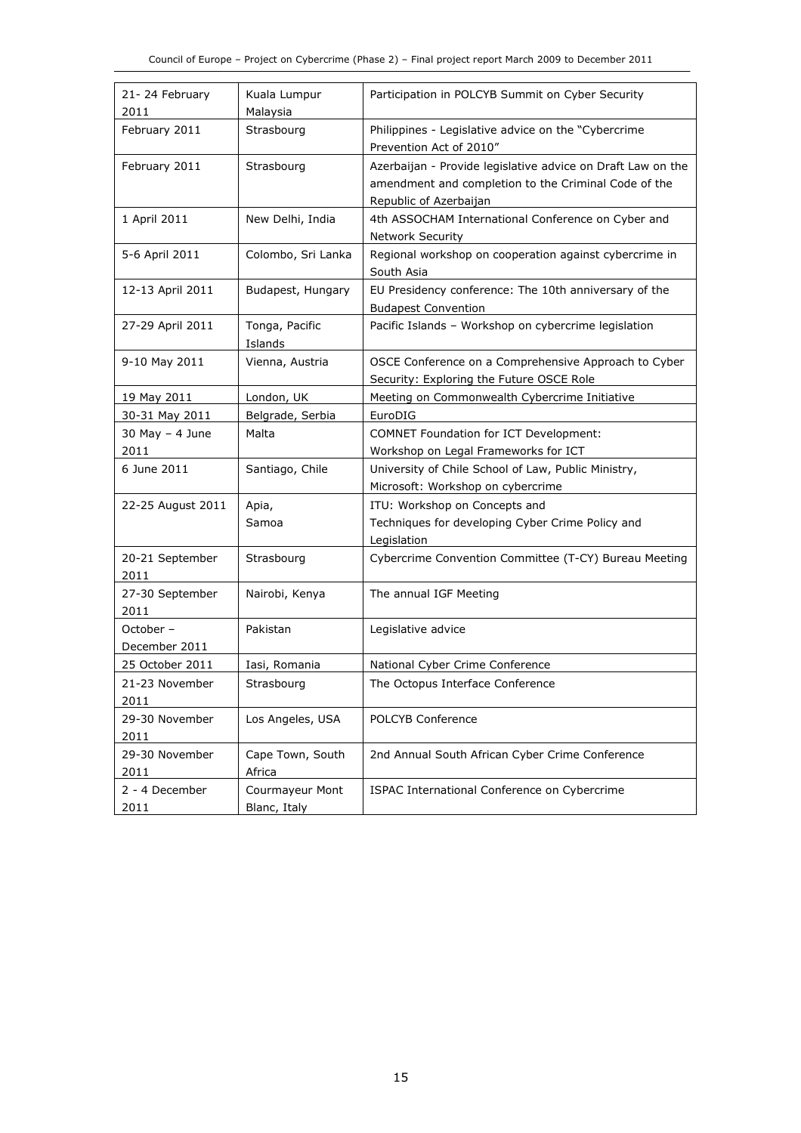| 21-24 February<br>2011     | Kuala Lumpur<br>Malaysia        | Participation in POLCYB Summit on Cyber Security                                                                                              |
|----------------------------|---------------------------------|-----------------------------------------------------------------------------------------------------------------------------------------------|
| February 2011              | Strasbourg                      | Philippines - Legislative advice on the "Cybercrime<br>Prevention Act of 2010"                                                                |
| February 2011              | Strasbourg                      | Azerbaijan - Provide legislative advice on Draft Law on the<br>amendment and completion to the Criminal Code of the<br>Republic of Azerbaijan |
| 1 April 2011               | New Delhi, India                | 4th ASSOCHAM International Conference on Cyber and<br><b>Network Security</b>                                                                 |
| 5-6 April 2011             | Colombo, Sri Lanka              | Regional workshop on cooperation against cybercrime in<br>South Asia                                                                          |
| 12-13 April 2011           | Budapest, Hungary               | EU Presidency conference: The 10th anniversary of the<br><b>Budapest Convention</b>                                                           |
| 27-29 April 2011           | Tonga, Pacific<br>Islands       | Pacific Islands - Workshop on cybercrime legislation                                                                                          |
| 9-10 May 2011              | Vienna, Austria                 | OSCE Conference on a Comprehensive Approach to Cyber<br>Security: Exploring the Future OSCE Role                                              |
| 19 May 2011                | London, UK                      | Meeting on Commonwealth Cybercrime Initiative                                                                                                 |
| 30-31 May 2011             | Belgrade, Serbia                | EuroDIG                                                                                                                                       |
| $30$ May $-$ 4 June        | Malta                           | <b>COMNET Foundation for ICT Development:</b>                                                                                                 |
| 2011                       |                                 | Workshop on Legal Frameworks for ICT                                                                                                          |
| 6 June 2011                | Santiago, Chile                 | University of Chile School of Law, Public Ministry,                                                                                           |
|                            |                                 | Microsoft: Workshop on cybercrime                                                                                                             |
| 22-25 August 2011          | Apia,                           | ITU: Workshop on Concepts and                                                                                                                 |
|                            | Samoa                           | Techniques for developing Cyber Crime Policy and<br>Legislation                                                                               |
| 20-21 September<br>2011    | Strasbourg                      | Cybercrime Convention Committee (T-CY) Bureau Meeting                                                                                         |
| 27-30 September<br>2011    | Nairobi, Kenya                  | The annual IGF Meeting                                                                                                                        |
| October -<br>December 2011 | Pakistan                        | Legislative advice                                                                                                                            |
| 25 October 2011            | Iasi, Romania                   | National Cyber Crime Conference                                                                                                               |
| 21-23 November             | Strasbourg                      | The Octopus Interface Conference                                                                                                              |
| 2011                       |                                 |                                                                                                                                               |
| 29-30 November<br>2011     | Los Angeles, USA                | <b>POLCYB Conference</b>                                                                                                                      |
| 29-30 November<br>2011     | Cape Town, South<br>Africa      | 2nd Annual South African Cyber Crime Conference                                                                                               |
| 2 - 4 December<br>2011     | Courmayeur Mont<br>Blanc, Italy | ISPAC International Conference on Cybercrime                                                                                                  |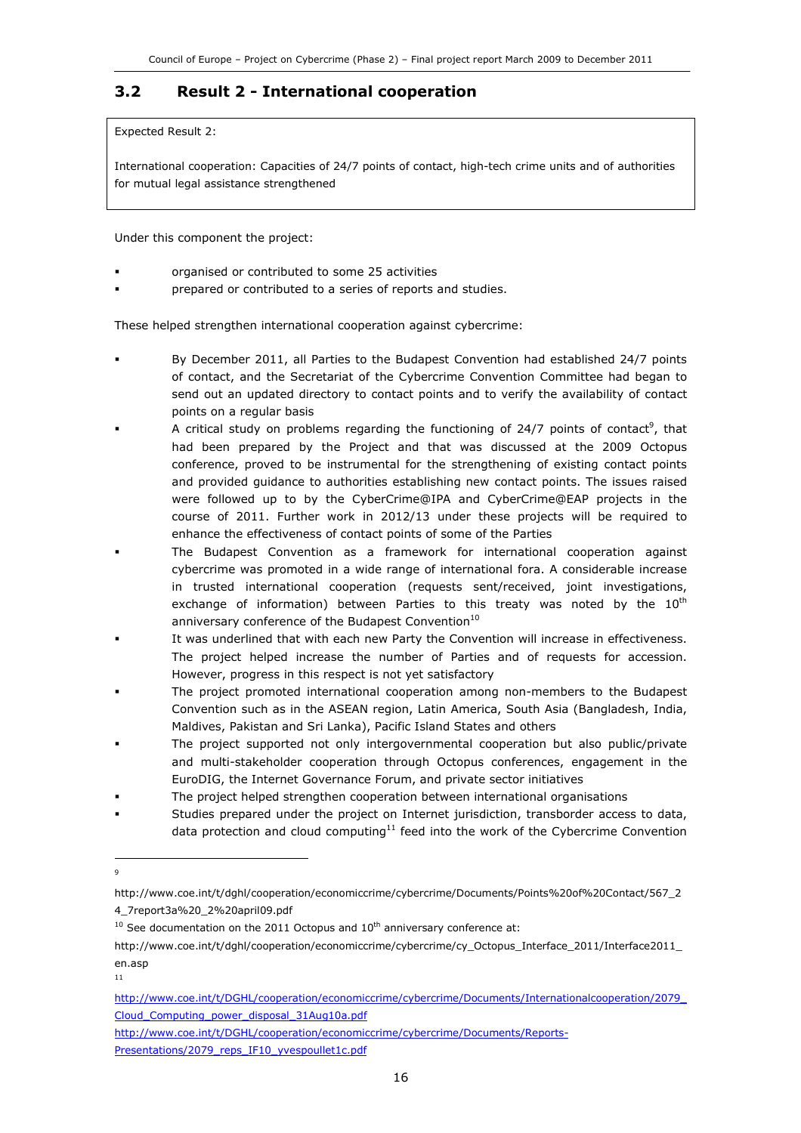### 3.2 Result 2 - International cooperation

Expected Result 2:

International cooperation: Capacities of 24/7 points of contact, high-tech crime units and of authorities for mutual legal assistance strengthened

Under this component the project:

- organised or contributed to some 25 activities
- prepared or contributed to a series of reports and studies.

These helped strengthen international cooperation against cybercrime:

- By December 2011, all Parties to the Budapest Convention had established 24/7 points of contact, and the Secretariat of the Cybercrime Convention Committee had began to send out an updated directory to contact points and to verify the availability of contact points on a regular basis
- A critical study on problems regarding the functioning of 24/7 points of contact<sup>9</sup>, that had been prepared by the Project and that was discussed at the 2009 Octopus conference, proved to be instrumental for the strengthening of existing contact points and provided guidance to authorities establishing new contact points. The issues raised were followed up to by the CyberCrime@IPA and CyberCrime@EAP projects in the course of 2011. Further work in 2012/13 under these projects will be required to enhance the effectiveness of contact points of some of the Parties
- The Budapest Convention as a framework for international cooperation against cybercrime was promoted in a wide range of international fora. A considerable increase in trusted international cooperation (requests sent/received, joint investigations, exchange of information) between Parties to this treaty was noted by the  $10^{th}$ anniversary conference of the Budapest Convention<sup>10</sup>
- It was underlined that with each new Party the Convention will increase in effectiveness. The project helped increase the number of Parties and of requests for accession. However, progress in this respect is not yet satisfactory
- The project promoted international cooperation among non-members to the Budapest Convention such as in the ASEAN region, Latin America, South Asia (Bangladesh, India, Maldives, Pakistan and Sri Lanka), Pacific Island States and others
- The project supported not only intergovernmental cooperation but also public/private and multi-stakeholder cooperation through Octopus conferences, engagement in the EuroDIG, the Internet Governance Forum, and private sector initiatives
- The project helped strengthen cooperation between international organisations
- Studies prepared under the project on Internet jurisdiction, transborder access to data, data protection and cloud computing $^{11}$  feed into the work of the Cybercrime Convention

<sup>1</sup> 9

http://www.coe.int/t/dghl/cooperation/economiccrime/cybercrime/Documents/Points%20of%20Contact/567\_2 4\_7report3a%20\_2%20april09.pdf

 $10$  See documentation on the 2011 Octopus and  $10<sup>th</sup>$  anniversary conference at:

http://www.coe.int/t/dghl/cooperation/economiccrime/cybercrime/cy\_Octopus\_Interface\_2011/Interface2011\_ en.asp

<sup>11</sup>

http://www.coe.int/t/DGHL/cooperation/economiccrime/cybercrime/Documents/Internationalcooperation/2079\_ Cloud\_Computing\_power\_disposal\_31Aug10a.pdf

http://www.coe.int/t/DGHL/cooperation/economiccrime/cybercrime/Documents/Reports-Presentations/2079\_reps\_IF10\_yvespoullet1c.pdf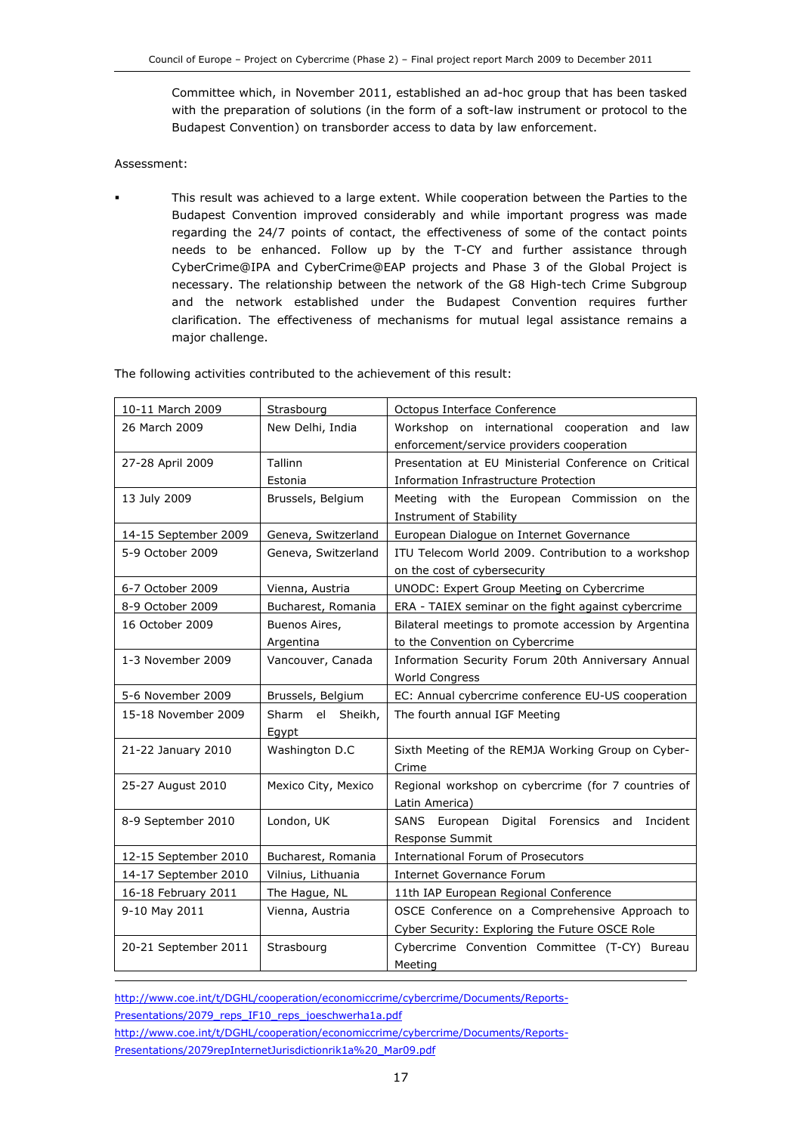Committee which, in November 2011, established an ad-hoc group that has been tasked with the preparation of solutions (in the form of a soft-law instrument or protocol to the Budapest Convention) on transborder access to data by law enforcement.

#### Assessment:

-

 This result was achieved to a large extent. While cooperation between the Parties to the Budapest Convention improved considerably and while important progress was made regarding the 24/7 points of contact, the effectiveness of some of the contact points needs to be enhanced. Follow up by the T-CY and further assistance through CyberCrime@IPA and CyberCrime@EAP projects and Phase 3 of the Global Project is necessary. The relationship between the network of the G8 High-tech Crime Subgroup and the network established under the Budapest Convention requires further clarification. The effectiveness of mechanisms for mutual legal assistance remains a major challenge.

The following activities contributed to the achievement of this result:

| 10-11 March 2009     | Strasbourg          | Octopus Interface Conference                          |
|----------------------|---------------------|-------------------------------------------------------|
| 26 March 2009        | New Delhi, India    | Workshop on international cooperation and law         |
|                      |                     | enforcement/service providers cooperation             |
| 27-28 April 2009     | Tallinn             | Presentation at EU Ministerial Conference on Critical |
|                      | Estonia             | Information Infrastructure Protection                 |
| 13 July 2009         | Brussels, Belgium   | Meeting with the European Commission on the           |
|                      |                     | Instrument of Stability                               |
| 14-15 September 2009 | Geneva, Switzerland | European Dialogue on Internet Governance              |
| 5-9 October 2009     | Geneva, Switzerland | ITU Telecom World 2009. Contribution to a workshop    |
|                      |                     | on the cost of cybersecurity                          |
| 6-7 October 2009     | Vienna, Austria     | UNODC: Expert Group Meeting on Cybercrime             |
| 8-9 October 2009     | Bucharest, Romania  | ERA - TAIEX seminar on the fight against cybercrime   |
| 16 October 2009      | Buenos Aires,       | Bilateral meetings to promote accession by Argentina  |
|                      | Argentina           | to the Convention on Cybercrime                       |
| 1-3 November 2009    | Vancouver, Canada   | Information Security Forum 20th Anniversary Annual    |
|                      |                     | <b>World Congress</b>                                 |
|                      |                     |                                                       |
| 5-6 November 2009    | Brussels, Belgium   | EC: Annual cybercrime conference EU-US cooperation    |
| 15-18 November 2009  | Sharm el Sheikh,    | The fourth annual IGF Meeting                         |
|                      | Egypt               |                                                       |
| 21-22 January 2010   | Washington D.C      | Sixth Meeting of the REMJA Working Group on Cyber-    |
|                      |                     | Crime                                                 |
| 25-27 August 2010    | Mexico City, Mexico | Regional workshop on cybercrime (for 7 countries of   |
|                      |                     | Latin America)                                        |
| 8-9 September 2010   | London, UK          | Digital Forensics and<br>SANS European<br>Incident    |
|                      |                     | Response Summit                                       |
| 12-15 September 2010 | Bucharest, Romania  | <b>International Forum of Prosecutors</b>             |
| 14-17 September 2010 | Vilnius, Lithuania  | <b>Internet Governance Forum</b>                      |
| 16-18 February 2011  | The Hague, NL       | 11th IAP European Regional Conference                 |
| 9-10 May 2011        | Vienna, Austria     | OSCE Conference on a Comprehensive Approach to        |
|                      |                     | Cyber Security: Exploring the Future OSCE Role        |
| 20-21 September 2011 | Strasbourg          | Cybercrime Convention Committee (T-CY) Bureau         |

http://www.coe.int/t/DGHL/cooperation/economiccrime/cybercrime/Documents/Reports-Presentations/2079\_reps\_IF10\_reps\_joeschwerha1a.pdf http://www.coe.int/t/DGHL/cooperation/economiccrime/cybercrime/Documents/Reports-Presentations/2079repInternetJurisdictionrik1a%20\_Mar09.pdf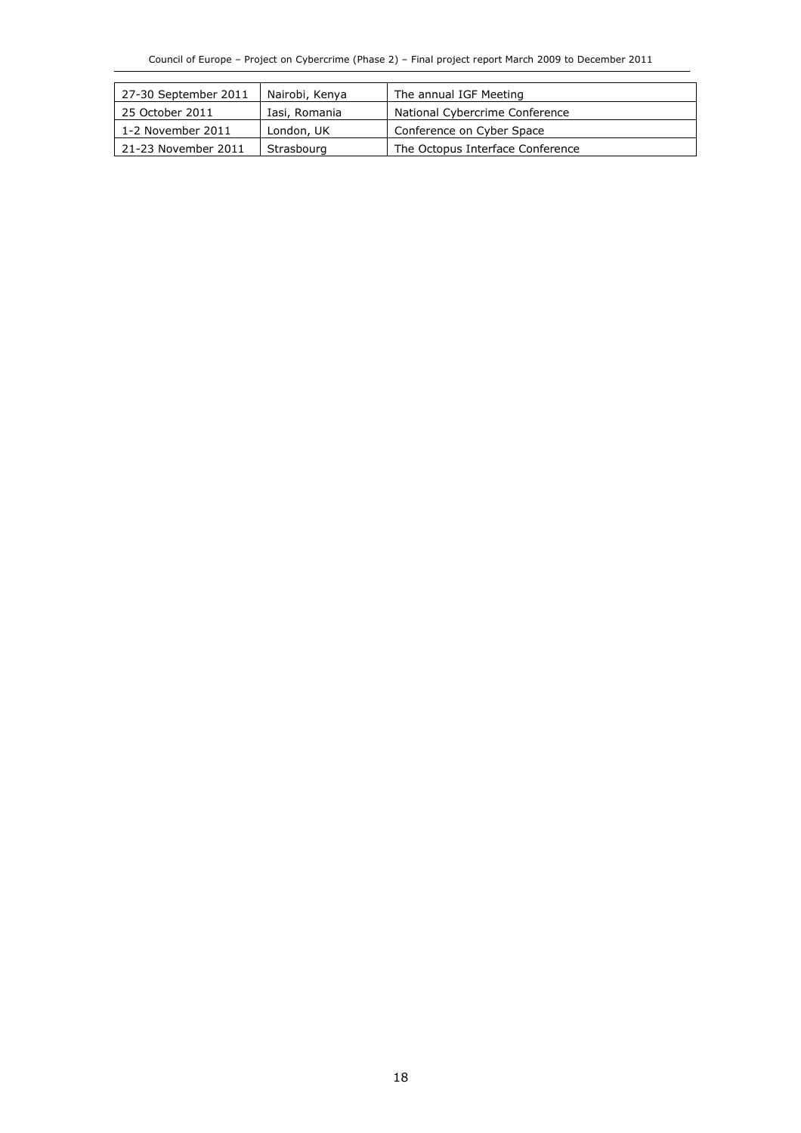| 27-30 September 2011 | The annual IGF Meeting<br>Nairobi, Kenya |                                  |
|----------------------|------------------------------------------|----------------------------------|
| 25 October 2011      | Iasi, Romania                            | National Cybercrime Conference   |
| 1-2 November 2011    | London, UK                               | Conference on Cyber Space        |
| 21-23 November 2011  | Strasbourg                               | The Octopus Interface Conference |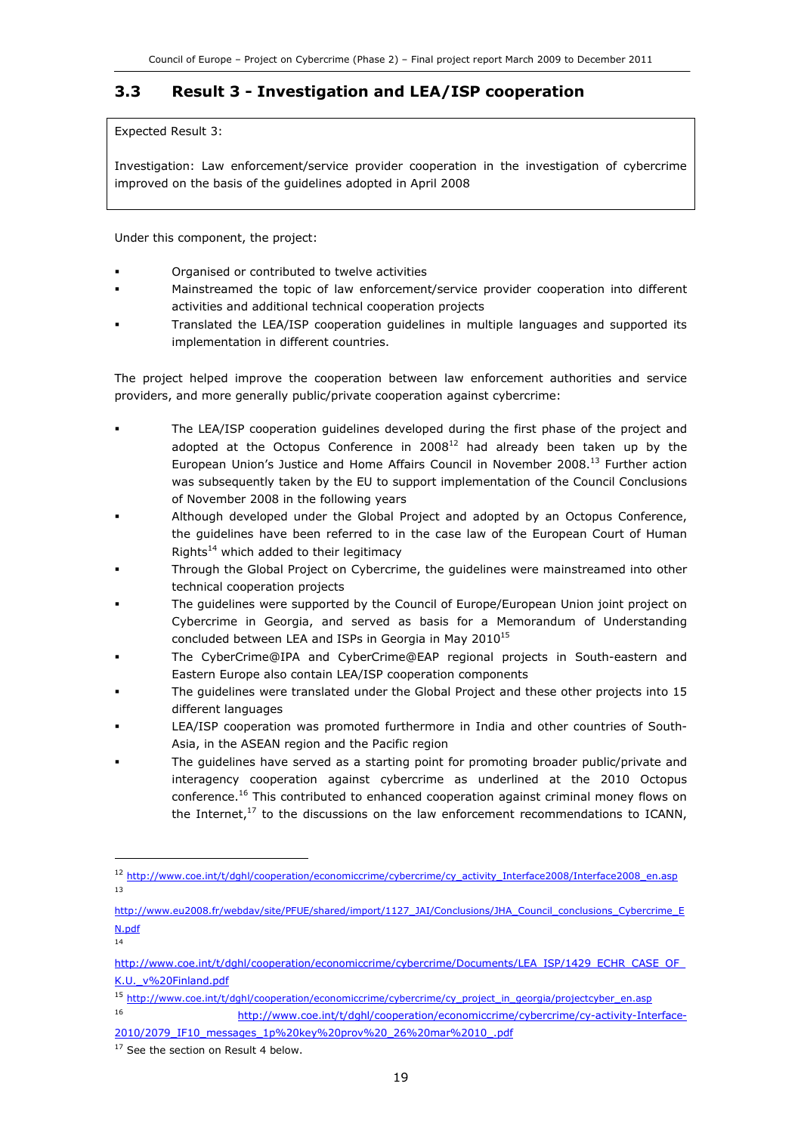### 3.3 Result 3 - Investigation and LEA/ISP cooperation

Expected Result 3:

Investigation: Law enforcement/service provider cooperation in the investigation of cybercrime improved on the basis of the guidelines adopted in April 2008

Under this component, the project:

- Organised or contributed to twelve activities
- Mainstreamed the topic of law enforcement/service provider cooperation into different activities and additional technical cooperation projects
- Translated the LEA/ISP cooperation guidelines in multiple languages and supported its implementation in different countries.

The project helped improve the cooperation between law enforcement authorities and service providers, and more generally public/private cooperation against cybercrime:

- The LEA/ISP cooperation guidelines developed during the first phase of the project and adopted at the Octopus Conference in  $2008^{12}$  had already been taken up by the European Union's Justice and Home Affairs Council in November 2008.<sup>13</sup> Further action was subsequently taken by the EU to support implementation of the Council Conclusions of November 2008 in the following years
- Although developed under the Global Project and adopted by an Octopus Conference, the guidelines have been referred to in the case law of the European Court of Human Rights $14$  which added to their legitimacy
- Through the Global Project on Cybercrime, the guidelines were mainstreamed into other technical cooperation projects
- The guidelines were supported by the Council of Europe/European Union joint project on Cybercrime in Georgia, and served as basis for a Memorandum of Understanding concluded between LEA and ISPs in Georgia in May 2010<sup>15</sup>
- The CyberCrime@IPA and CyberCrime@EAP regional projects in South-eastern and Eastern Europe also contain LEA/ISP cooperation components
- The guidelines were translated under the Global Project and these other projects into 15 different languages
- LEA/ISP cooperation was promoted furthermore in India and other countries of South-Asia, in the ASEAN region and the Pacific region
- The guidelines have served as a starting point for promoting broader public/private and interagency cooperation against cybercrime as underlined at the 2010 Octopus conference.<sup>16</sup> This contributed to enhanced cooperation against criminal money flows on the Internet, $17$  to the discussions on the law enforcement recommendations to ICANN,

1

14

<sup>12</sup> http://www.coe.int/t/dghl/cooperation/economiccrime/cybercrime/cy\_activity\_Interface2008/Interface2008\_en.asp 13

http://www.eu2008.fr/webdav/site/PFUE/shared/import/1127\_JAI/Conclusions/JHA\_Council\_conclusions\_Cybercrime\_E N.pdf

http://www.coe.int/t/dghl/cooperation/economiccrime/cybercrime/Documents/LEA\_ISP/1429\_ECHR\_CASE\_OF\_ K.U.\_v%20Finland.pdf

<sup>15</sup> http://www.coe.int/t/dghl/cooperation/economiccrime/cybercrime/cy\_project\_in\_georgia/projectcyber\_en.asp

<sup>16</sup> http://www.coe.int/t/dghl/cooperation/economiccrime/cybercrime/cy-activity-Interface-2010/2079\_IF10\_messages\_1p%20key%20prov%20\_26%20mar%2010\_.pdf

<sup>&</sup>lt;sup>17</sup> See the section on Result 4 below.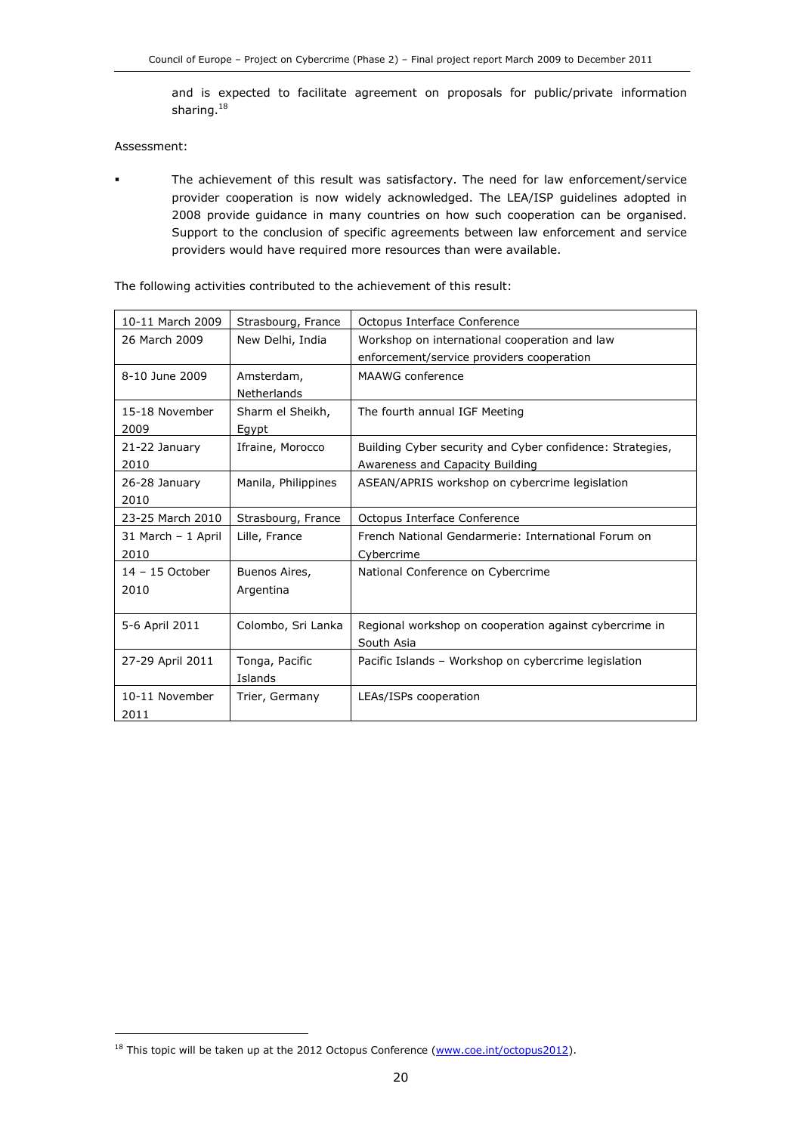and is expected to facilitate agreement on proposals for public/private information sharing.<sup>18</sup>

Assessment:

j

 The achievement of this result was satisfactory. The need for law enforcement/service provider cooperation is now widely acknowledged. The LEA/ISP guidelines adopted in 2008 provide guidance in many countries on how such cooperation can be organised. Support to the conclusion of specific agreements between law enforcement and service providers would have required more resources than were available.

| 10-11 March 2009   | Strasbourg, France  | Octopus Interface Conference                              |
|--------------------|---------------------|-----------------------------------------------------------|
| 26 March 2009      | New Delhi, India    | Workshop on international cooperation and law             |
|                    |                     | enforcement/service providers cooperation                 |
| 8-10 June 2009     | Amsterdam,          | MAAWG conference                                          |
|                    | <b>Netherlands</b>  |                                                           |
| 15-18 November     | Sharm el Sheikh,    | The fourth annual IGF Meeting                             |
| 2009               | Egypt               |                                                           |
| 21-22 January      | Ifraine, Morocco    | Building Cyber security and Cyber confidence: Strategies, |
| 2010               |                     | Awareness and Capacity Building                           |
| 26-28 January      | Manila, Philippines | ASEAN/APRIS workshop on cybercrime legislation            |
| 2010               |                     |                                                           |
| 23-25 March 2010   | Strasbourg, France  | Octopus Interface Conference                              |
| 31 March - 1 April | Lille, France       | French National Gendarmerie: International Forum on       |
| 2010               |                     | Cybercrime                                                |
| $14 - 15$ October  | Buenos Aires,       | National Conference on Cybercrime                         |
| 2010               | Argentina           |                                                           |
|                    |                     |                                                           |
| 5-6 April 2011     | Colombo, Sri Lanka  | Regional workshop on cooperation against cybercrime in    |
|                    |                     | South Asia                                                |
| 27-29 April 2011   | Tonga, Pacific      | Pacific Islands - Workshop on cybercrime legislation      |
|                    | Islands             |                                                           |
| 10-11 November     | Trier, Germany      | LEAs/ISPs cooperation                                     |
| 2011               |                     |                                                           |

The following activities contributed to the achievement of this result:

<sup>&</sup>lt;sup>18</sup> This topic will be taken up at the 2012 Octopus Conference (www.coe.int/octopus2012).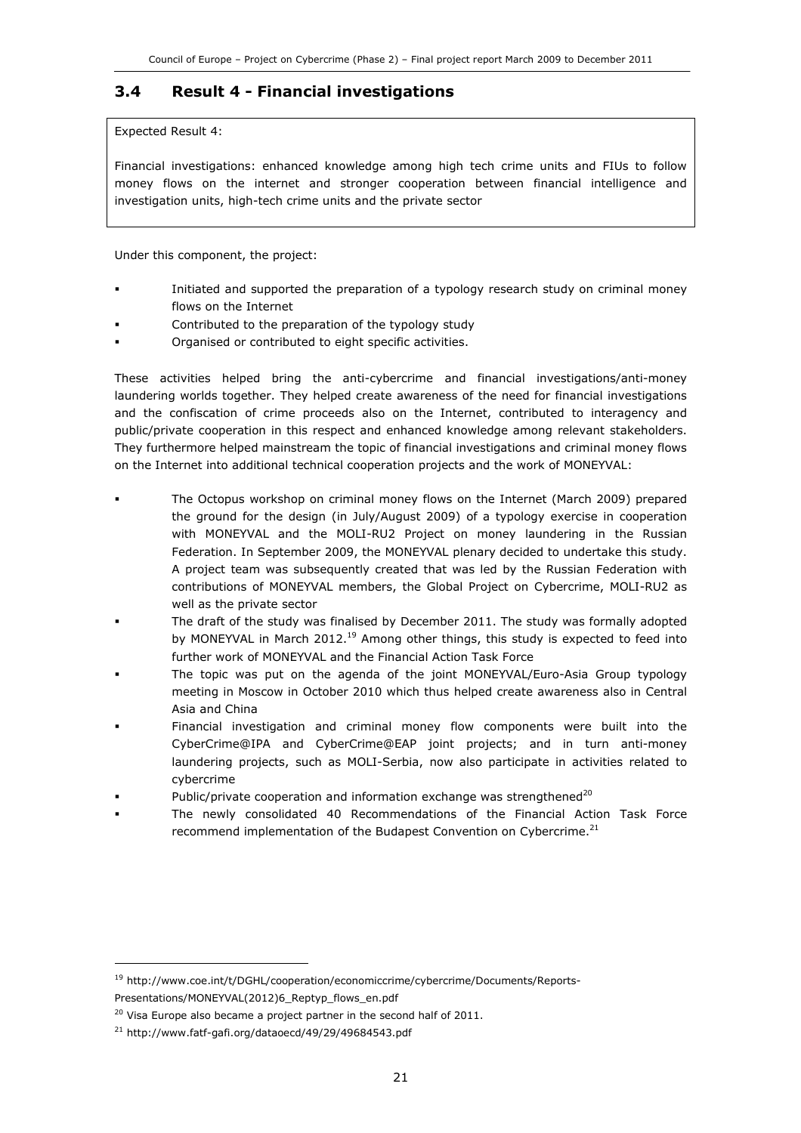### 3.4 Result 4 - Financial investigations

Expected Result 4:

Financial investigations: enhanced knowledge among high tech crime units and FIUs to follow money flows on the internet and stronger cooperation between financial intelligence and investigation units, high-tech crime units and the private sector

Under this component, the project:

- Initiated and supported the preparation of a typology research study on criminal money flows on the Internet
- Contributed to the preparation of the typology study
- Organised or contributed to eight specific activities.

These activities helped bring the anti-cybercrime and financial investigations/anti-money laundering worlds together. They helped create awareness of the need for financial investigations and the confiscation of crime proceeds also on the Internet, contributed to interagency and public/private cooperation in this respect and enhanced knowledge among relevant stakeholders. They furthermore helped mainstream the topic of financial investigations and criminal money flows on the Internet into additional technical cooperation projects and the work of MONEYVAL:

- The Octopus workshop on criminal money flows on the Internet (March 2009) prepared the ground for the design (in July/August 2009) of a typology exercise in cooperation with MONEYVAL and the MOLI-RU2 Project on money laundering in the Russian Federation. In September 2009, the MONEYVAL plenary decided to undertake this study. A project team was subsequently created that was led by the Russian Federation with contributions of MONEYVAL members, the Global Project on Cybercrime, MOLI-RU2 as well as the private sector
- The draft of the study was finalised by December 2011. The study was formally adopted by MONEYVAL in March 2012.<sup>19</sup> Among other things, this study is expected to feed into further work of MONEYVAL and the Financial Action Task Force
- The topic was put on the agenda of the joint MONEYVAL/Euro-Asia Group typology meeting in Moscow in October 2010 which thus helped create awareness also in Central Asia and China
- Financial investigation and criminal money flow components were built into the CyberCrime@IPA and CyberCrime@EAP joint projects; and in turn anti-money laundering projects, such as MOLI-Serbia, now also participate in activities related to cybercrime
- Public/private cooperation and information exchange was strengthened $20$
- The newly consolidated 40 Recommendations of the Financial Action Task Force recommend implementation of the Budapest Convention on Cybercrime.<sup>21</sup>

1

<sup>19</sup> http://www.coe.int/t/DGHL/cooperation/economiccrime/cybercrime/Documents/Reports-Presentations/MONEYVAL(2012)6\_Reptyp\_flows\_en.pdf

 $20$  Visa Europe also became a project partner in the second half of 2011.

<sup>21</sup> http://www.fatf-gafi.org/dataoecd/49/29/49684543.pdf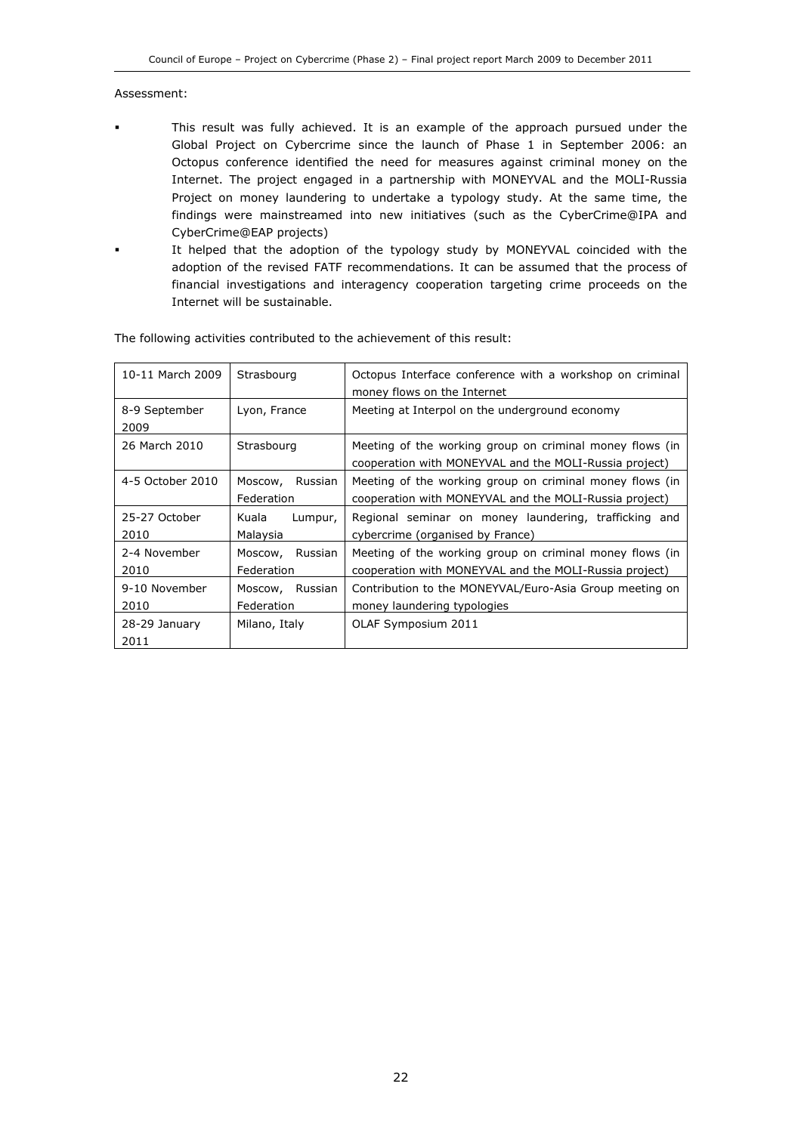#### Assessment:

- This result was fully achieved. It is an example of the approach pursued under the Global Project on Cybercrime since the launch of Phase 1 in September 2006: an Octopus conference identified the need for measures against criminal money on the Internet. The project engaged in a partnership with MONEYVAL and the MOLI-Russia Project on money laundering to undertake a typology study. At the same time, the findings were mainstreamed into new initiatives (such as the CyberCrime@IPA and CyberCrime@EAP projects) It helped that the adoption of the typology study by MONEYVAL coincided with the adoption of the revised FATF recommendations. It can be assumed that the process of
	- financial investigations and interagency cooperation targeting crime proceeds on the Internet will be sustainable.

| 10-11 March 2009      | Strasbourg                       | Octopus Interface conference with a workshop on criminal<br>money flows on the Internet                            |
|-----------------------|----------------------------------|--------------------------------------------------------------------------------------------------------------------|
| 8-9 September<br>2009 | Lyon, France                     | Meeting at Interpol on the underground economy                                                                     |
| 26 March 2010         | Strasbourg                       | Meeting of the working group on criminal money flows (in<br>cooperation with MONEYVAL and the MOLI-Russia project) |
| 4-5 October 2010      | Russian<br>Moscow,<br>Federation | Meeting of the working group on criminal money flows (in<br>cooperation with MONEYVAL and the MOLI-Russia project) |
| 25-27 October<br>2010 | Kuala<br>Lumpur,<br>Malaysia     | Regional seminar on money laundering, trafficking and<br>cybercrime (organised by France)                          |
| 2-4 November<br>2010  | Russian<br>Moscow,<br>Federation | Meeting of the working group on criminal money flows (in<br>cooperation with MONEYVAL and the MOLI-Russia project) |
| 9-10 November<br>2010 | Moscow, Russian<br>Federation    | Contribution to the MONEYVAL/Euro-Asia Group meeting on<br>money laundering typologies                             |
| 28-29 January<br>2011 | Milano, Italy                    | OLAF Symposium 2011                                                                                                |

The following activities contributed to the achievement of this result: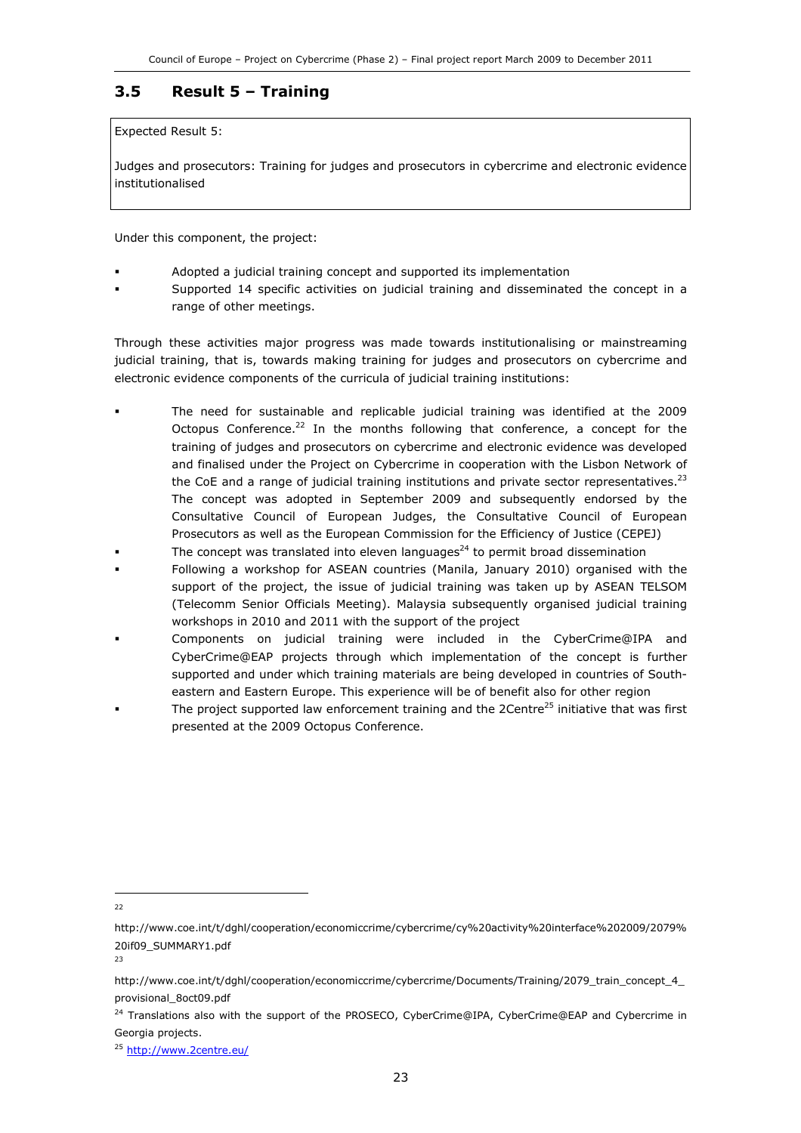### 3.5 Result 5 – Training

Expected Result 5:

Judges and prosecutors: Training for judges and prosecutors in cybercrime and electronic evidence institutionalised

Under this component, the project:

- Adopted a judicial training concept and supported its implementation
- Supported 14 specific activities on judicial training and disseminated the concept in a range of other meetings.

Through these activities major progress was made towards institutionalising or mainstreaming judicial training, that is, towards making training for judges and prosecutors on cybercrime and electronic evidence components of the curricula of judicial training institutions:

- The need for sustainable and replicable judicial training was identified at the 2009 Octopus Conference.<sup>22</sup> In the months following that conference, a concept for the training of judges and prosecutors on cybercrime and electronic evidence was developed and finalised under the Project on Cybercrime in cooperation with the Lisbon Network of the CoE and a range of judicial training institutions and private sector representatives.<sup>23</sup> The concept was adopted in September 2009 and subsequently endorsed by the Consultative Council of European Judges, the Consultative Council of European Prosecutors as well as the European Commission for the Efficiency of Justice (CEPEJ)
- The concept was translated into eleven languages $^{24}$  to permit broad dissemination
- Following a workshop for ASEAN countries (Manila, January 2010) organised with the support of the project, the issue of judicial training was taken up by ASEAN TELSOM (Telecomm Senior Officials Meeting). Malaysia subsequently organised judicial training workshops in 2010 and 2011 with the support of the project
- Components on judicial training were included in the CyberCrime@IPA and CyberCrime@EAP projects through which implementation of the concept is further supported and under which training materials are being developed in countries of Southeastern and Eastern Europe. This experience will be of benefit also for other region
- The project supported law enforcement training and the 2Centre<sup>25</sup> initiative that was first presented at the 2009 Octopus Conference.

<sup>1</sup> 22

http://www.coe.int/t/dghl/cooperation/economiccrime/cybercrime/cy%20activity%20interface%202009/2079% 20if09\_SUMMARY1.pdf

<sup>23</sup>

http://www.coe.int/t/dghl/cooperation/economiccrime/cybercrime/Documents/Training/2079\_train\_concept\_4\_ provisional\_8oct09.pdf

<sup>&</sup>lt;sup>24</sup> Translations also with the support of the PROSECO, CyberCrime@IPA, CyberCrime@EAP and Cybercrime in Georgia projects.

<sup>&</sup>lt;sup>25</sup> http://www.2centre.eu/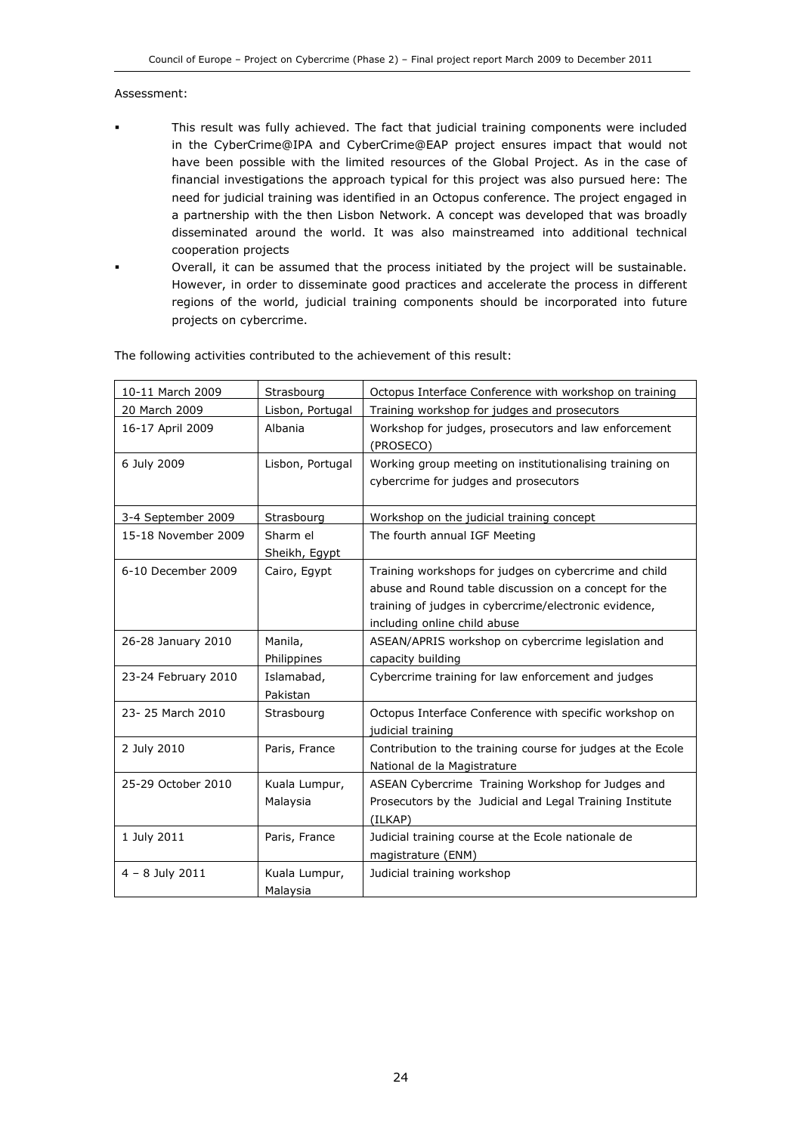#### Assessment:

- This result was fully achieved. The fact that judicial training components were included in the CyberCrime@IPA and CyberCrime@EAP project ensures impact that would not have been possible with the limited resources of the Global Project. As in the case of financial investigations the approach typical for this project was also pursued here: The need for judicial training was identified in an Octopus conference. The project engaged in a partnership with the then Lisbon Network. A concept was developed that was broadly disseminated around the world. It was also mainstreamed into additional technical cooperation projects
	- Overall, it can be assumed that the process initiated by the project will be sustainable. However, in order to disseminate good practices and accelerate the process in different regions of the world, judicial training components should be incorporated into future projects on cybercrime.

| 10-11 March 2009    | Strasbourg                | Octopus Interface Conference with workshop on training                                                                                                                                                  |
|---------------------|---------------------------|---------------------------------------------------------------------------------------------------------------------------------------------------------------------------------------------------------|
| 20 March 2009       | Lisbon, Portugal          | Training workshop for judges and prosecutors                                                                                                                                                            |
| 16-17 April 2009    | Albania                   | Workshop for judges, prosecutors and law enforcement<br>(PROSECO)                                                                                                                                       |
| 6 July 2009         | Lisbon, Portugal          | Working group meeting on institutionalising training on<br>cybercrime for judges and prosecutors                                                                                                        |
| 3-4 September 2009  | Strasbourg                | Workshop on the judicial training concept                                                                                                                                                               |
| 15-18 November 2009 | Sharm el<br>Sheikh, Egypt | The fourth annual IGF Meeting                                                                                                                                                                           |
| 6-10 December 2009  | Cairo, Egypt              | Training workshops for judges on cybercrime and child<br>abuse and Round table discussion on a concept for the<br>training of judges in cybercrime/electronic evidence,<br>including online child abuse |
| 26-28 January 2010  | Manila,<br>Philippines    | ASEAN/APRIS workshop on cybercrime legislation and<br>capacity building                                                                                                                                 |
| 23-24 February 2010 | Islamabad,<br>Pakistan    | Cybercrime training for law enforcement and judges                                                                                                                                                      |
| 23-25 March 2010    | Strasbourg                | Octopus Interface Conference with specific workshop on<br>judicial training                                                                                                                             |
| 2 July 2010         | Paris, France             | Contribution to the training course for judges at the Ecole<br>National de la Magistrature                                                                                                              |
| 25-29 October 2010  | Kuala Lumpur,<br>Malaysia | ASEAN Cybercrime Training Workshop for Judges and<br>Prosecutors by the Judicial and Legal Training Institute<br>(ILKAP)                                                                                |
| 1 July 2011         | Paris, France             | Judicial training course at the Ecole nationale de<br>magistrature (ENM)                                                                                                                                |
| $4 - 8$ July 2011   | Kuala Lumpur,<br>Malaysia | Judicial training workshop                                                                                                                                                                              |

The following activities contributed to the achievement of this result: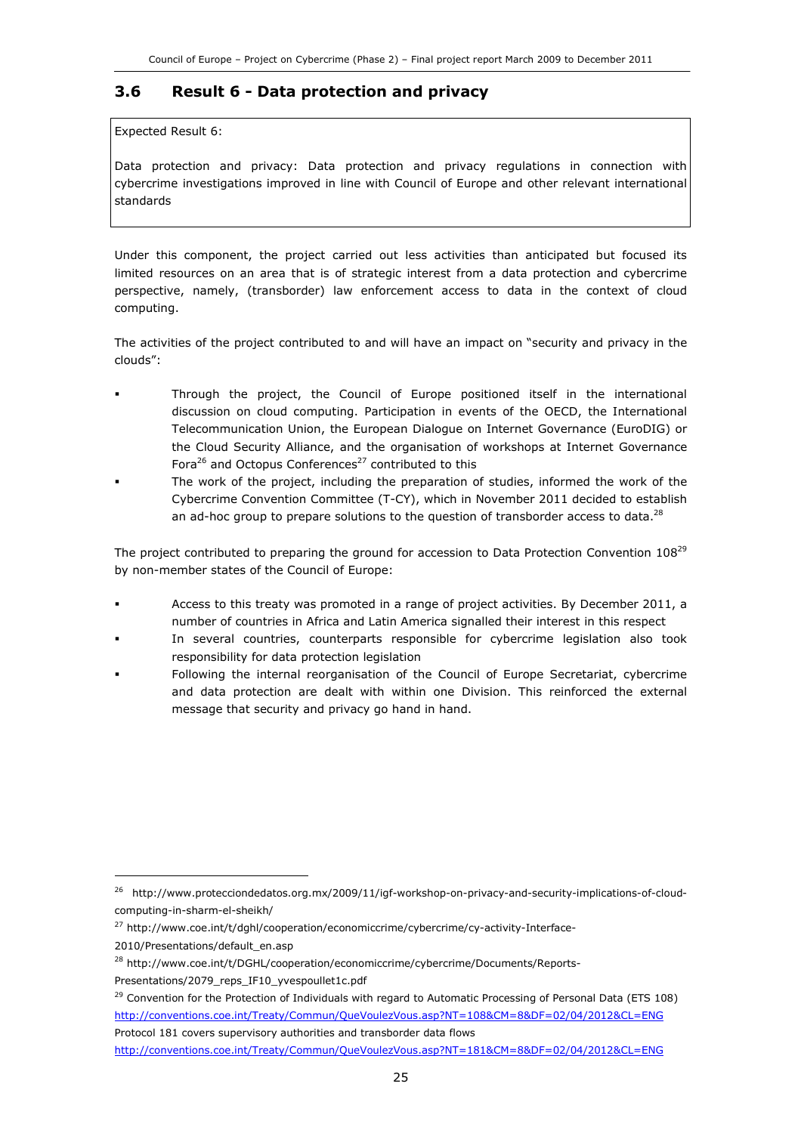### 3.6 Result 6 - Data protection and privacy

Expected Result 6:

Data protection and privacy: Data protection and privacy regulations in connection with cybercrime investigations improved in line with Council of Europe and other relevant international standards

Under this component, the project carried out less activities than anticipated but focused its limited resources on an area that is of strategic interest from a data protection and cybercrime perspective, namely, (transborder) law enforcement access to data in the context of cloud computing.

The activities of the project contributed to and will have an impact on "security and privacy in the clouds":

- Through the project, the Council of Europe positioned itself in the international discussion on cloud computing. Participation in events of the OECD, the International Telecommunication Union, the European Dialogue on Internet Governance (EuroDIG) or the Cloud Security Alliance, and the organisation of workshops at Internet Governance Fora<sup>26</sup> and Octopus Conferences<sup>27</sup> contributed to this
- The work of the project, including the preparation of studies, informed the work of the Cybercrime Convention Committee (T-CY), which in November 2011 decided to establish an ad-hoc group to prepare solutions to the question of transborder access to data.<sup>28</sup>

The project contributed to preparing the ground for accession to Data Protection Convention 108<sup>29</sup> by non-member states of the Council of Europe:

- Access to this treaty was promoted in a range of project activities. By December 2011, a number of countries in Africa and Latin America signalled their interest in this respect
- In several countries, counterparts responsible for cybercrime legislation also took responsibility for data protection legislation
- Following the internal reorganisation of the Council of Europe Secretariat, cybercrime and data protection are dealt with within one Division. This reinforced the external message that security and privacy go hand in hand.

<sup>27</sup> http://www.coe.int/t/dghl/cooperation/economiccrime/cybercrime/cy-activity-Interface-

j

<sup>26</sup> http://www.protecciondedatos.org.mx/2009/11/igf-workshop-on-privacy-and-security-implications-of-cloudcomputing-in-sharm-el-sheikh/

<sup>2010/</sup>Presentations/default\_en.asp

<sup>28</sup> http://www.coe.int/t/DGHL/cooperation/economiccrime/cybercrime/Documents/Reports-Presentations/2079\_reps\_IF10\_yvespoullet1c.pdf

 $^{29}$  Convention for the Protection of Individuals with regard to Automatic Processing of Personal Data (ETS 108) http://conventions.coe.int/Treaty/Commun/QueVoulezVous.asp?NT=108&CM=8&DF=02/04/2012&CL=ENG Protocol 181 covers supervisory authorities and transborder data flows

http://conventions.coe.int/Treaty/Commun/QueVoulezVous.asp?NT=181&CM=8&DF=02/04/2012&CL=ENG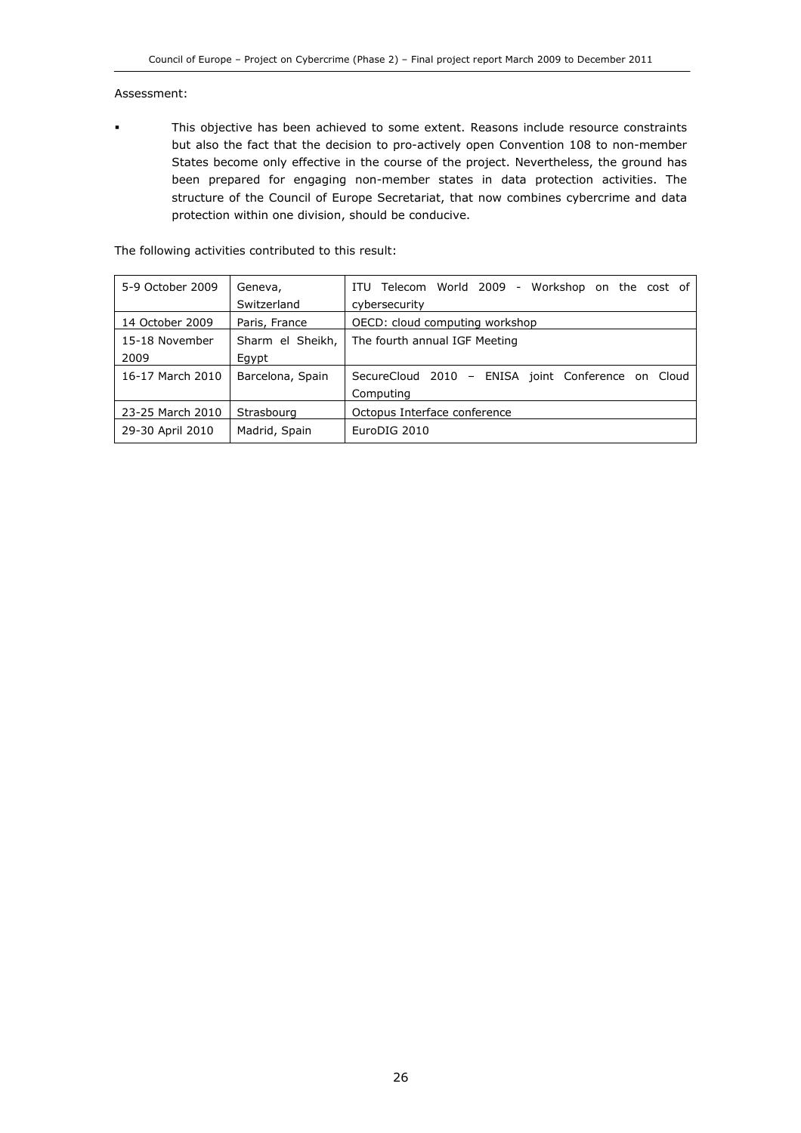#### Assessment:

 This objective has been achieved to some extent. Reasons include resource constraints but also the fact that the decision to pro-actively open Convention 108 to non-member States become only effective in the course of the project. Nevertheless, the ground has been prepared for engaging non-member states in data protection activities. The structure of the Council of Europe Secretariat, that now combines cybercrime and data protection within one division, should be conducive.

The following activities contributed to this result:

| 5-9 October 2009 | Geneva,          | ITU Telecom World 2009 - Workshop on the cost of   |  |
|------------------|------------------|----------------------------------------------------|--|
|                  | Switzerland      | cybersecurity                                      |  |
| 14 October 2009  | Paris, France    | OECD: cloud computing workshop                     |  |
| 15-18 November   | Sharm el Sheikh, | The fourth annual IGF Meeting                      |  |
| 2009             | Egypt            |                                                    |  |
| 16-17 March 2010 | Barcelona, Spain | SecureCloud 2010 - ENISA joint Conference on Cloud |  |
|                  |                  | Computing                                          |  |
| 23-25 March 2010 | Strasbourg       | Octopus Interface conference                       |  |
| 29-30 April 2010 | Madrid, Spain    | EuroDIG 2010                                       |  |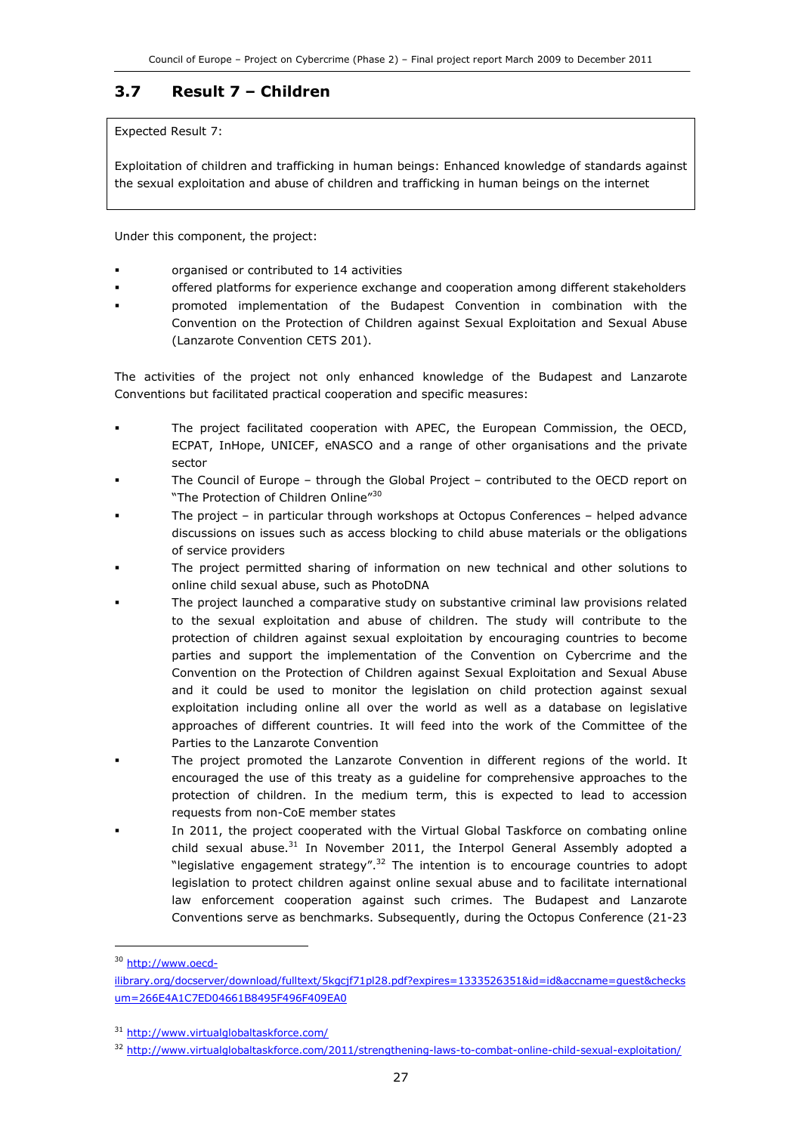### 3.7 Result 7 – Children

Expected Result 7:

Exploitation of children and trafficking in human beings: Enhanced knowledge of standards against the sexual exploitation and abuse of children and trafficking in human beings on the internet

Under this component, the project:

- organised or contributed to 14 activities
- offered platforms for experience exchange and cooperation among different stakeholders
- promoted implementation of the Budapest Convention in combination with the Convention on the Protection of Children against Sexual Exploitation and Sexual Abuse (Lanzarote Convention CETS 201).

The activities of the project not only enhanced knowledge of the Budapest and Lanzarote Conventions but facilitated practical cooperation and specific measures:

- The project facilitated cooperation with APEC, the European Commission, the OECD, ECPAT, InHope, UNICEF, eNASCO and a range of other organisations and the private sector
- The Council of Europe through the Global Project contributed to the OECD report on "The Protection of Children Online"<sup>30</sup>
- The project in particular through workshops at Octopus Conferences helped advance discussions on issues such as access blocking to child abuse materials or the obligations of service providers
- The project permitted sharing of information on new technical and other solutions to online child sexual abuse, such as PhotoDNA
- The project launched a comparative study on substantive criminal law provisions related to the sexual exploitation and abuse of children. The study will contribute to the protection of children against sexual exploitation by encouraging countries to become parties and support the implementation of the Convention on Cybercrime and the Convention on the Protection of Children against Sexual Exploitation and Sexual Abuse and it could be used to monitor the legislation on child protection against sexual exploitation including online all over the world as well as a database on legislative approaches of different countries. It will feed into the work of the Committee of the Parties to the Lanzarote Convention
- The project promoted the Lanzarote Convention in different regions of the world. It encouraged the use of this treaty as a guideline for comprehensive approaches to the protection of children. In the medium term, this is expected to lead to accession requests from non-CoE member states
- In 2011, the project cooperated with the Virtual Global Taskforce on combating online child sexual abuse. $31$  In November 2011, the Interpol General Assembly adopted a "legislative engagement strategy".<sup>32</sup> The intention is to encourage countries to adopt legislation to protect children against online sexual abuse and to facilitate international law enforcement cooperation against such crimes. The Budapest and Lanzarote Conventions serve as benchmarks. Subsequently, during the Octopus Conference (21-23

1

<sup>&</sup>lt;sup>30</sup> http://www.oecd-

ilibrary.org/docserver/download/fulltext/5kgcjf71pl28.pdf?expires=1333526351&id=id&accname=guest&checks um=266E4A1C7ED04661B8495F496F409EA0

<sup>31</sup> http://www.virtualglobaltaskforce.com/

<sup>32</sup> http://www.virtualglobaltaskforce.com/2011/strengthening-laws-to-combat-online-child-sexual-exploitation/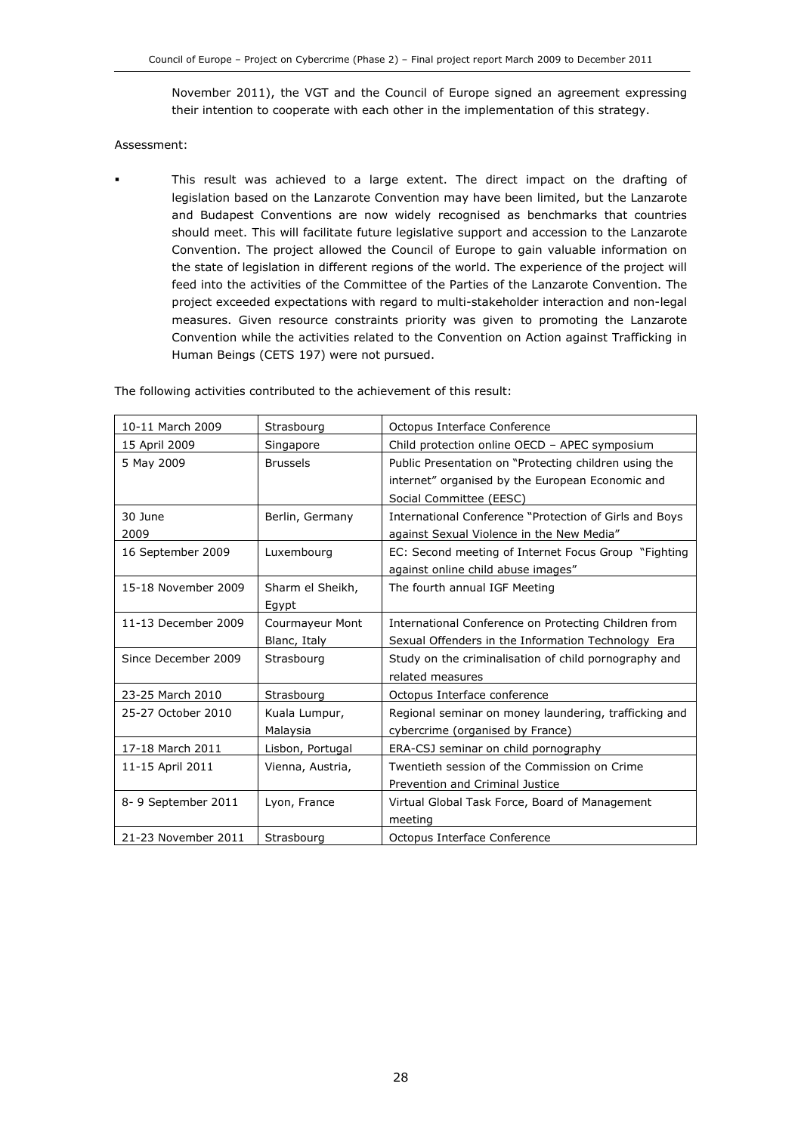November 2011), the VGT and the Council of Europe signed an agreement expressing their intention to cooperate with each other in the implementation of this strategy.

#### Assessment:

 This result was achieved to a large extent. The direct impact on the drafting of legislation based on the Lanzarote Convention may have been limited, but the Lanzarote and Budapest Conventions are now widely recognised as benchmarks that countries should meet. This will facilitate future legislative support and accession to the Lanzarote Convention. The project allowed the Council of Europe to gain valuable information on the state of legislation in different regions of the world. The experience of the project will feed into the activities of the Committee of the Parties of the Lanzarote Convention. The project exceeded expectations with regard to multi-stakeholder interaction and non-legal measures. Given resource constraints priority was given to promoting the Lanzarote Convention while the activities related to the Convention on Action against Trafficking in Human Beings (CETS 197) were not pursued.

| 10-11 March 2009    | Strasbourg                      | Octopus Interface Conference                                                                                                         |  |
|---------------------|---------------------------------|--------------------------------------------------------------------------------------------------------------------------------------|--|
| 15 April 2009       | Singapore                       | Child protection online OECD - APEC symposium                                                                                        |  |
| 5 May 2009          | <b>Brussels</b>                 | Public Presentation on "Protecting children using the<br>internet" organised by the European Economic and<br>Social Committee (EESC) |  |
| 30 June<br>2009     | Berlin, Germany                 | International Conference "Protection of Girls and Boys<br>against Sexual Violence in the New Media"                                  |  |
| 16 September 2009   | Luxembourg                      | EC: Second meeting of Internet Focus Group "Fighting<br>against online child abuse images"                                           |  |
| 15-18 November 2009 | Sharm el Sheikh,<br>Egypt       | The fourth annual IGF Meeting                                                                                                        |  |
| 11-13 December 2009 | Courmayeur Mont<br>Blanc, Italy | International Conference on Protecting Children from<br>Sexual Offenders in the Information Technology Era                           |  |
| Since December 2009 | Strasbourg                      | Study on the criminalisation of child pornography and<br>related measures                                                            |  |
| 23-25 March 2010    | Strasbourg                      | Octopus Interface conference                                                                                                         |  |
| 25-27 October 2010  | Kuala Lumpur,<br>Malaysia       | Regional seminar on money laundering, trafficking and<br>cybercrime (organised by France)                                            |  |
| 17-18 March 2011    | Lisbon, Portugal                | ERA-CSJ seminar on child pornography                                                                                                 |  |
| 11-15 April 2011    | Vienna, Austria,                | Twentieth session of the Commission on Crime<br>Prevention and Criminal Justice                                                      |  |
| 8-9 September 2011  | Lyon, France                    | Virtual Global Task Force, Board of Management<br>meeting                                                                            |  |
| 21-23 November 2011 | Strasbourg                      | Octopus Interface Conference                                                                                                         |  |

The following activities contributed to the achievement of this result: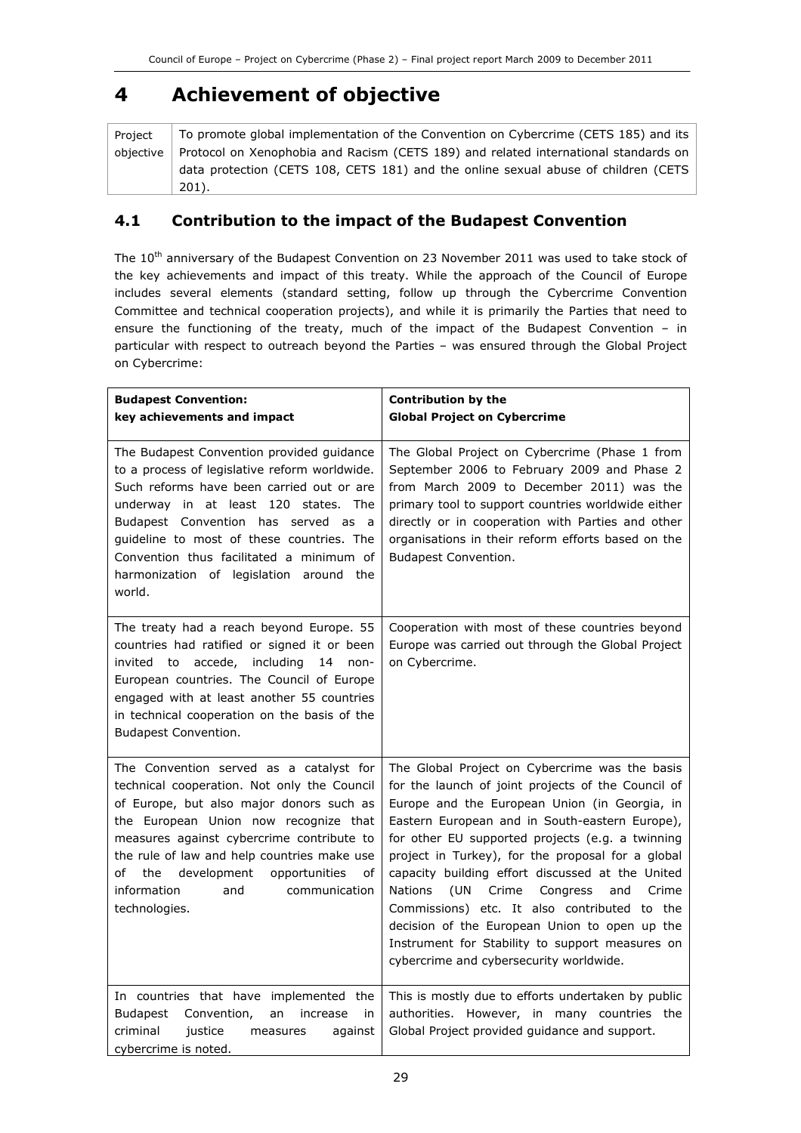## 4 Achievement of objective

| Project | To promote global implementation of the Convention on Cybercrime (CETS 185) and its             |  |  |
|---------|-------------------------------------------------------------------------------------------------|--|--|
|         | objective   Protocol on Xenophobia and Racism (CETS 189) and related international standards on |  |  |
|         | data protection (CETS 108, CETS 181) and the online sexual abuse of children (CETS              |  |  |
|         | 201).                                                                                           |  |  |

### 4.1 Contribution to the impact of the Budapest Convention

The 10<sup>th</sup> anniversary of the Budapest Convention on 23 November 2011 was used to take stock of the key achievements and impact of this treaty. While the approach of the Council of Europe includes several elements (standard setting, follow up through the Cybercrime Convention Committee and technical cooperation projects), and while it is primarily the Parties that need to ensure the functioning of the treaty, much of the impact of the Budapest Convention – in particular with respect to outreach beyond the Parties – was ensured through the Global Project on Cybercrime:

| <b>Budapest Convention:</b><br>key achievements and impact                                                                                                                                                                                                                                                                                                                         | <b>Contribution by the</b><br><b>Global Project on Cybercrime</b>                                                                                                                                                                                                                                                                                                                                                                                                                                                                                                                                                                 |
|------------------------------------------------------------------------------------------------------------------------------------------------------------------------------------------------------------------------------------------------------------------------------------------------------------------------------------------------------------------------------------|-----------------------------------------------------------------------------------------------------------------------------------------------------------------------------------------------------------------------------------------------------------------------------------------------------------------------------------------------------------------------------------------------------------------------------------------------------------------------------------------------------------------------------------------------------------------------------------------------------------------------------------|
| The Budapest Convention provided guidance<br>to a process of legislative reform worldwide.<br>Such reforms have been carried out or are<br>underway in at least 120 states. The<br>Budapest Convention has served as a<br>guideline to most of these countries. The<br>Convention thus facilitated a minimum of<br>harmonization of legislation around the<br>world.               | The Global Project on Cybercrime (Phase 1 from<br>September 2006 to February 2009 and Phase 2<br>from March 2009 to December 2011) was the<br>primary tool to support countries worldwide either<br>directly or in cooperation with Parties and other<br>organisations in their reform efforts based on the<br>Budapest Convention.                                                                                                                                                                                                                                                                                               |
| The treaty had a reach beyond Europe. 55<br>countries had ratified or signed it or been<br>invited to accede, including<br>$14$ non-<br>European countries. The Council of Europe<br>engaged with at least another 55 countries<br>in technical cooperation on the basis of the<br><b>Budapest Convention.</b>                                                                     | Cooperation with most of these countries beyond<br>Europe was carried out through the Global Project<br>on Cybercrime.                                                                                                                                                                                                                                                                                                                                                                                                                                                                                                            |
| The Convention served as a catalyst for<br>technical cooperation. Not only the Council<br>of Europe, but also major donors such as<br>the European Union now recognize that<br>measures against cybercrime contribute to<br>the rule of law and help countries make use<br>development<br>opportunities<br>of<br>the<br>of<br>information<br>and<br>communication<br>technologies. | The Global Project on Cybercrime was the basis<br>for the launch of joint projects of the Council of<br>Europe and the European Union (in Georgia, in<br>Eastern European and in South-eastern Europe),<br>for other EU supported projects (e.g. a twinning<br>project in Turkey), for the proposal for a global<br>capacity building effort discussed at the United<br><b>Nations</b><br>(UN<br>Crime<br>Congress<br>and<br>Crime<br>Commissions) etc. It also contributed to the<br>decision of the European Union to open up the<br>Instrument for Stability to support measures on<br>cybercrime and cybersecurity worldwide. |
| In countries that have implemented the<br>Budapest<br>Convention,<br>increase<br>in<br>an<br>criminal<br>justice<br>measures<br>against<br>cybercrime is noted.                                                                                                                                                                                                                    | This is mostly due to efforts undertaken by public<br>authorities. However, in many countries the<br>Global Project provided guidance and support.                                                                                                                                                                                                                                                                                                                                                                                                                                                                                |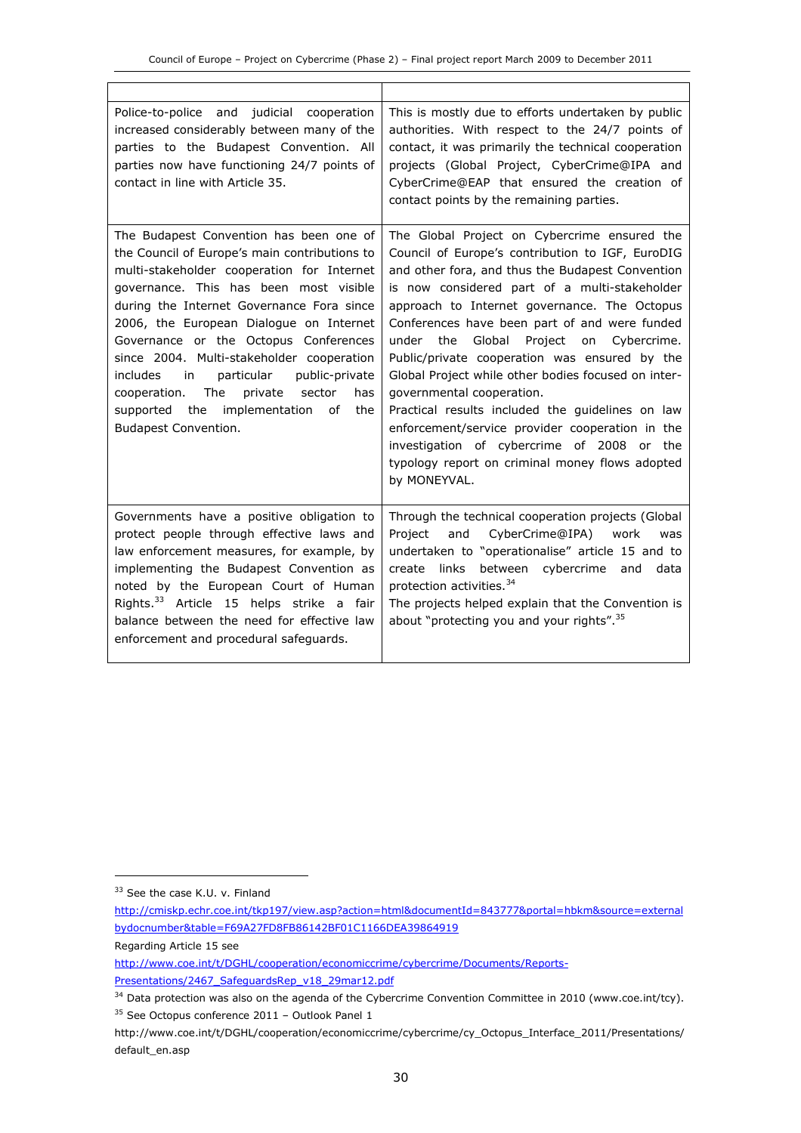| Police-to-police and judicial cooperation<br>increased considerably between many of the<br>parties to the Budapest Convention. All<br>parties now have functioning 24/7 points of<br>contact in line with Article 35.                                                                                                                                                                                                                                                                                                                           | This is mostly due to efforts undertaken by public<br>authorities. With respect to the 24/7 points of<br>contact, it was primarily the technical cooperation<br>projects (Global Project, CyberCrime@IPA and<br>CyberCrime@EAP that ensured the creation of<br>contact points by the remaining parties.                                                                                                                                                                                                                                                                                                                                                                                                                 |
|-------------------------------------------------------------------------------------------------------------------------------------------------------------------------------------------------------------------------------------------------------------------------------------------------------------------------------------------------------------------------------------------------------------------------------------------------------------------------------------------------------------------------------------------------|-------------------------------------------------------------------------------------------------------------------------------------------------------------------------------------------------------------------------------------------------------------------------------------------------------------------------------------------------------------------------------------------------------------------------------------------------------------------------------------------------------------------------------------------------------------------------------------------------------------------------------------------------------------------------------------------------------------------------|
| The Budapest Convention has been one of<br>the Council of Europe's main contributions to<br>multi-stakeholder cooperation for Internet<br>governance. This has been most visible<br>during the Internet Governance Fora since<br>2006, the European Dialogue on Internet<br>Governance or the Octopus Conferences<br>since 2004. Multi-stakeholder cooperation<br>particular<br>includes<br>in<br>public-private<br>cooperation. The<br>has<br>private<br>sector<br>supported the<br>implementation<br>οf<br>the<br><b>Budapest Convention.</b> | The Global Project on Cybercrime ensured the<br>Council of Europe's contribution to IGF, EuroDIG<br>and other fora, and thus the Budapest Convention<br>is now considered part of a multi-stakeholder<br>approach to Internet governance. The Octopus<br>Conferences have been part of and were funded<br>Global Project<br>under the<br>Cybercrime.<br>on<br>Public/private cooperation was ensured by the<br>Global Project while other bodies focused on inter-<br>governmental cooperation.<br>Practical results included the guidelines on law<br>enforcement/service provider cooperation in the<br>investigation of cybercrime of 2008 or the<br>typology report on criminal money flows adopted<br>by MONEYVAL. |
| Governments have a positive obligation to<br>protect people through effective laws and<br>law enforcement measures, for example, by<br>implementing the Budapest Convention as<br>noted by the European Court of Human<br>Rights. <sup>33</sup> Article 15 helps strike a fair<br>balance between the need for effective law<br>enforcement and procedural safeguards.                                                                                                                                                                          | Through the technical cooperation projects (Global<br>Project<br>CyberCrime@IPA)<br>and<br>work<br>was<br>undertaken to "operationalise" article 15 and to<br>create links<br>between<br>cybercrime and<br>data<br>protection activities. <sup>34</sup><br>The projects helped explain that the Convention is<br>about "protecting you and your rights". <sup>35</sup>                                                                                                                                                                                                                                                                                                                                                  |

j

<sup>&</sup>lt;sup>33</sup> See the case K.U. v. Finland

http://cmiskp.echr.coe.int/tkp197/view.asp?action=html&documentId=843777&portal=hbkm&source=external bydocnumber&table=F69A27FD8FB86142BF01C1166DEA39864919

Regarding Article 15 see

http://www.coe.int/t/DGHL/cooperation/economiccrime/cybercrime/Documents/Reports-Presentations/2467\_SafeguardsRep\_v18\_29mar12.pdf

<sup>&</sup>lt;sup>34</sup> Data protection was also on the agenda of the Cybercrime Convention Committee in 2010 (www.coe.int/tcy). <sup>35</sup> See Octopus conference 2011 – Outlook Panel 1

http://www.coe.int/t/DGHL/cooperation/economiccrime/cybercrime/cy\_Octopus\_Interface\_2011/Presentations/ default\_en.asp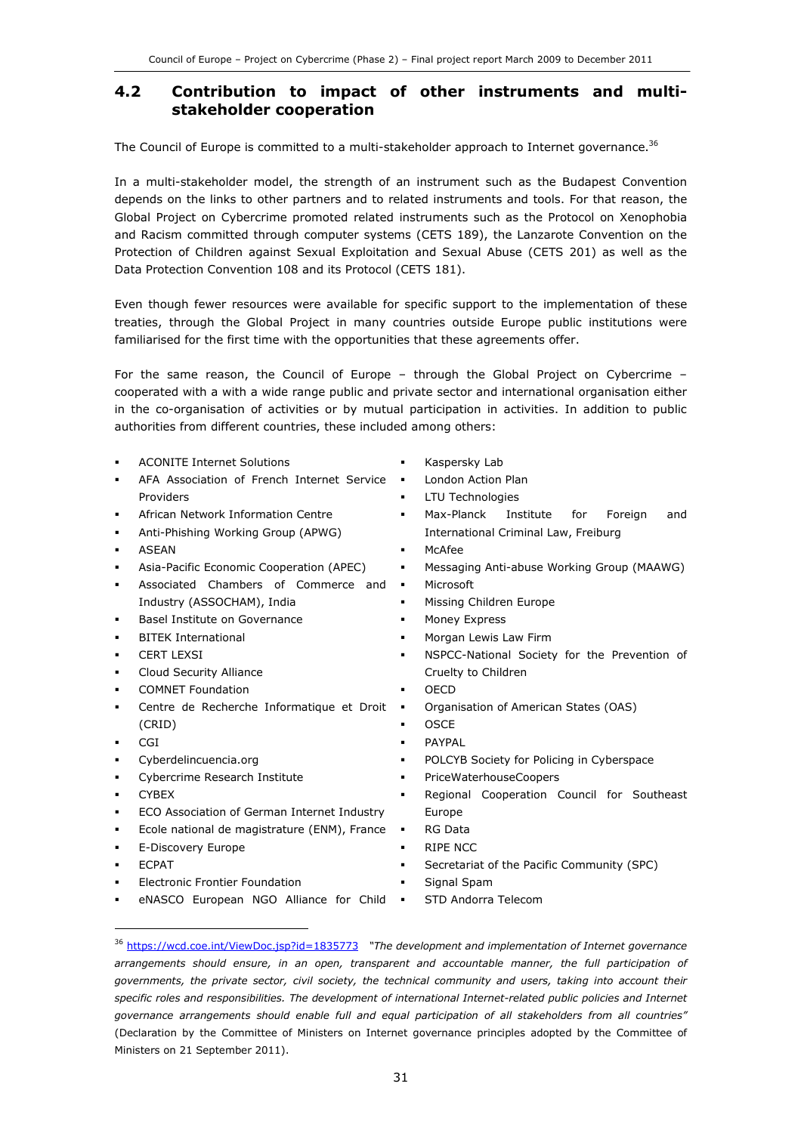### 4.2 Contribution to impact of other instruments and multistakeholder cooperation

The Council of Europe is committed to a multi-stakeholder approach to Internet governance.<sup>36</sup>

In a multi-stakeholder model, the strength of an instrument such as the Budapest Convention depends on the links to other partners and to related instruments and tools. For that reason, the Global Project on Cybercrime promoted related instruments such as the Protocol on Xenophobia and Racism committed through computer systems (CETS 189), the Lanzarote Convention on the Protection of Children against Sexual Exploitation and Sexual Abuse (CETS 201) as well as the Data Protection Convention 108 and its Protocol (CETS 181).

Even though fewer resources were available for specific support to the implementation of these treaties, through the Global Project in many countries outside Europe public institutions were familiarised for the first time with the opportunities that these agreements offer.

For the same reason, the Council of Europe – through the Global Project on Cybercrime – cooperated with a with a wide range public and private sector and international organisation either in the co-organisation of activities or by mutual participation in activities. In addition to public authorities from different countries, these included among others:

- ACONITE Internet Solutions
- AFA Association of French Internet Service . Providers
- African Network Information Centre
- Anti-Phishing Working Group (APWG)
- ASEAN
- Asia-Pacific Economic Cooperation (APEC)
- Associated Chambers of Commerce and  $\blacksquare$ Industry (ASSOCHAM), India
- Basel Institute on Governance
- BITEK International
- CERT LEXSI
- Cloud Security Alliance
- COMNET Foundation
- Centre de Recherche Informatique et Droit (CRID)
- CGI
- Cyberdelincuencia.org
- Cybercrime Research Institute
- CYBEX
- ECO Association of German Internet Industry
- Ecole national de magistrature (ENM), France •
- E-Discovery Europe
- ECPAT

j

- Electronic Frontier Foundation
- eNASCO European NGO Alliance for Child .
- Kaspersky Lab
- London Action Plan
- LTU Technologies
- Max-Planck Institute for Foreign and International Criminal Law, Freiburg
- McAfee
- Messaging Anti-abuse Working Group (MAAWG)
- Microsoft
- Missing Children Europe
- Money Express
- Morgan Lewis Law Firm
- NSPCC-National Society for the Prevention of Cruelty to Children
- OECD
	- Organisation of American States (OAS)
- **OSCE**
- **PAYPAL**
- POLCYB Society for Policing in Cyberspace
- **•** PriceWaterhouseCoopers
- Regional Cooperation Council for Southeast Europe
- RG Data
- RIPE NCC
- **Secretariat of the Pacific Community (SPC)**
- Signal Spam
- STD Andorra Telecom

<sup>&</sup>lt;sup>36</sup> https://wcd.coe.int/ViewDoc.jsp?id=1835773 "The development and implementation of Internet governance arrangements should ensure, in an open, transparent and accountable manner, the full participation of governments, the private sector, civil society, the technical community and users, taking into account their specific roles and responsibilities. The development of international Internet-related public policies and Internet governance arrangements should enable full and equal participation of all stakeholders from all countries" (Declaration by the Committee of Ministers on Internet governance principles adopted by the Committee of Ministers on 21 September 2011).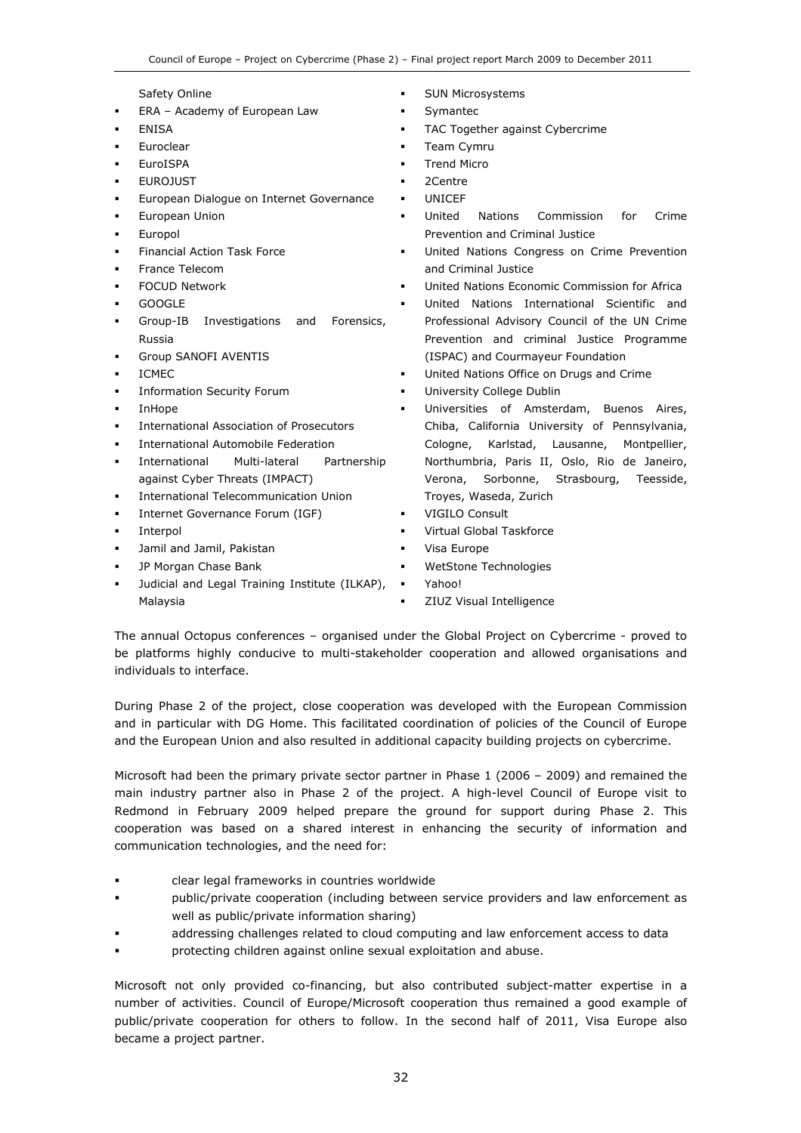Safety Online

- ERA Academy of European Law
- ENISA
- Euroclear
- EuroISPA
- EUROJUST
- European Dialogue on Internet Governance
- European Union
- Europol
- Financial Action Task Force
- France Telecom
- FOCUD Network
- GOOGLE
- Group-IB Investigations and Forensics, Russia
- Group SANOFI AVENTIS
- ICMEC
- Information Security Forum
- InHope
- International Association of Prosecutors
- International Automobile Federation
- International Multi-lateral Partnership against Cyber Threats (IMPACT)
- International Telecommunication Union
- Internet Governance Forum (IGF)
- Interpol
- Jamil and Jamil, Pakistan
- JP Morgan Chase Bank
- Judicial and Legal Training Institute (ILKAP),  $\bullet$ Malaysia
- SUN Microsystems
- **Symantec**
- TAC Together against Cybercrime
- **Team Cymru**
- Trend Micro
- 2Centre
- UNICEF
- United Nations Commission for Crime Prevention and Criminal Justice
- United Nations Congress on Crime Prevention and Criminal Justice
- United Nations Economic Commission for Africa
- United Nations International Scientific and Professional Advisory Council of the UN Crime Prevention and criminal Justice Programme (ISPAC) and Courmayeur Foundation
- United Nations Office on Drugs and Crime
- University College Dublin
- Universities of Amsterdam, Buenos Aires, Chiba, California University of Pennsylvania, Cologne, Karlstad, Lausanne, Montpellier, Northumbria, Paris II, Oslo, Rio de Janeiro, Verona, Sorbonne, Strasbourg, Teesside, Troyes, Waseda, Zurich
- VIGILO Consult
- Virtual Global Taskforce
- Visa Europe
- WetStone Technologies
- Yahoo!
- ZIUZ Visual Intelligence

The annual Octopus conferences – organised under the Global Project on Cybercrime - proved to be platforms highly conducive to multi-stakeholder cooperation and allowed organisations and individuals to interface.

During Phase 2 of the project, close cooperation was developed with the European Commission and in particular with DG Home. This facilitated coordination of policies of the Council of Europe and the European Union and also resulted in additional capacity building projects on cybercrime.

Microsoft had been the primary private sector partner in Phase 1 (2006 – 2009) and remained the main industry partner also in Phase 2 of the project. A high-level Council of Europe visit to Redmond in February 2009 helped prepare the ground for support during Phase 2. This cooperation was based on a shared interest in enhancing the security of information and communication technologies, and the need for:

- clear legal frameworks in countries worldwide
- public/private cooperation (including between service providers and law enforcement as well as public/private information sharing)
- addressing challenges related to cloud computing and law enforcement access to data
- protecting children against online sexual exploitation and abuse.

Microsoft not only provided co-financing, but also contributed subject-matter expertise in a number of activities. Council of Europe/Microsoft cooperation thus remained a good example of public/private cooperation for others to follow. In the second half of 2011, Visa Europe also became a project partner.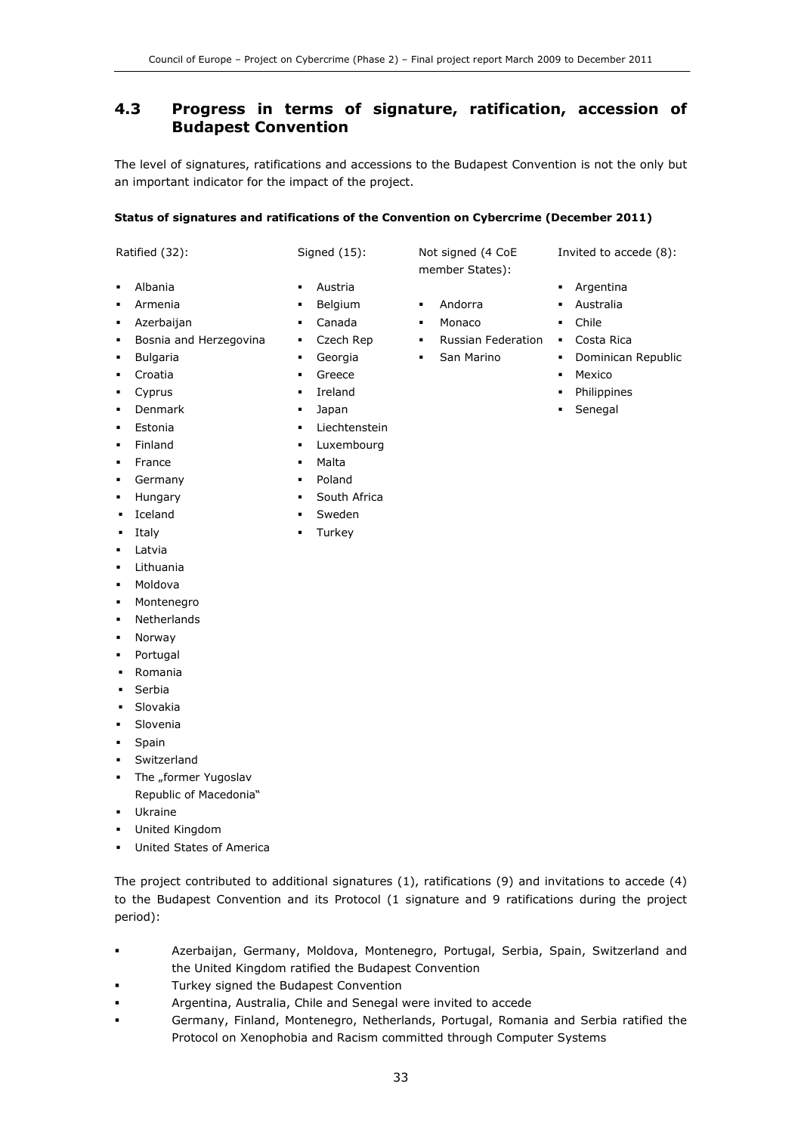### 4.3 Progress in terms of signature, ratification, accession of Budapest Convention

The level of signatures, ratifications and accessions to the Budapest Convention is not the only but an important indicator for the impact of the project.

#### Status of signatures and ratifications of the Convention on Cybercrime (December 2011)

| Ratified (32): |  |
|----------------|--|
|----------------|--|

- Albania
- Armenia
- Azerbaijan
- Bosnia and Herzegovina
- Bulgaria
- Croatia
- Cyprus
- Denmark
- Estonia
- Finland
- **France**
- Germany
- Hungary
- Iceland
- Italy
- Latvia
- Lithuania
- · Moldova
- Montenegro
- Netherlands
- Norway
- Portugal
- Romania
- Serbia
- Slovakia
- Slovenia
- Spain
- Switzerland
- The "former Yugoslav Republic of Macedonia"
- Ukraine
- United Kingdom
- United States of America

The project contributed to additional signatures (1), ratifications (9) and invitations to accede (4) to the Budapest Convention and its Protocol (1 signature and 9 ratifications during the project period):

- Azerbaijan, Germany, Moldova, Montenegro, Portugal, Serbia, Spain, Switzerland and the United Kingdom ratified the Budapest Convention
- Turkey signed the Budapest Convention
- Argentina, Australia, Chile and Senegal were invited to accede
- Germany, Finland, Montenegro, Netherlands, Portugal, Romania and Serbia ratified the Protocol on Xenophobia and Racism committed through Computer Systems

Signed (15):

- Austria
- Belgium
- Canada
- **Czech Rep**
- Georgia
- **Greece**
- **I**reland
- Japan
- **Liechtenstein**
- **-** Luxembourg
- Malta
- Poland
- **South Africa**
- Sweden
- **Turkey**

Not signed (4 CoE member States):

- Andorra
- Monaco
- **Russian Federation Costa Rica**
- **San Marino**
- - Philippines
	- Senegal
- Argentina Australia
	- Chile
	-

Invited to accede (8):

- **•** Dominican Republic
- **Mexico**
- 
-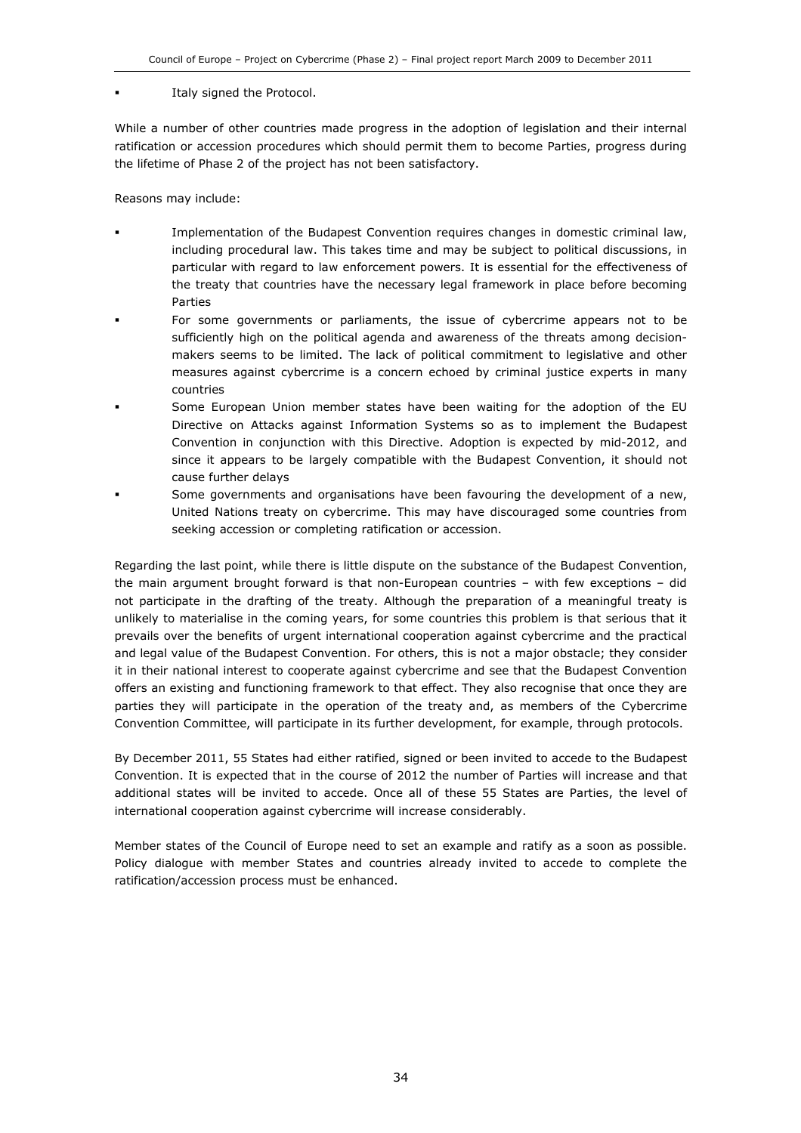#### Italy signed the Protocol.

While a number of other countries made progress in the adoption of legislation and their internal ratification or accession procedures which should permit them to become Parties, progress during the lifetime of Phase 2 of the project has not been satisfactory.

Reasons may include:

- Implementation of the Budapest Convention requires changes in domestic criminal law, including procedural law. This takes time and may be subject to political discussions, in particular with regard to law enforcement powers. It is essential for the effectiveness of the treaty that countries have the necessary legal framework in place before becoming Parties
- For some governments or parliaments, the issue of cybercrime appears not to be sufficiently high on the political agenda and awareness of the threats among decisionmakers seems to be limited. The lack of political commitment to legislative and other measures against cybercrime is a concern echoed by criminal justice experts in many countries
- Some European Union member states have been waiting for the adoption of the EU Directive on Attacks against Information Systems so as to implement the Budapest Convention in conjunction with this Directive. Adoption is expected by mid-2012, and since it appears to be largely compatible with the Budapest Convention, it should not cause further delays
- Some governments and organisations have been favouring the development of a new, United Nations treaty on cybercrime. This may have discouraged some countries from seeking accession or completing ratification or accession.

Regarding the last point, while there is little dispute on the substance of the Budapest Convention, the main argument brought forward is that non-European countries – with few exceptions – did not participate in the drafting of the treaty. Although the preparation of a meaningful treaty is unlikely to materialise in the coming years, for some countries this problem is that serious that it prevails over the benefits of urgent international cooperation against cybercrime and the practical and legal value of the Budapest Convention. For others, this is not a major obstacle; they consider it in their national interest to cooperate against cybercrime and see that the Budapest Convention offers an existing and functioning framework to that effect. They also recognise that once they are parties they will participate in the operation of the treaty and, as members of the Cybercrime Convention Committee, will participate in its further development, for example, through protocols.

By December 2011, 55 States had either ratified, signed or been invited to accede to the Budapest Convention. It is expected that in the course of 2012 the number of Parties will increase and that additional states will be invited to accede. Once all of these 55 States are Parties, the level of international cooperation against cybercrime will increase considerably.

Member states of the Council of Europe need to set an example and ratify as a soon as possible. Policy dialogue with member States and countries already invited to accede to complete the ratification/accession process must be enhanced.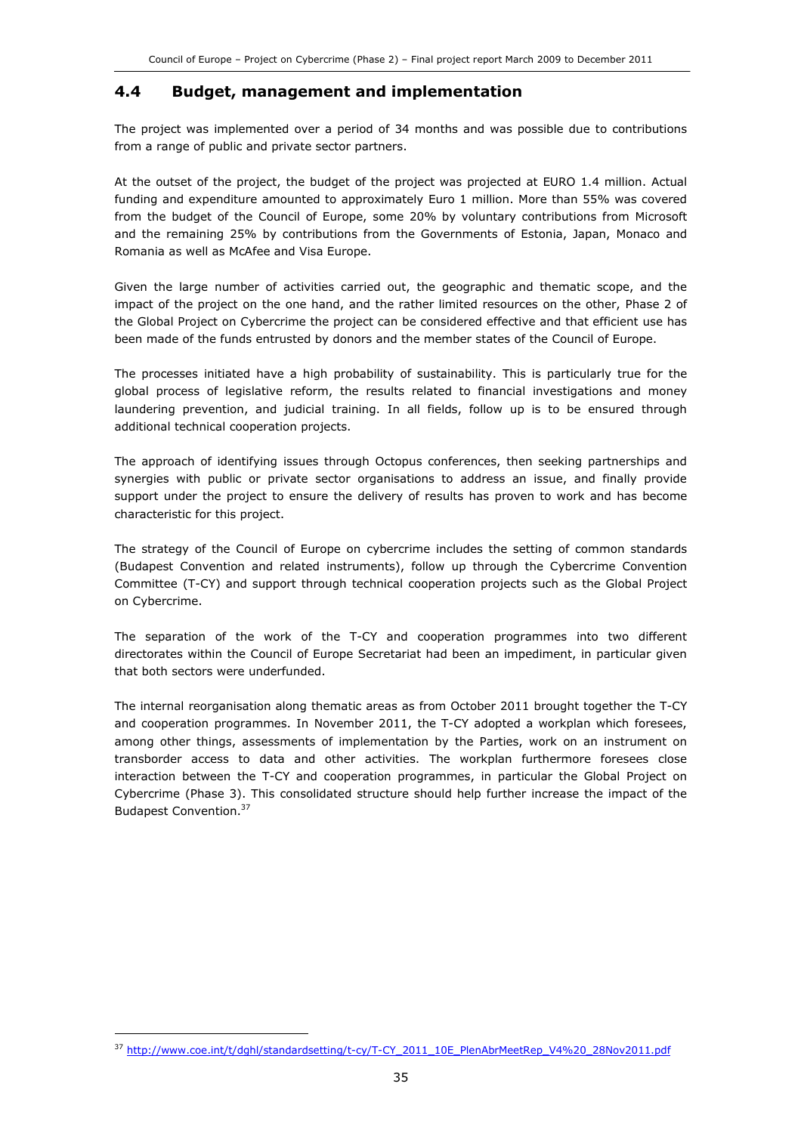### 4.4 Budget, management and implementation

The project was implemented over a period of 34 months and was possible due to contributions from a range of public and private sector partners.

At the outset of the project, the budget of the project was projected at EURO 1.4 million. Actual funding and expenditure amounted to approximately Euro 1 million. More than 55% was covered from the budget of the Council of Europe, some 20% by voluntary contributions from Microsoft and the remaining 25% by contributions from the Governments of Estonia, Japan, Monaco and Romania as well as McAfee and Visa Europe.

Given the large number of activities carried out, the geographic and thematic scope, and the impact of the project on the one hand, and the rather limited resources on the other, Phase 2 of the Global Project on Cybercrime the project can be considered effective and that efficient use has been made of the funds entrusted by donors and the member states of the Council of Europe.

The processes initiated have a high probability of sustainability. This is particularly true for the global process of legislative reform, the results related to financial investigations and money laundering prevention, and judicial training. In all fields, follow up is to be ensured through additional technical cooperation projects.

The approach of identifying issues through Octopus conferences, then seeking partnerships and synergies with public or private sector organisations to address an issue, and finally provide support under the project to ensure the delivery of results has proven to work and has become characteristic for this project.

The strategy of the Council of Europe on cybercrime includes the setting of common standards (Budapest Convention and related instruments), follow up through the Cybercrime Convention Committee (T-CY) and support through technical cooperation projects such as the Global Project on Cybercrime.

The separation of the work of the T-CY and cooperation programmes into two different directorates within the Council of Europe Secretariat had been an impediment, in particular given that both sectors were underfunded.

The internal reorganisation along thematic areas as from October 2011 brought together the T-CY and cooperation programmes. In November 2011, the T-CY adopted a workplan which foresees, among other things, assessments of implementation by the Parties, work on an instrument on transborder access to data and other activities. The workplan furthermore foresees close interaction between the T-CY and cooperation programmes, in particular the Global Project on Cybercrime (Phase 3). This consolidated structure should help further increase the impact of the Budapest Convention.<sup>37</sup>

j

<sup>37</sup> http://www.coe.int/t/dghl/standardsetting/t-cy/T-CY\_2011\_10E\_PlenAbrMeetRep\_V4%20\_28Nov2011.pdf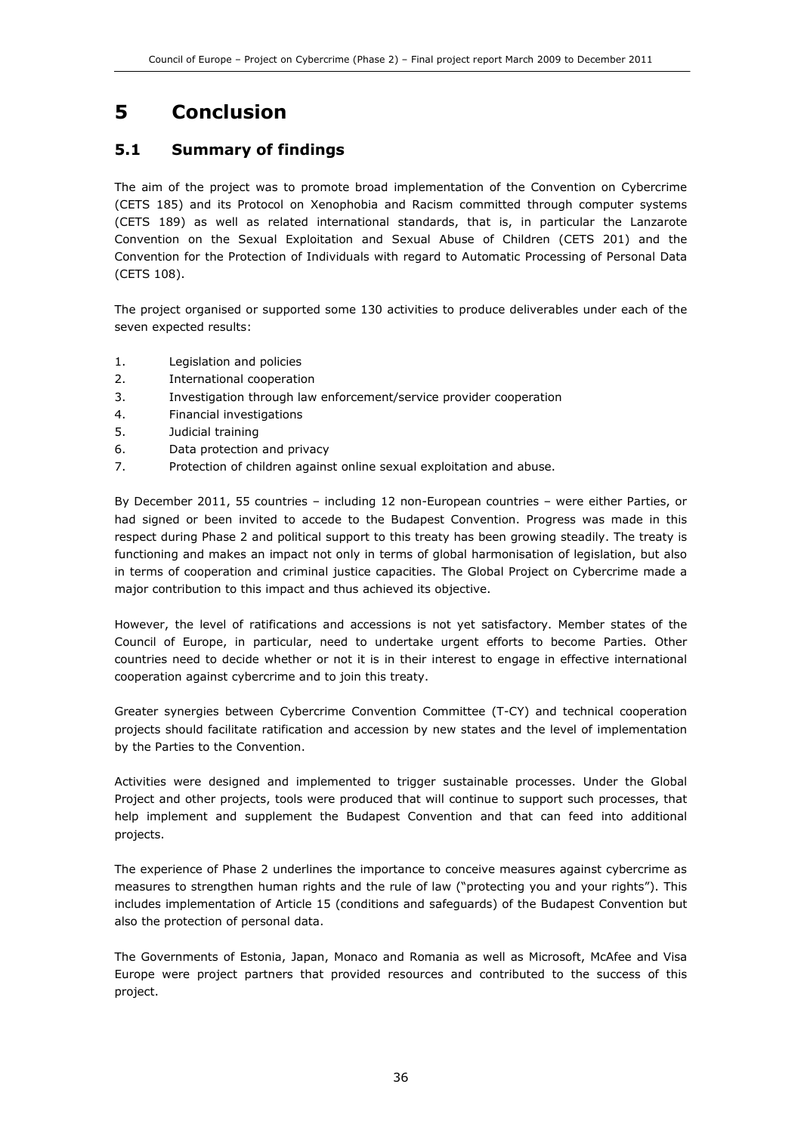## 5 Conclusion

### 5.1 Summary of findings

The aim of the project was to promote broad implementation of the Convention on Cybercrime (CETS 185) and its Protocol on Xenophobia and Racism committed through computer systems (CETS 189) as well as related international standards, that is, in particular the Lanzarote Convention on the Sexual Exploitation and Sexual Abuse of Children (CETS 201) and the Convention for the Protection of Individuals with regard to Automatic Processing of Personal Data (CETS 108).

The project organised or supported some 130 activities to produce deliverables under each of the seven expected results:

- 1. Legislation and policies
- 2. International cooperation
- 3. Investigation through law enforcement/service provider cooperation
- 4. Financial investigations
- 5. Judicial training
- 6. Data protection and privacy
- 7. Protection of children against online sexual exploitation and abuse.

By December 2011, 55 countries – including 12 non-European countries – were either Parties, or had signed or been invited to accede to the Budapest Convention. Progress was made in this respect during Phase 2 and political support to this treaty has been growing steadily. The treaty is functioning and makes an impact not only in terms of global harmonisation of legislation, but also in terms of cooperation and criminal justice capacities. The Global Project on Cybercrime made a major contribution to this impact and thus achieved its objective.

However, the level of ratifications and accessions is not yet satisfactory. Member states of the Council of Europe, in particular, need to undertake urgent efforts to become Parties. Other countries need to decide whether or not it is in their interest to engage in effective international cooperation against cybercrime and to join this treaty.

Greater synergies between Cybercrime Convention Committee (T-CY) and technical cooperation projects should facilitate ratification and accession by new states and the level of implementation by the Parties to the Convention.

Activities were designed and implemented to trigger sustainable processes. Under the Global Project and other projects, tools were produced that will continue to support such processes, that help implement and supplement the Budapest Convention and that can feed into additional projects.

The experience of Phase 2 underlines the importance to conceive measures against cybercrime as measures to strengthen human rights and the rule of law ("protecting you and your rights"). This includes implementation of Article 15 (conditions and safeguards) of the Budapest Convention but also the protection of personal data.

The Governments of Estonia, Japan, Monaco and Romania as well as Microsoft, McAfee and Visa Europe were project partners that provided resources and contributed to the success of this project.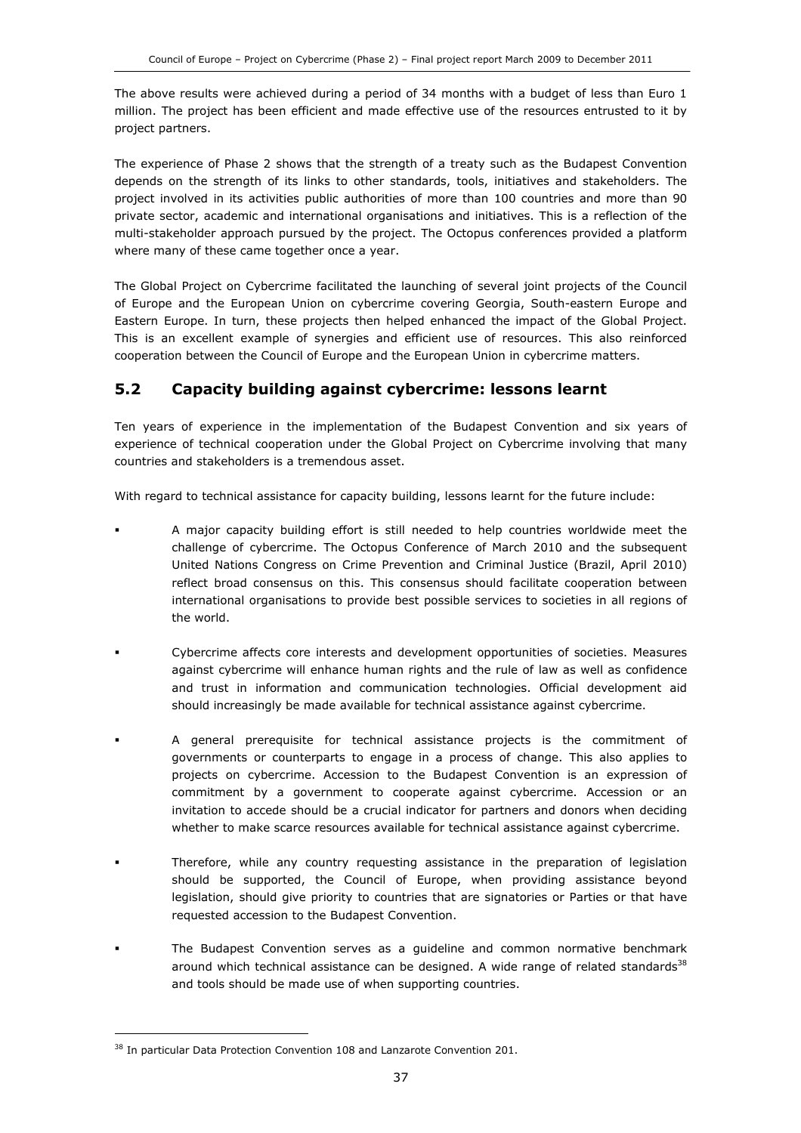The above results were achieved during a period of 34 months with a budget of less than Euro 1 million. The project has been efficient and made effective use of the resources entrusted to it by project partners.

The experience of Phase 2 shows that the strength of a treaty such as the Budapest Convention depends on the strength of its links to other standards, tools, initiatives and stakeholders. The project involved in its activities public authorities of more than 100 countries and more than 90 private sector, academic and international organisations and initiatives. This is a reflection of the multi-stakeholder approach pursued by the project. The Octopus conferences provided a platform where many of these came together once a year.

The Global Project on Cybercrime facilitated the launching of several joint projects of the Council of Europe and the European Union on cybercrime covering Georgia, South-eastern Europe and Eastern Europe. In turn, these projects then helped enhanced the impact of the Global Project. This is an excellent example of synergies and efficient use of resources. This also reinforced cooperation between the Council of Europe and the European Union in cybercrime matters.

### 5.2 Capacity building against cybercrime: lessons learnt

Ten years of experience in the implementation of the Budapest Convention and six years of experience of technical cooperation under the Global Project on Cybercrime involving that many countries and stakeholders is a tremendous asset.

With regard to technical assistance for capacity building, lessons learnt for the future include:

- A major capacity building effort is still needed to help countries worldwide meet the challenge of cybercrime. The Octopus Conference of March 2010 and the subsequent United Nations Congress on Crime Prevention and Criminal Justice (Brazil, April 2010) reflect broad consensus on this. This consensus should facilitate cooperation between international organisations to provide best possible services to societies in all regions of the world.
- Cybercrime affects core interests and development opportunities of societies. Measures against cybercrime will enhance human rights and the rule of law as well as confidence and trust in information and communication technologies. Official development aid should increasingly be made available for technical assistance against cybercrime.
- A general prerequisite for technical assistance projects is the commitment of governments or counterparts to engage in a process of change. This also applies to projects on cybercrime. Accession to the Budapest Convention is an expression of commitment by a government to cooperate against cybercrime. Accession or an invitation to accede should be a crucial indicator for partners and donors when deciding whether to make scarce resources available for technical assistance against cybercrime.
- Therefore, while any country requesting assistance in the preparation of legislation should be supported, the Council of Europe, when providing assistance beyond legislation, should give priority to countries that are signatories or Parties or that have requested accession to the Budapest Convention.
- The Budapest Convention serves as a guideline and common normative benchmark around which technical assistance can be designed. A wide range of related standards<sup>38</sup> and tools should be made use of when supporting countries.

j

<sup>&</sup>lt;sup>38</sup> In particular Data Protection Convention 108 and Lanzarote Convention 201.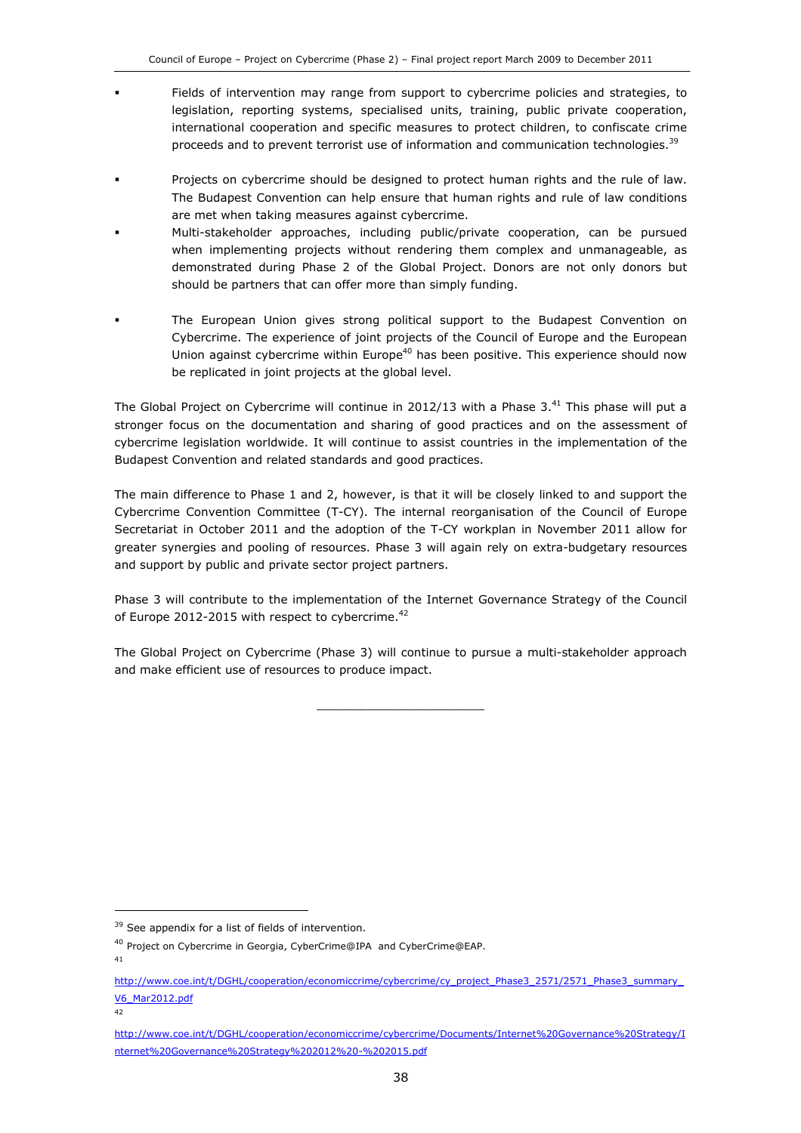- Fields of intervention may range from support to cybercrime policies and strategies, to legislation, reporting systems, specialised units, training, public private cooperation, international cooperation and specific measures to protect children, to confiscate crime proceeds and to prevent terrorist use of information and communication technologies.<sup>39</sup>
- Projects on cybercrime should be designed to protect human rights and the rule of law. The Budapest Convention can help ensure that human rights and rule of law conditions are met when taking measures against cybercrime.
- Multi-stakeholder approaches, including public/private cooperation, can be pursued when implementing projects without rendering them complex and unmanageable, as demonstrated during Phase 2 of the Global Project. Donors are not only donors but should be partners that can offer more than simply funding.
- The European Union gives strong political support to the Budapest Convention on Cybercrime. The experience of joint projects of the Council of Europe and the European Union against cybercrime within Europe<sup>40</sup> has been positive. This experience should now be replicated in joint projects at the global level.

The Global Project on Cybercrime will continue in 2012/13 with a Phase 3.<sup>41</sup> This phase will put a stronger focus on the documentation and sharing of good practices and on the assessment of cybercrime legislation worldwide. It will continue to assist countries in the implementation of the Budapest Convention and related standards and good practices.

The main difference to Phase 1 and 2, however, is that it will be closely linked to and support the Cybercrime Convention Committee (T-CY). The internal reorganisation of the Council of Europe Secretariat in October 2011 and the adoption of the T-CY workplan in November 2011 allow for greater synergies and pooling of resources. Phase 3 will again rely on extra-budgetary resources and support by public and private sector project partners.

Phase 3 will contribute to the implementation of the Internet Governance Strategy of the Council of Europe 2012-2015 with respect to cybercrime.<sup>42</sup>

The Global Project on Cybercrime (Phase 3) will continue to pursue a multi-stakeholder approach and make efficient use of resources to produce impact.

\_\_\_\_\_\_\_\_\_\_\_\_\_\_\_\_\_\_\_\_\_\_\_

41

1

<sup>&</sup>lt;sup>39</sup> See appendix for a list of fields of intervention.

<sup>&</sup>lt;sup>40</sup> Project on Cybercrime in Georgia, CyberCrime@IPA and CyberCrime@EAP.

http://www.coe.int/t/DGHL/cooperation/economiccrime/cybercrime/cy\_project\_Phase3\_2571/2571\_Phase3\_summary\_ V6\_Mar2012.pdf

<sup>42</sup>

http://www.coe.int/t/DGHL/cooperation/economiccrime/cybercrime/Documents/Internet%20Governance%20Strategy/I nternet%20Governance%20Strategy%202012%20-%202015.pdf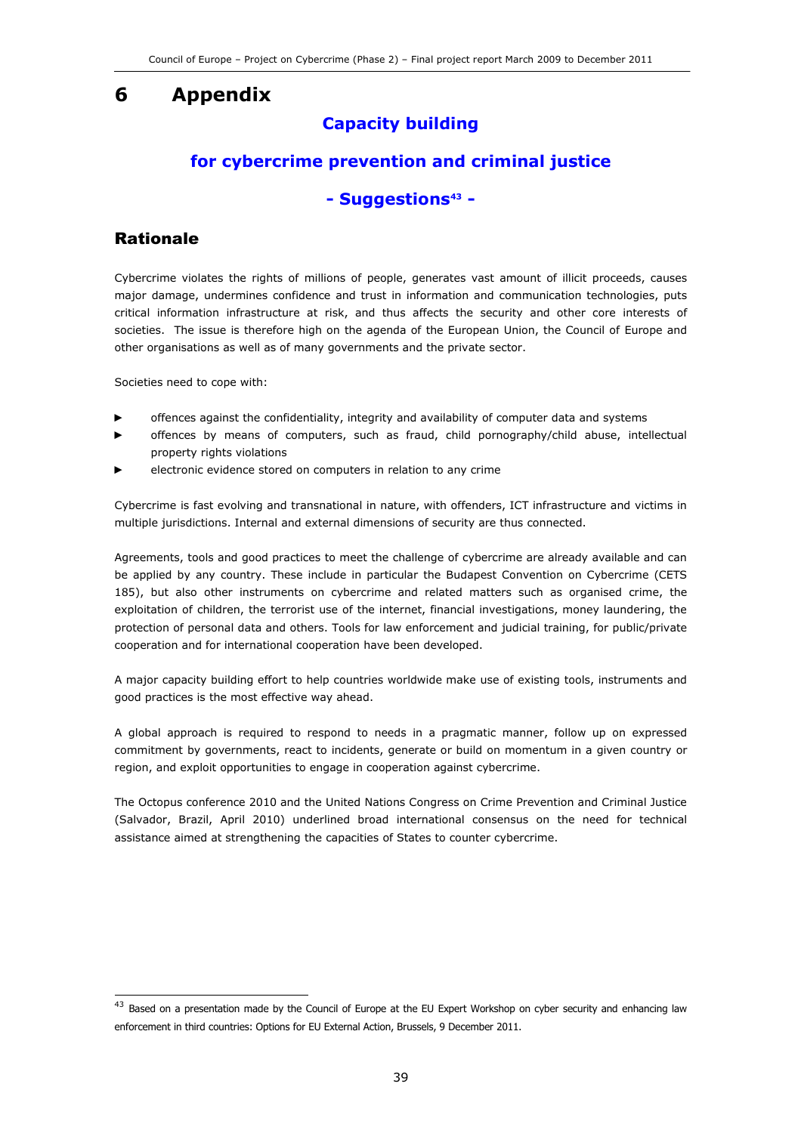## 6 Appendix

### Capacity building

### for cybercrime prevention and criminal justice

### - Suggestions<sup>43</sup> -

### Rationale

j

Cybercrime violates the rights of millions of people, generates vast amount of illicit proceeds, causes major damage, undermines confidence and trust in information and communication technologies, puts critical information infrastructure at risk, and thus affects the security and other core interests of societies. The issue is therefore high on the agenda of the European Union, the Council of Europe and other organisations as well as of many governments and the private sector.

Societies need to cope with:

- offences against the confidentiality, integrity and availability of computer data and systems
- offences by means of computers, such as fraud, child pornography/child abuse, intellectual property rights violations
- electronic evidence stored on computers in relation to any crime

Cybercrime is fast evolving and transnational in nature, with offenders, ICT infrastructure and victims in multiple jurisdictions. Internal and external dimensions of security are thus connected.

Agreements, tools and good practices to meet the challenge of cybercrime are already available and can be applied by any country. These include in particular the Budapest Convention on Cybercrime (CETS 185), but also other instruments on cybercrime and related matters such as organised crime, the exploitation of children, the terrorist use of the internet, financial investigations, money laundering, the protection of personal data and others. Tools for law enforcement and judicial training, for public/private cooperation and for international cooperation have been developed.

A major capacity building effort to help countries worldwide make use of existing tools, instruments and good practices is the most effective way ahead.

A global approach is required to respond to needs in a pragmatic manner, follow up on expressed commitment by governments, react to incidents, generate or build on momentum in a given country or region, and exploit opportunities to engage in cooperation against cybercrime.

The Octopus conference 2010 and the United Nations Congress on Crime Prevention and Criminal Justice (Salvador, Brazil, April 2010) underlined broad international consensus on the need for technical assistance aimed at strengthening the capacities of States to counter cybercrime.

 $^{43}$  Based on a presentation made by the Council of Europe at the EU Expert Workshop on cyber security and enhancing law enforcement in third countries: Options for EU External Action, Brussels, 9 December 2011.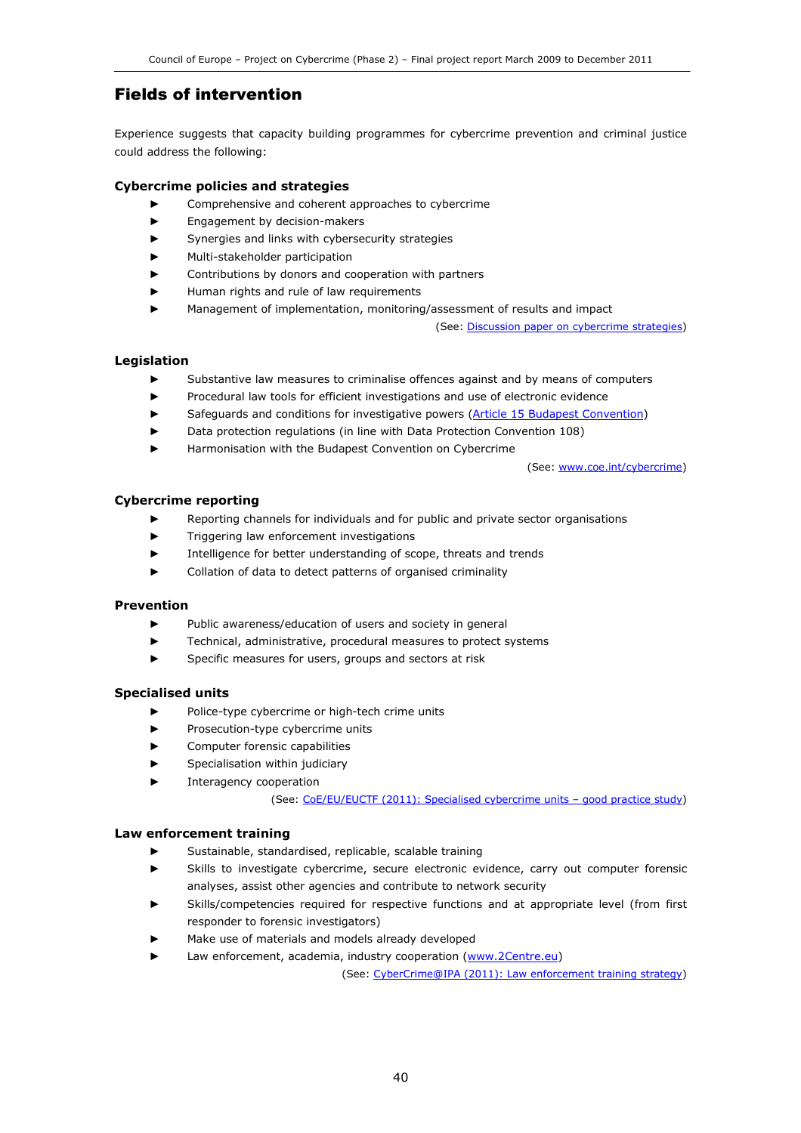### Fields of intervention

Experience suggests that capacity building programmes for cybercrime prevention and criminal justice could address the following:

#### Cybercrime policies and strategies

- Comprehensive and coherent approaches to cybercrime
- ► Engagement by decision-makers
- Synergies and links with cybersecurity strategies
- Multi-stakeholder participation
- Contributions by donors and cooperation with partners
- Human rights and rule of law requirements
- Management of implementation, monitoring/assessment of results and impact

(See: Discussion paper on cybercrime strategies)

#### Legislation

- Substantive law measures to criminalise offences against and by means of computers
- Procedural law tools for efficient investigations and use of electronic evidence
- Safeguards and conditions for investigative powers (Article 15 Budapest Convention)
- Data protection regulations (in line with Data Protection Convention 108)
- Harmonisation with the Budapest Convention on Cybercrime

(See: www.coe.int/cybercrime)

#### Cybercrime reporting

- Reporting channels for individuals and for public and private sector organisations
- ► Triggering law enforcement investigations
- ► Intelligence for better understanding of scope, threats and trends
- Collation of data to detect patterns of organised criminality

#### Prevention

- ► Public awareness/education of users and society in general
- Technical, administrative, procedural measures to protect systems
- ► Specific measures for users, groups and sectors at risk

#### Specialised units

- ► Police-type cybercrime or high-tech crime units
- ► Prosecution-type cybercrime units
- ► Computer forensic capabilities
- Specialisation within judiciary
- Interagency cooperation

(See: CoE/EU/EUCTF (2011): Specialised cybercrime units – good practice study)

#### Law enforcement training

- Sustainable, standardised, replicable, scalable training
- Skills to investigate cybercrime, secure electronic evidence, carry out computer forensic analyses, assist other agencies and contribute to network security
- Skills/competencies required for respective functions and at appropriate level (from first responder to forensic investigators)
- Make use of materials and models already developed
- Law enforcement, academia, industry cooperation (www.2Centre.eu)

(See: CyberCrime@IPA (2011): Law enforcement training strategy)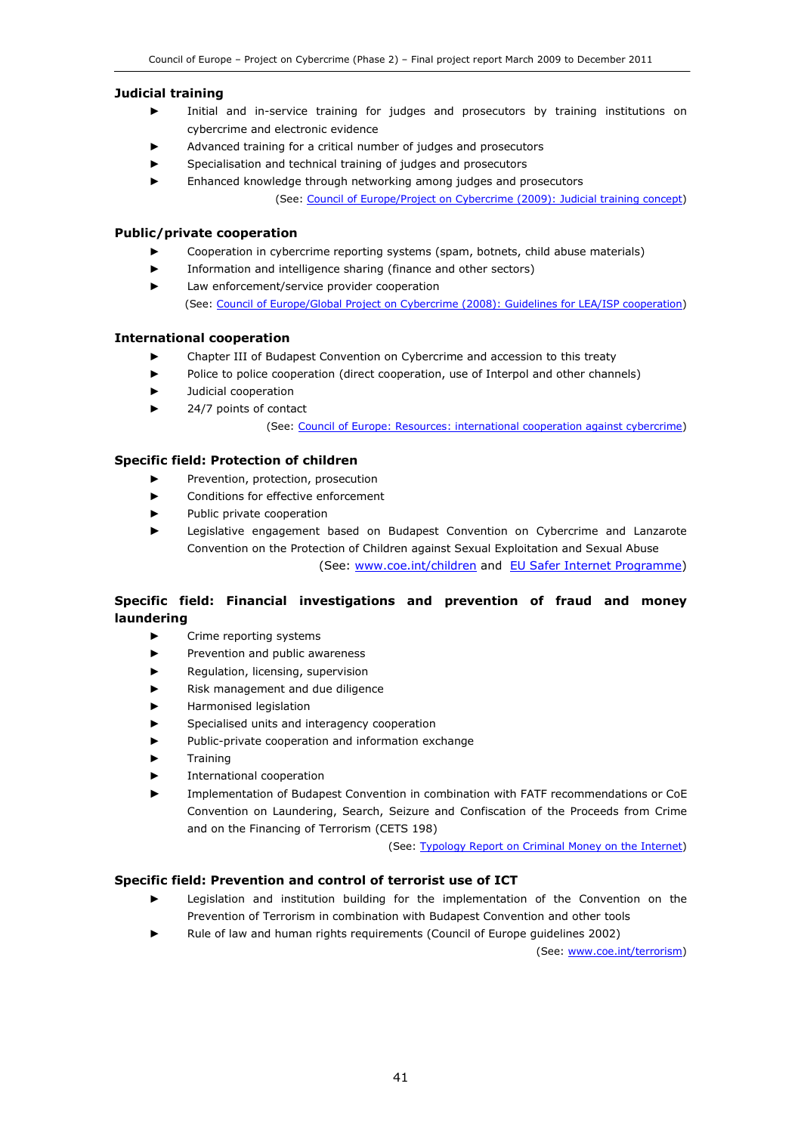#### Judicial training

- Initial and in-service training for judges and prosecutors by training institutions on cybercrime and electronic evidence
- Advanced training for a critical number of judges and prosecutors
- Specialisation and technical training of judges and prosecutors
- Enhanced knowledge through networking among judges and prosecutors (See: Council of Europe/Project on Cybercrime (2009): Judicial training concept)

#### Public/private cooperation

- Cooperation in cybercrime reporting systems (spam, botnets, child abuse materials)
- Information and intelligence sharing (finance and other sectors)
- Law enforcement/service provider cooperation (See: Council of Europe/Global Project on Cybercrime (2008): Guidelines for LEA/ISP cooperation)

#### International cooperation

- ► Chapter III of Budapest Convention on Cybercrime and accession to this treaty
- ► Police to police cooperation (direct cooperation, use of Interpol and other channels)
- Judicial cooperation
- 24/7 points of contact

(See: Council of Europe: Resources: international cooperation against cybercrime)

#### Specific field: Protection of children

- Prevention, protection, prosecution
- ► Conditions for effective enforcement
- Public private cooperation
- Legislative engagement based on Budapest Convention on Cybercrime and Lanzarote Convention on the Protection of Children against Sexual Exploitation and Sexual Abuse

(See: www.coe.int/children and EU Safer Internet Programme)

#### Specific field: Financial investigations and prevention of fraud and money laundering

- ► Crime reporting systems
- Prevention and public awareness
- Regulation, licensing, supervision
- Risk management and due diligence
- ► Harmonised legislation
- Specialised units and interagency cooperation
- Public-private cooperation and information exchange
- **Training**
- International cooperation
- Implementation of Budapest Convention in combination with FATF recommendations or CoE Convention on Laundering, Search, Seizure and Confiscation of the Proceeds from Crime and on the Financing of Terrorism (CETS 198)

(See: Typology Report on Criminal Money on the Internet)

#### Specific field: Prevention and control of terrorist use of ICT

- Legislation and institution building for the implementation of the Convention on the Prevention of Terrorism in combination with Budapest Convention and other tools
- Rule of law and human rights requirements (Council of Europe guidelines 2002)

(See: www.coe.int/terrorism)